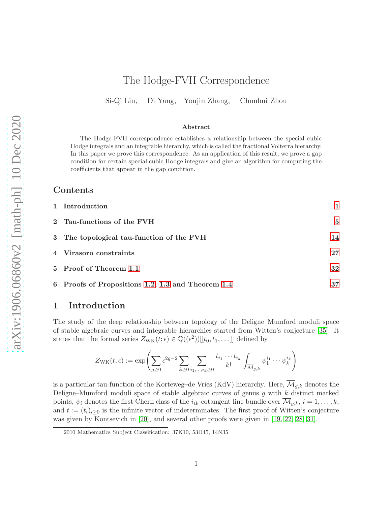# The Hodge-FVH Correspondence

Si-Qi Liu, Di Yang, Youjin Zhang, Chunhui Zhou

#### Abstract

The Hodge-FVH correspondence establishes a relationship between the special cubic Hodge integrals and an integrable hierarchy, which is called the fractional Volterra hierarchy. In this paper we prove this correspondence. As an application of this result, we prove a gap condition for certain special cubic Hodge integrals and give an algorithm for computing the coefficients that appear in the gap condition.

### Contents

| 1 Introduction                                    |    |
|---------------------------------------------------|----|
| 2 Tau-functions of the FVH                        | 5  |
| 3 The topological tau-function of the FVH         | 14 |
| 4 Virasoro constraints                            | 27 |
| 5 Proof of Theorem 1.1                            | 32 |
| 6 Proofs of Propositions 1.2, 1.3 and Theorem 1.4 | 37 |

### <span id="page-0-0"></span>1 Introduction

The study of the deep relationship between topology of the Deligne–Mumford moduli space of stable algebraic curves and integrable hierarchies started from Witten's conjecture [\[35\]](#page-42-0). It states that the formal series  $Z_{\text{WK}}(t; \epsilon) \in \mathbb{Q}((\epsilon^2))[[t_0, t_1, \dots]]$  defined by

$$
Z_{\rm WK}(t; \epsilon) := \exp\left(\sum_{g\geq 0} \epsilon^{2g-2} \sum_{k\geq 0} \sum_{i_1,\ldots,i_k\geq 0} \frac{t_{i_1}\cdots t_{i_k}}{k!} \int_{\overline{\mathcal{M}}_{g,k}} \psi_1^{i_1}\cdots \psi_k^{i_k}\right)
$$

is a particular tau-function of the Korteweg–de Vries (KdV) hierarchy. Here,  $\overline{\mathcal{M}}_{q,k}$  denotes the Deligne–Mumford moduli space of stable algebraic curves of genus  $g$  with  $k$  distinct marked points,  $\psi_i$  denotes the first Chern class of the  $i_{th}$  cotangent line bundle over  $\overline{\mathcal{M}}_{g,k}$ ,  $i = 1, \ldots, k$ , and  $t := (t_i)_{i\geq 0}$  is the infinite vector of indeterminates. The first proof of Witten's conjecture was given by Kontsevich in [\[20\]](#page-41-0), and several other proofs were given in [\[19,](#page-41-1) [22,](#page-41-2) [28,](#page-42-1) [31\]](#page-42-2).

<sup>2010</sup> Mathematics Subject Classification: 37K10, 53D45, 14N35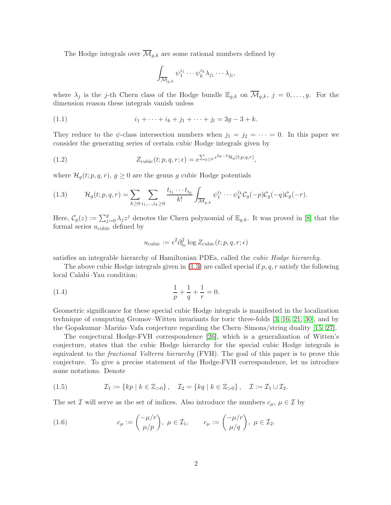The Hodge integrals over  $\overline{\mathcal{M}}_{g,k}$  are some rational numbers defined by

<span id="page-1-4"></span>
$$
\int_{\overline{\mathcal{M}}_{g,k}} \psi_1^{i_1} \cdots \psi_k^{i_k} \lambda_{j_1} \cdots \lambda_{j_l},
$$

where  $\lambda_j$  is the j-th Chern class of the Hodge bundle  $\mathbb{E}_{g,k}$  on  $\overline{\mathcal{M}}_{g,k}$ ,  $j = 0,\ldots,g$ . For the dimension reason these integrals vanish unless

(1.1) 
$$
i_1 + \dots + i_k + j_1 + \dots + j_l = 3g - 3 + k.
$$

They reduce to the  $\psi$ -class intersection numbers when  $j_1 = j_2 = \cdots = 0$ . In this paper we consider the generating series of certain cubic Hodge integrals given by

<span id="page-1-3"></span>(1.2) 
$$
Z_{\text{cubic}}(t;p,q,r;\epsilon) = e^{\sum_{g\geq 0} \epsilon^{2g-2} \mathcal{H}_g(t;p,q,r)},
$$

where  $\mathcal{H}_q(t; p, q, r)$ ,  $g \geq 0$  are the genus g cubic Hodge potentials

<span id="page-1-1"></span>(1.3) 
$$
\mathcal{H}_g(t; p, q, r) = \sum_{k \geq 0} \sum_{i_1, ..., i_k \geq 0} \frac{t_{i_1} \cdots t_{i_k}}{k!} \int_{\overline{\mathcal{M}}_{g,k}} \psi_1^{i_1} \cdots \psi_k^{i_k} C_g(-p) C_g(-q) C_g(-r).
$$

Here,  $\mathcal{C}_g(z) := \sum_{j=0}^g \lambda_j z^j$  denotes the Chern polynomial of  $\mathbb{E}_{g,k}$ . It was proved in [\[8\]](#page-40-0) that the formal series  $u_{\text{cubic}}$  defined by

$$
u_{\text{cubic}}:=\epsilon^2\partial_{t_0}^2\log Z_{\text{cubic}}(t;p,q,r;\epsilon)
$$

satisfies an integrable hierarchy of Hamiltonian PDEs, called the cubic Hodge hierarchy.

The above cubic Hodge integrals given in  $(1.3)$  are called special if  $p, q, r$  satisfy the following local Calabi–Yau condition:

(1.4) 
$$
\frac{1}{p} + \frac{1}{q} + \frac{1}{r} = 0.
$$

Geometric significance for these special cubic Hodge integrals is manifested in the localization technique of computing Gromov–Witten invariants for toric three-folds [\[3,](#page-40-1) [16,](#page-41-3) [21,](#page-41-4) [30\]](#page-42-3), and by the Gopakumar–Mariño–Vafa conjecture regarding the Chern–Simons/string duality [\[15,](#page-41-5) [27\]](#page-42-4).

The conjectural Hodge-FVH correspondence [\[26\]](#page-41-6), which is a generalization of Witten's conjecture, states that the cubic Hodge hierarchy for the special cubic Hodge integrals is equivalent to the *fractional Volterra hierarchy* (FVH). The goal of this paper is to prove this conjecture. To give a precise statement of the Hodge-FVH correspondence, let us introduce some notations. Denote

(1.5) 
$$
\mathcal{I}_1 := \{ kp \mid k \in \mathbb{Z}_{>0} \}, \quad \mathcal{I}_2 = \{ kq \mid k \in \mathbb{Z}_{>0} \}, \quad \mathcal{I} := \mathcal{I}_1 \cup \mathcal{I}_2.
$$

The set  $\mathcal I$  will serve as the set of indices. Also introduce the numbers  $c_\mu, \mu \in \mathcal I$  by

<span id="page-1-2"></span><span id="page-1-0"></span>(1.6) 
$$
c_{\mu} := {\mu/r \choose \mu/p}, \ \mu \in \mathcal{I}_1, \qquad c_{\mu} := {\mu/r \choose \mu/q}, \ \mu \in \mathcal{I}_2.
$$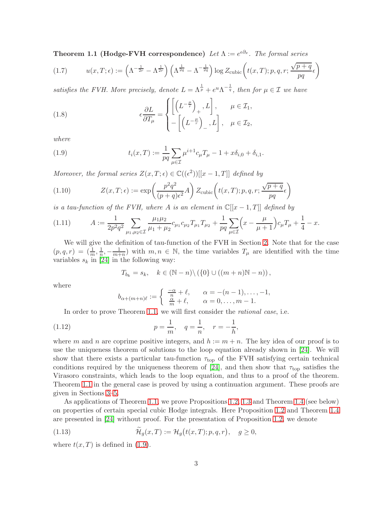**Theorem 1.1 (Hodge-FVH correspondence)** Let  $\Lambda := e^{\epsilon \partial_x}$ . The formal series

<span id="page-2-6"></span>(1.7) 
$$
u(x,T;\epsilon) := \left(\Lambda^{-\frac{1}{2r}} - \Lambda^{\frac{1}{2r}}\right) \left(\Lambda^{\frac{1}{2q}} - \Lambda^{-\frac{1}{2q}}\right) \log Z_{\text{cubic}}\left(t(x,T);p,q,r;\frac{\sqrt{p+q}}{pq}\epsilon\right)
$$

satisfies the FVH. More precisely, denote  $L = \Lambda^{\frac{1}{p}} + e^u \Lambda^{-\frac{1}{q}}$ , then for  $\mu \in \mathcal{I}$  we have

<span id="page-2-2"></span>(1.8) 
$$
\epsilon \frac{\partial L}{\partial T_{\mu}} = \begin{cases} \left[ \left( L^{-\frac{\mu}{r}} \right)_{+}, L \right], & \mu \in \mathcal{I}_{1}, \\ - \left[ \left( L^{-\frac{\mu}{r}} \right)_{-}, L \right], & \mu \in \mathcal{I}_{2}, \end{cases}
$$

where

<span id="page-2-1"></span>(1.9) 
$$
t_i(x,T) := \frac{1}{pq} \sum_{\mu \in \mathcal{I}} \mu^{i+1} c_{\mu} T_{\mu} - 1 + x \delta_{i,0} + \delta_{i,1}.
$$

Moreover, the formal series  $Z(x,T;\epsilon) \in \mathbb{C}((\epsilon^2))[[x-1,T]]$  defined by

<span id="page-2-3"></span>(1.10) 
$$
Z(x,T;\epsilon) := \exp\left(\frac{p^2q^2}{(p+q)\epsilon^2}A\right)Z_{\text{cubic}}\left(t(x,T);p,q,r;\frac{\sqrt{p+q}}{pq}\epsilon\right)
$$

is a tau-function of the FVH, where A is an element in  $\mathbb{C}[[x-1,T]]$  defined by

<span id="page-2-4"></span>
$$
(1.11) \t A := \frac{1}{2p^2 q^2} \sum_{\mu_1, \mu_2 \in \mathcal{I}} \frac{\mu_1 \mu_2}{\mu_1 + \mu_2} c_{\mu_1} c_{\mu_2} T_{\mu_1} T_{\mu_2} + \frac{1}{pq} \sum_{\mu \in \mathcal{I}} \left( x - \frac{\mu}{\mu + 1} \right) c_{\mu} T_{\mu} + \frac{1}{4} - x.
$$

We will give the definition of tau-function of the FVH in Section [2.](#page-4-0) Note that for the case  $(p, q, r) = (\frac{1}{m}, \frac{1}{n})$  $\frac{1}{n}, -\frac{1}{m+1}$  $\frac{1}{m+n}$  with  $m, n \in \mathbb{N}$ , the time variables  $T_{\mu}$  are identified with the time variables  $s_k$  in [\[24\]](#page-41-7) in the following way:

$$
T_{b_k} = s_k, \quad k \in (\mathbb{N} - n) \setminus (\{0\} \cup ((m+n)\mathbb{N} - n)),
$$

where

<span id="page-2-7"></span>
$$
b_{\alpha+(m+n)\ell} := \begin{cases} \frac{-\alpha}{n} + \ell, & \alpha = -(n-1), \dots, -1, \\ \frac{\alpha}{m} + \ell, & \alpha = 0, \dots, m-1. \end{cases}
$$

In order to prove Theorem [1.1,](#page-1-0) we will first consider the *rational case*, i.e.

(1.12) 
$$
p = \frac{1}{m}, \quad q = \frac{1}{n}, \quad r = -\frac{1}{h},
$$

where m and n are coprime positive integers, and  $h := m + n$ . The key idea of our proof is to use the uniqueness theorem of solutions to the loop equation already shown in [\[24\]](#page-41-7). We will show that there exists a particular tau-function  $\tau_{top}$  of the FVH satisfying certain technical conditions required by the uniqueness theorem of [\[24\]](#page-41-7), and then show that  $\tau_{top}$  satisfies the Virasoro constraints, which leads to the loop equation, and thus to a proof of the theorem. Theorem [1.1](#page-1-0) in the general case is proved by using a continuation argument. These proofs are given in Sections [3](#page-13-0)[–5.](#page-31-0)

As applications of Theorem [1.1,](#page-1-0) we prove Propositions [1.2,](#page-2-0) [1.3](#page-4-1) and Theorem [1.4](#page-4-2) (see below) on properties of certain special cubic Hodge integrals. Here Proposition [1.2](#page-2-0) and Theorem [1.4](#page-4-2) are presented in [\[24\]](#page-41-7) without proof. For the presentation of Proposition [1.2,](#page-2-0) we denote

<span id="page-2-5"></span>(1.13) 
$$
\widetilde{\mathcal{H}}_g(x,T) := \mathcal{H}_g(t(x,T); p, q, r), \quad g \ge 0,
$$

<span id="page-2-0"></span>where  $t(x, T)$  is defined in [\(1.9\)](#page-2-1).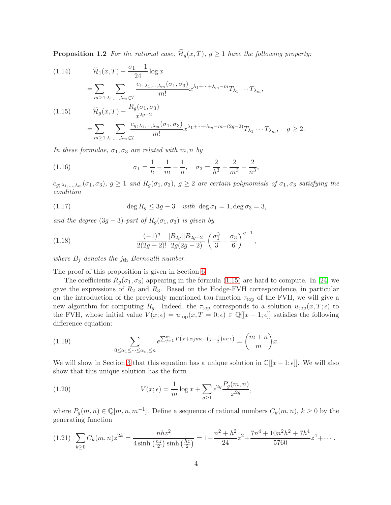**Proposition 1.2** For the rational case,  $\widetilde{\mathcal{H}}_g(x,T)$ ,  $g \geq 1$  have the following property:

<span id="page-3-4"></span><span id="page-3-0"></span>(1.14) 
$$
\widetilde{\mathcal{H}}_1(x,T) - \frac{\sigma_1 - 1}{24} \log x
$$

$$
= \sum_{m \ge 1} \sum_{\lambda_1, \dots, \lambda_m \in \mathcal{I}} \frac{c_{1; \lambda_1, \dots, \lambda_m}(\sigma_1, \sigma_3)}{m!} x^{\lambda_1 + \dots + \lambda_m - m} T_{\lambda_1} \dots T_{\lambda_m},
$$
  
(1.15) 
$$
\widetilde{\mathcal{H}}_g(x,T) - \frac{R_g(\sigma_1, \sigma_3)}{x^{2g-2}}
$$

$$
= \sum_{m \ge 1} \sum_{\lambda_1, \dots, \lambda_m \in \mathcal{I}} \frac{c_{g; \lambda_1, \dots, \lambda_m}(\sigma_1, \sigma_3)}{m!} x^{\lambda_1 + \dots + \lambda_m - m - (2g-2)} T_{\lambda_1} \dots T_{\lambda_m}, \quad g \ge 2.
$$

In these formulae,  $\sigma_1, \sigma_3$  are related with m, n by

<span id="page-3-1"></span>(1.16) 
$$
\sigma_1 = \frac{1}{h} - \frac{1}{m} - \frac{1}{n}, \quad \sigma_3 = \frac{2}{h^3} - \frac{2}{m^3} - \frac{2}{n^3},
$$

 $c_{g;\,\lambda_1,\ldots,\lambda_m}(\sigma_1,\sigma_3),\ g\geq 1\ and\ R_g(\sigma_1,\sigma_3),\ g\geq 2\ are\ certain\ polynomials\ of\ \sigma_1,\sigma_3\ satisfying\ the\$ condition

(1.17) 
$$
\deg R_g \leq 3g - 3 \quad \text{with } \deg \sigma_1 = 1, \deg \sigma_3 = 3,
$$

and the degree  $(3g - 3)$ -part of  $R_q(\sigma_1, \sigma_3)$  is given by

<span id="page-3-5"></span>(1.18) 
$$
\frac{(-1)^g}{2(2g-2)!} \frac{|B_{2g}||B_{2g-2}|}{2g(2g-2)} \left(\frac{\sigma_1^3}{3} - \frac{\sigma_3}{6}\right)^{g-1},
$$

where  $B_j$  denotes the  $j<sub>th</sub>$  Bernoulli number.

The proof of this proposition is given in Section [6.](#page-36-0)

The coefficients  $R_g(\sigma_1, \sigma_3)$  appearing in the formula [\(1.15\)](#page-3-0) are hard to compute. In [\[24\]](#page-41-7) we gave the expressions of  $R_2$  and  $R_3$ . Based on the Hodge-FVH correspondence, in particular on the introduction of the previously mentioned tau-function  $\tau_{top}$  of the FVH, we will give a new algorithm for computing  $R_g$ . Indeed, the  $\tau_{top}$  corresponds to a solution  $u_{top}(x,T;\epsilon)$  to the FVH, whose initial value  $V(x; \epsilon) = u_{\text{top}}(x, T = 0; \epsilon) \in \mathbb{Q}[[x - 1; \epsilon]]$  satisfies the following difference equation:

<span id="page-3-2"></span>(1.19) 
$$
\sum_{0 \le \alpha_1 \le \cdots \le \alpha_m \le n} e^{\sum_{j=1}^m V(x + \alpha_j m \epsilon - (j - \frac{1}{2})n \epsilon; \epsilon)} = {m + n \choose m} x.
$$

We will show in Section [3](#page-13-0) that this equation has a unique solution in  $\mathbb{C}[[x-1;\epsilon]]$ . We will also show that this unique solution has the form

(1.20) 
$$
V(x; \epsilon) = \frac{1}{m} \log x + \sum_{g \ge 1} \epsilon^{2g} \frac{P_g(m, n)}{x^{2g}},
$$

where  $P_g(m,n) \in \mathbb{Q}[m,n,m^{-1}]$ . Define a sequence of rational numbers  $C_k(m,n)$ ,  $k \geq 0$  by the generating function

<span id="page-3-3"></span>
$$
(1.21)\ \sum_{k\geq 0} C_k(m,n) z^{2k} = \frac{nhz^2}{4\sinh\left(\frac{nz}{2}\right)\sinh\left(\frac{hz}{2}\right)} = 1 - \frac{n^2 + h^2}{24} z^2 + \frac{7n^4 + 10n^2h^2 + 7h^4}{5760} z^4 + \cdots
$$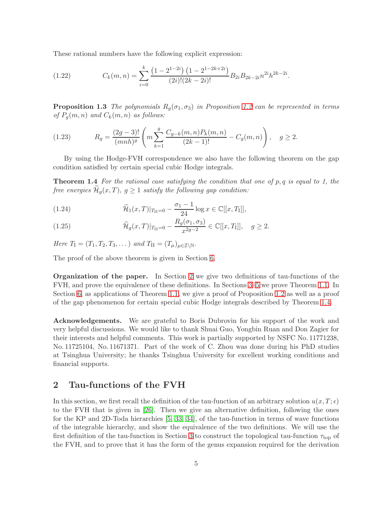These rational numbers have the following explicit expression:

(1.22) 
$$
C_k(m,n) = \sum_{i=0}^k \frac{\left(1 - 2^{1-2i}\right)\left(1 - 2^{1-2k+2i}\right)}{(2i)!(2k-2i)!} B_{2i} B_{2k-2i} n^{2i} h^{2k-2i}.
$$

<span id="page-4-1"></span>**Proposition 1.3** The polynomials  $R_q(\sigma_1, \sigma_3)$  in Proposition [1.2](#page-2-0) can be represented in terms of  $P_q(m, n)$  and  $C_k(m, n)$  as follows:

(1.23) 
$$
R_g = \frac{(2g-3)!}{(mnh)^g} \left( m \sum_{k=1}^g \frac{C_{g-k}(m,n) P_k(m,n)}{(2k-1)!} - C_g(m,n) \right), \quad g \ge 2.
$$

<span id="page-4-2"></span>By using the Hodge-FVH correspondence we also have the following theorem on the gap condition satisfied by certain special cubic Hodge integrals.

**Theorem 1.4** For the rational case satisfying the condition that one of  $p, q$  is equal to 1, the free energies  $\mathcal{H}_g(x,T)$ ,  $g \geq 1$  satisfy the following gap condition:

<span id="page-4-3"></span>(1.24) 
$$
\widetilde{\mathcal{H}}_1(x,T)|_{T_{II}=0} - \frac{\sigma_1 - 1}{24} \log x \in \mathbb{C}[[x,T_I]],
$$

<span id="page-4-4"></span>(1.25) 
$$
\widetilde{\mathcal{H}}_g(x,T)|_{T_{\text{II}}=0} - \frac{R_g(\sigma_1, \sigma_3)}{x^{2g-2}} \in \mathbb{C}[[x,T_{\text{I}}]], \quad g \ge 2.
$$

Here  $T_1 = (T_1, T_2, T_3, \dots)$  and  $T_{II} = (T_\mu)_{\mu \in \mathcal{I} \setminus \mathbb{N}}$ .

The proof of the above theorem is given in Section [6.](#page-36-0)

Organization of the paper. In Section [2](#page-4-0) we give two definitions of tau-functions of the FVH, and prove the equivalence of these definitions. In Sections [3–](#page-13-0)[5](#page-31-0) we prove Theorem [1.1.](#page-1-0) In Section [6,](#page-36-0) as applications of Theorem [1.1,](#page-1-0) we give a proof of Proposition [1.2](#page-2-0) as well as a proof of the gap phenomenon for certain special cubic Hodge integrals described by Theorem [1.4.](#page-4-2)

Acknowledgements. We are grateful to Boris Dubrovin for his support of the work and very helpful discussions. We would like to thank Shuai Guo, Yongbin Ruan and Don Zagier for their interests and helpful comments. This work is partially supported by NSFC No. 11771238, No. 11725104, No. 11671371. Part of the work of C. Zhou was done during his PhD studies at Tsinghua University; he thanks Tsinghua University for excellent working conditions and financial supports.

## <span id="page-4-0"></span>2 Tau-functions of the FVH

In this section, we first recall the definition of the tau-function of an arbitrary solution  $u(x, T; \epsilon)$ to the FVH that is given in [\[26\]](#page-41-6). Then we give an alternative definition, following the ones for the KP and 2D-Toda hierarchies [\[5,](#page-40-2) [33,](#page-42-5) [34\]](#page-42-6), of the tau-function in terms of wave functions of the integrable hierarchy, and show the equivalence of the two definitions. We will use the first definition of the tau-function in Section [3](#page-13-0) to construct the topological tau-function  $\tau_{\text{top}}$  of the FVH, and to prove that it has the form of the genus expansion required for the derivation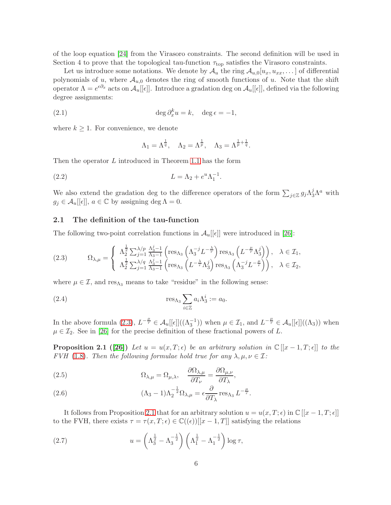of the loop equation [\[24\]](#page-41-7) from the Virasoro constraints. The second definition will be used in Section 4 to prove that the topological tau-function  $\tau_{top}$  satisfies the Virasoro constraints.

Let us introduce some notations. We denote by  $\mathcal{A}_u$  the ring  $\mathcal{A}_{u,0}[u_x, u_{xx}, \dots]$  of differential polynomials of u, where  $A_{u,0}$  denotes the ring of smooth functions of u. Note that the shift operator  $\Lambda = e^{\epsilon \partial_x}$  acts on  $\mathcal{A}_u[[\epsilon]]$ . Introduce a gradation deg on  $\mathcal{A}_u[[\epsilon]]$ , defined via the following degree assignments:

(2.1) 
$$
\deg \partial_x^k u = k, \quad \deg \epsilon = -1,
$$

where  $k \geq 1$ . For convenience, we denote

<span id="page-5-5"></span>
$$
\Lambda_1 = \Lambda^{\frac{1}{q}}, \quad \Lambda_2 = \Lambda^{\frac{1}{p}}, \quad \Lambda_3 = \Lambda^{\frac{1}{p} + \frac{1}{q}}.
$$

Then the operator L introduced in Theorem [1.1](#page-1-0) has the form

(2.2) 
$$
L = \Lambda_2 + e^u \Lambda_1^{-1}.
$$

We also extend the gradation deg to the difference operators of the form  $\sum_{j\in\mathbb{Z}}g_j\Lambda_3^j\Lambda^a$  with  $g_j \in \mathcal{A}_u[[\epsilon]], \ a \in \mathbb{C}$  by assigning deg  $\Lambda = 0$ .

#### <span id="page-5-3"></span>2.1 The definition of the tau-function

The following two-point correlation functions in  $\mathcal{A}_u[[\epsilon]]$  were introduced in [\[26\]](#page-41-6):

<span id="page-5-0"></span>(2.3) 
$$
\Omega_{\lambda,\mu} = \begin{cases} \Lambda_2^{\frac{1}{2}} \sum_{j=1}^{\lambda/p} \frac{\Lambda_3^{j-1}}{\Lambda_3 - 1} \left( \operatorname{res}_{\Lambda_3} \left( \Lambda_3^{-j} L^{-\frac{\lambda}{r}} \right) \operatorname{res}_{\Lambda_3} \left( L^{-\frac{\mu}{r}} \Lambda_3^{j} \right) \right), & \lambda \in \mathcal{I}_1, \\ \Lambda_2^{\frac{1}{2}} \sum_{j=1}^{\lambda/q} \frac{\Lambda_3^{j-1}}{\Lambda_3 - 1} \left( \operatorname{res}_{\Lambda_3} \left( L^{-\frac{\lambda}{r}} \Lambda_3^{j} \right) \operatorname{res}_{\Lambda_3} \left( \Lambda_3^{-j} L^{-\frac{\mu}{r}} \right) \right), & \lambda \in \mathcal{I}_2, \end{cases}
$$

where  $\mu \in \mathcal{I}$ , and  $res_{\Lambda_3}$  means to take "residue" in the following sense:

(2.4) 
$$
\operatorname{res}_{\Lambda_3} \sum_{i \in \mathbb{Z}} a_i \Lambda_3^i := a_0.
$$

<span id="page-5-1"></span>In the above formula [\(2.3\)](#page-5-0),  $L^{-\frac{\mu}{r}} \in \mathcal{A}_u[[\epsilon]]((\Lambda_3^{-1}))$  when  $\mu \in \mathcal{I}_1$ , and  $L^{-\frac{\mu}{r}} \in \mathcal{A}_u[[\epsilon]]((\Lambda_3))$  when  $\mu \in \mathcal{I}_2$ . See in [\[26\]](#page-41-6) for the precise definition of these fractional powers of L.

**Proposition 2.1** ([\[26\]](#page-41-6)) Let  $u = u(x,T;\epsilon)$  be an arbitrary solution in  $\mathbb{C}[[x-1,T;\epsilon]]$  to the FVH [\(1.8\)](#page-2-2). Then the following formulae hold true for any  $\lambda, \mu, \nu \in \mathcal{I}$ :

<span id="page-5-6"></span>(2.5) 
$$
\Omega_{\lambda,\mu} = \Omega_{\mu,\lambda}, \quad \frac{\partial \Omega_{\lambda,\mu}}{\partial T_{\nu}} = \frac{\partial \Omega_{\mu,\nu}}{\partial T_{\lambda}},
$$

<span id="page-5-4"></span>(2.6) 
$$
(\Lambda_3 - 1)\Lambda_2^{-\frac{1}{2}}\Omega_{\lambda,\mu} = \epsilon \frac{\partial}{\partial T_{\lambda}} \operatorname{res}_{\Lambda_3} L^{-\frac{\mu}{r}}.
$$

It follows from Proposition [2.1](#page-5-1) that for an arbitrary solution  $u = u(x, T; \epsilon)$  in  $\mathbb{C}[[x - 1, T; \epsilon]]$ to the FVH, there exists  $\tau = \tau(x, T; \epsilon) \in \mathbb{C}((\epsilon))[[x - 1, T]]$  satisfying the relations

<span id="page-5-2"></span>(2.7) 
$$
u = \left(\Lambda_3^{\frac{1}{2}} - \Lambda_3^{-\frac{1}{2}}\right) \left(\Lambda_1^{\frac{1}{2}} - \Lambda_1^{-\frac{1}{2}}\right) \log \tau,
$$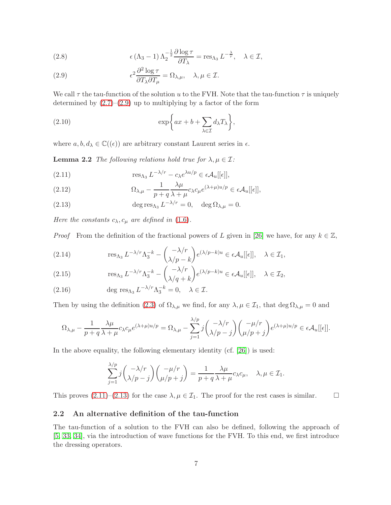<span id="page-6-8"></span>(2.8) 
$$
\epsilon (\Lambda_3 - 1) \Lambda_2^{-\frac{1}{2}} \frac{\partial \log \tau}{\partial T_{\lambda}} = \text{res}_{\Lambda_3} L^{-\frac{\lambda}{r}}, \quad \lambda \in \mathcal{I},
$$

<span id="page-6-0"></span>(2.9) 
$$
\epsilon^2 \frac{\partial^2 \log \tau}{\partial T_\lambda \partial T_\mu} = \Omega_{\lambda,\mu}, \quad \lambda, \mu \in \mathcal{I}.
$$

We call  $\tau$  the tau-function of the solution u to the FVH. Note that the tau-function  $\tau$  is uniquely determined by  $(2.7)$ – $(2.9)$  up to multiplying by a factor of the form

<span id="page-6-3"></span>(2.10) 
$$
\exp\bigg\{ax+b+\sum_{\lambda\in\mathcal{I}}d_{\lambda}T_{\lambda}\bigg\},\,
$$

<span id="page-6-5"></span>where  $a, b, d_\lambda \in \mathbb{C}((\epsilon))$  are arbitrary constant Laurent series in  $\epsilon$ .

**Lemma 2.2** The following relations hold true for  $\lambda, \mu \in \mathcal{I}$ :

<span id="page-6-1"></span>(2.11) 
$$
\operatorname{res}_{\Lambda_3} L^{-\lambda/r} - c_{\lambda} e^{\lambda u/p} \in \epsilon \mathcal{A}_u[[\epsilon]],
$$

(2.12) 
$$
\Omega_{\lambda,\mu} - \frac{1}{p+q} \frac{\lambda \mu}{\lambda + \mu} c_{\lambda} c_{\mu} e^{(\lambda + \mu)u/p} \in \epsilon \mathcal{A}_u[[\epsilon]],
$$

<span id="page-6-2"></span>(2.13)  $\deg \text{res}_{\Lambda_3} L^{-\lambda/r} = 0, \quad \deg \Omega_{\lambda,\mu} = 0.$ 

Here the constants  $c_{\lambda}, c_{\mu}$  are defined in [\(1.6\)](#page-1-2).

*Proof* From the definition of the fractional powers of L given in [\[26\]](#page-41-6) we have, for any  $k \in \mathbb{Z}$ ,

<span id="page-6-6"></span>(2.14) 
$$
\operatorname{res}_{\Lambda_3} L^{-\lambda/r} \Lambda_3^{-k} - \binom{-\lambda/r}{\lambda/p - k} e^{(\lambda/p - k)u} \in \epsilon \mathcal{A}_u[[\epsilon]], \quad \lambda \in \mathcal{I}_1,
$$

<span id="page-6-7"></span>(2.15) 
$$
\operatorname{res}_{\Lambda_3} L^{-\lambda/r} \Lambda_3^{-k} - \left(\frac{-\lambda/r}{\lambda/q+k}\right) e^{(\lambda/p-k)u} \in \epsilon \mathcal{A}_u[[\epsilon]], \quad \lambda \in \mathcal{I}_2,
$$

(2.16) 
$$
\deg \operatorname{res}_{\Lambda_3} L^{-\lambda/r} \Lambda_3^{-k} = 0, \quad \lambda \in \mathcal{I}.
$$

Then by using the definition [\(2.3\)](#page-5-0) of  $\Omega_{\lambda,\mu}$  we find, for any  $\lambda,\mu \in \mathcal{I}_1$ , that  $\deg \Omega_{\lambda,\mu} = 0$  and

$$
\Omega_{\lambda,\mu} - \frac{1}{p+q} \frac{\lambda \mu}{\lambda + \mu} c_{\lambda} c_{\mu} e^{(\lambda + \mu)u/p} = \Omega_{\lambda,\mu} - \sum_{j=1}^{\lambda/p} j \binom{-\lambda/r}{\lambda/p-j} \binom{-\mu/r}{\mu/p+j} e^{(\lambda + \mu)u/p} \in \epsilon \mathcal{A}_u[[\epsilon]].
$$

In the above equality, the following elementary identity (cf. [\[26\]](#page-41-6)) is used:

$$
\sum_{j=1}^{\lambda/p} j \binom{-\lambda/r}{\lambda/p-j} \binom{-\mu/r}{\mu/p+j} = \frac{1}{p+q} \frac{\lambda \mu}{\lambda+\mu} c_{\lambda} c_{\mu}, \quad \lambda, \mu \in \mathcal{I}_1.
$$

This proves  $(2.11)$ – $(2.13)$  for the case  $\lambda, \mu \in \mathcal{I}_1$ . The proof for the rest cases is similar.

#### <span id="page-6-4"></span>2.2 An alternative definition of the tau-function

The tau-function of a solution to the FVH can also be defined, following the approach of [\[5,](#page-40-2) [33,](#page-42-5) [34\]](#page-42-6), via the introduction of wave functions for the FVH. To this end, we first introduce the dressing operators.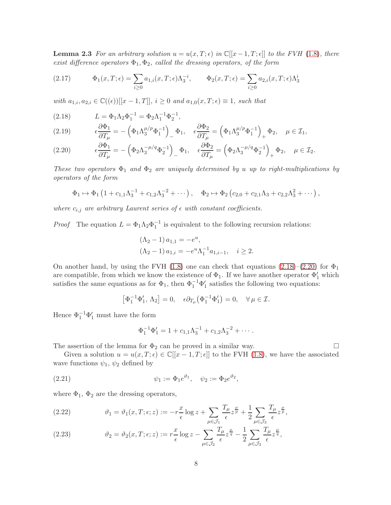**Lemma 2.3** For an arbitrary solution  $u = u(x, T; \epsilon)$  in  $\mathbb{C}[[x-1, T; \epsilon]]$  to the FVH [\(1.8\)](#page-2-2), there exist difference operators  $\Phi_1, \Phi_2$ , called the dressing operators, of the form

(2.17) 
$$
\Phi_1(x,T;\epsilon) = \sum_{i\geq 0} a_{1,i}(x,T;\epsilon) \Lambda_3^{-i}, \qquad \Phi_2(x,T;\epsilon) = \sum_{i\geq 0} a_{2,i}(x,T;\epsilon) \Lambda_3^{i}
$$

with  $a_{1,i}, a_{2,i} \in \mathbb{C}((\epsilon))[[x-1,T]], i \geq 0 \text{ and } a_{1,0}(x,T;\epsilon) \equiv 1, \text{ such that}$ 

<span id="page-7-0"></span>(2.18) 
$$
L = \Phi_1 \Lambda_2 \Phi_1^{-1} = \Phi_2 \Lambda_1^{-1} \Phi_2^{-1},
$$

<span id="page-7-2"></span>(2.19) 
$$
\epsilon \frac{\partial \Phi_1}{\partial T_{\mu}} = -(\Phi_1 \Lambda_3^{\mu/p} \Phi_1^{-1}) \Phi_1, \quad \epsilon \frac{\partial \Phi_2}{\partial T_{\mu}} = (\Phi_1 \Lambda_3^{\mu/p} \Phi_1^{-1}) \Phi_2, \quad \mu \in \mathcal{I}_1,
$$

<span id="page-7-1"></span>
$$
(2.20) \qquad \epsilon \frac{\partial \Phi_1}{\partial T_\mu} = -\left(\Phi_2 \Lambda_3^{-\mu/q} \Phi_2^{-1}\right)_- \Phi_1, \quad \epsilon \frac{\partial \Phi_2}{\partial T_\mu} = \left(\Phi_2 \Lambda_3^{-\mu/q} \Phi_2^{-1}\right)_+ \Phi_2, \quad \mu \in \mathcal{I}_2.
$$

These two operators  $\Phi_1$  and  $\Phi_2$  are uniquely determined by u up to right-multiplications by operators of the form

$$
\Phi_1 \mapsto \Phi_1 \left( 1 + c_{1,1} \Lambda_3^{-1} + c_{1,2} \Lambda_3^{-2} + \cdots \right), \quad \Phi_2 \mapsto \Phi_2 \left( c_{2,0} + c_{2,1} \Lambda_3 + c_{2,2} \Lambda_3^2 + \cdots \right),
$$

where  $c_{i,j}$  are arbitrary Laurent series of  $\epsilon$  with constant coefficients.

*Proof* The equation  $L = \Phi_1 \Lambda_2 \Phi_1^{-1}$  is equivalent to the following recursion relations:

$$
(\Lambda_2 - 1) a_{1,1} = -e^u,
$$
  
\n
$$
(\Lambda_2 - 1) a_{1,i} = -e^u \Lambda_1^{-1} a_{1,i-1}, \quad i \ge 2.
$$

On another hand, by using the FVH [\(1.8\)](#page-2-2) one can check that equations [\(2.18\)](#page-7-0)–[\(2.20\)](#page-7-1) for  $\Phi_1$ are compatible, from which we know the existence of  $\Phi_1$ . If we have another operator  $\Phi'_1$  which satisfies the same equations as for  $\Phi_1$ , then  $\Phi_1^{-1}\Phi'_1$  satisfies the following two equations:

$$
\left[\Phi_1^{-1}\Phi'_1,\,\Lambda_2\right]=0,\quad \epsilon\partial_{T_\mu}\left(\Phi_1^{-1}\Phi'_1\right)=0,\quad \forall \mu\in\mathcal{I}.
$$

Hence  $\Phi_1^{-1} \Phi_1'$  must have the form

<span id="page-7-3"></span>
$$
\Phi_1^{-1}\Phi_1' = 1 + c_{1,1}\Lambda_3^{-1} + c_{1,2}\Lambda_3^{-2} + \cdots
$$

The assertion of the lemma for  $\Phi_2$  can be proved in a similar way.

Given a solution  $u = u(x, T; \epsilon) \in \mathbb{C}[[x-1, T; \epsilon]]$  to the FVH [\(1.8\)](#page-2-2), we have the associated wave functions  $\psi_1$ ,  $\psi_2$  defined by

(2.21) 
$$
\psi_1 := \Phi_1 e^{\vartheta_1}, \quad \psi_2 := \Phi_2 e^{\vartheta_2},
$$

where  $\Phi_1$ ,  $\Phi_2$  are the dressing operators,

<span id="page-7-4"></span>(2.22) 
$$
\vartheta_1 = \vartheta_1(x, T; \epsilon; z) := -r \frac{x}{\epsilon} \log z + \sum_{\mu \in \mathcal{J}_1} \frac{T_\mu}{\epsilon} z^{\frac{\mu}{p}} + \frac{1}{2} \sum_{\mu \in \mathcal{J}_3} \frac{T_\mu}{\epsilon} z^{\frac{\mu}{p}},
$$

<span id="page-7-5"></span>(2.23) 
$$
\vartheta_2 = \vartheta_2(x, T; \epsilon; z) := r \frac{x}{\epsilon} \log z - \sum_{\mu \in \mathcal{J}_2} \frac{T_\mu}{\epsilon} z^{\frac{\mu}{q}} - \frac{1}{2} \sum_{\mu \in \mathcal{J}_3} \frac{T_\mu}{\epsilon} z^{\frac{\mu}{q}},
$$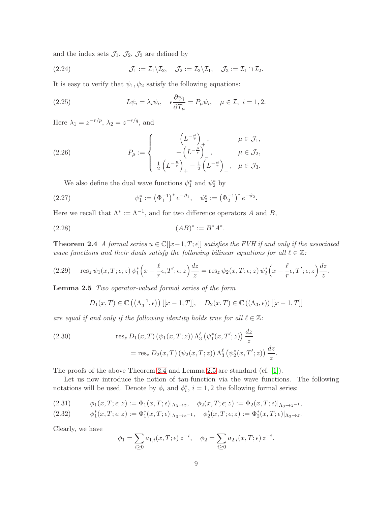and the index sets  $\mathcal{J}_1$ ,  $\mathcal{J}_2$ ,  $\mathcal{J}_3$  are defined by

<span id="page-8-4"></span>(2.24) 
$$
\mathcal{J}_1 := \mathcal{I}_1 \backslash \mathcal{I}_2, \quad \mathcal{J}_2 := \mathcal{I}_2 \backslash \mathcal{I}_1, \quad \mathcal{J}_3 := \mathcal{I}_1 \cap \mathcal{I}_2.
$$

It is easy to verify that  $\psi_1, \psi_2$  satisfy the following equations:

<span id="page-8-5"></span>(2.25) 
$$
L\psi_i = \lambda_i \psi_i, \quad \epsilon \frac{\partial \psi_i}{\partial T_\mu} = P_\mu \psi_i, \quad \mu \in \mathcal{I}, \ i = 1, 2.
$$

Here  $\lambda_1 = z^{-r/p}, \lambda_2 = z^{-r/q}, \text{ and}$ 

(2.26) 
$$
P_{\mu} := \begin{cases} \left(L^{-\frac{\mu}{r}}\right)_{+}, & \mu \in \mathcal{J}_{1}, \\ -\left(L^{-\frac{\mu}{r}}\right)_{-}, & \mu \in \mathcal{J}_{2}, \\ \frac{1}{2}\left(L^{-\frac{\mu}{r}}\right)_{+} - \frac{1}{2}\left(L^{-\frac{\mu}{r}}\right)_{-}, & \mu \in \mathcal{J}_{3}. \end{cases}
$$

We also define the dual wave functions  $\psi_1^*$  and  $\psi_2^*$  by

(2.27) 
$$
\psi_1^* := \left(\Phi_1^{-1}\right)^* e^{-\vartheta_1}, \quad \psi_2^* := \left(\Phi_2^{-1}\right)^* e^{-\vartheta_2}.
$$

Here we recall that  $\Lambda^* := \Lambda^{-1}$ , and for two difference operators A and B,

<span id="page-8-0"></span>(2.28) 
$$
(AB)^{*} := B^{*}A^{*}.
$$

**Theorem 2.4** A formal series  $u \in \mathbb{C}[[x-1,T;\epsilon]]$  satisfies the FVH if and only if the associated wave functions and their duals satisfy the following bilinear equations for all  $\ell \in \mathbb{Z}$ :

<span id="page-8-2"></span>(2.29) 
$$
\operatorname{res}_z \psi_1(x,T;\epsilon;z) \psi_1^* \left(x - \frac{\ell}{r} \epsilon, T';\epsilon;z\right) \frac{dz}{z} = \operatorname{res}_z \psi_2(x,T;\epsilon;z) \psi_2^* \left(x - \frac{\ell}{r} \epsilon, T';\epsilon;z\right) \frac{dz}{z}.
$$

<span id="page-8-1"></span>Lemma 2.5 Two operator-valued formal series of the form

$$
D_1(x,T) \in \mathbb{C}\left(\left(\Lambda_3^{-1}, \epsilon\right)\right) [[x-1,T]], \quad D_2(x,T) \in \mathbb{C}\left(\left(\Lambda_3, \epsilon\right)\right) [[x-1,T]]
$$

are equal if and only if the following identity holds true for all  $\ell \in \mathbb{Z}$ :

(2.30) 
$$
\text{res}_z D_1(x, T) (\psi_1(x, T; z)) \Lambda_3^{\ell} (\psi_1^*(x, T'; z)) \frac{dz}{z} \n= \text{res}_z D_2(x, T) (\psi_2(x, T; z)) \Lambda_3^{\ell} (\psi_2^*(x, T'; z)) \frac{dz}{z}.
$$

The proofs of the above Theorem [2.4](#page-8-0) and Lemma [2.5](#page-8-1) are standard (cf. [\[1\]](#page-40-3)).

Let us now introduce the notion of tau-function via the wave functions. The following notations will be used. Denote by  $\phi_i$  and  $\phi_i^*$ ,  $i = 1, 2$  the following formal series:

<span id="page-8-3"></span>
$$
(2.31) \qquad \phi_1(x,T;\epsilon;z) := \Phi_1(x,T;\epsilon)|_{\Lambda_3 \to z}, \quad \phi_2(x,T;\epsilon;z) := \Phi_2(x,T;\epsilon)|_{\Lambda_3 \to z^{-1}},
$$

$$
(2.32) \qquad \phi_1^*(x,T;\epsilon;z) := \Phi_1^*(x,T;\epsilon)|_{\Lambda_3 \to z^{-1}}, \quad \phi_2^*(x,T;\epsilon;z) := \Phi_2^*(x,T;\epsilon)|_{\Lambda_3 \to z}.
$$

Clearly, we have

$$
\phi_1 = \sum_{i \geq 0} a_{1,i}(x,T;\epsilon) z^{-i}, \quad \phi_2 = \sum_{i \geq 0} a_{2,i}(x,T;\epsilon) z^{-i}.
$$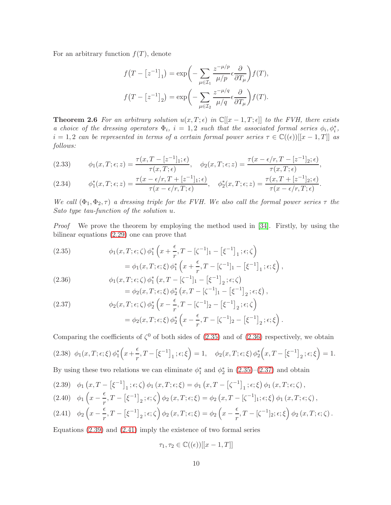For an arbitrary function  $f(T)$ , denote

$$
f(T - [z^{-1}]_1) = \exp\left(-\sum_{\mu \in \mathcal{I}_1} \frac{z^{-\mu/p}}{\mu/p} \epsilon \frac{\partial}{\partial T_{\mu}}\right) f(T),
$$

$$
f(T - [z^{-1}]_2) = \exp\left(-\sum_{\mu \in \mathcal{I}_2} \frac{z^{-\mu/q}}{\mu/q} \epsilon \frac{\partial}{\partial T_{\mu}}\right) f(T).
$$

<span id="page-9-9"></span>**Theorem 2.6** For an arbitrary solution  $u(x,T;\epsilon)$  in  $\mathbb{C}[[x-1,T;\epsilon]]$  to the FVH, there exists a choice of the dressing operators  $\Phi_i$ ,  $i = 1,2$  such that the associated formal series  $\phi_i$ ,  $\phi_i^*$ ,  $i = 1, 2$  can be represented in terms of a certain formal power series  $\tau \in \mathbb{C}((\epsilon))[[x-1,T]]$  as follows:

<span id="page-9-6"></span>(2.33) 
$$
\phi_1(x,T;\epsilon;z) = \frac{\tau(x,T-[z^{-1}]_1;\epsilon)}{\tau(x,T;\epsilon)}, \quad \phi_2(x,T;\epsilon;z) = \frac{\tau(x-\epsilon/r,T-[z^{-1}]_2;\epsilon)}{\tau(x,T;\epsilon)},
$$

<span id="page-9-7"></span>(2.34) 
$$
\phi_1^*(x,T;\epsilon;z) = \frac{\tau(x-\epsilon/r,T+[z^{-1}]_1;\epsilon)}{\tau(x-\epsilon/r,T;\epsilon)}, \quad \phi_2^*(x,T;\epsilon;z) = \frac{\tau(x,T+[z^{-1}]_2;\epsilon)}{\tau(x-\epsilon/r,T;\epsilon)}.
$$

We call  $(\Phi_1, \Phi_2, \tau)$  a dressing triple for the FVH. We also call the formal power series  $\tau$  the Sato type tau-function of the solution u.

Proof We prove the theorem by employing the method used in [\[34\]](#page-42-6). Firstly, by using the bilinear equations [\(2.29\)](#page-8-2) one can prove that

<span id="page-9-0"></span>(2.35)  
\n
$$
\phi_1(x, T; \epsilon; \zeta) \phi_1^* \left( x + \frac{\epsilon}{r}, T - [\zeta^{-1}]_1 - [\xi^{-1}]_1; \epsilon; \zeta \right)
$$
\n
$$
= \phi_1(x, T; \epsilon; \xi) \phi_1^* \left( x + \frac{\epsilon}{r}, T - [\zeta^{-1}]_1 - [\xi^{-1}]_1; \epsilon; \xi \right),
$$
\n(2.36)  
\n
$$
\phi_1(x, T; \epsilon; \zeta) \phi_1^* \left( x, T - [\zeta^{-1}]_1 - [\xi^{-1}]_2; \epsilon; \zeta \right)
$$

<span id="page-9-1"></span>(2.50)  
\n
$$
\varphi_1(x, 1, \epsilon, \zeta) \varphi_1(x, 1 - [\zeta \ 1] - [\zeta \ 1_2, \epsilon, \zeta)
$$
\n
$$
= \phi_2(x, T; \epsilon; \xi) \phi_2^* (x, T - [\zeta^{-1}]_1 - [\xi^{-1}]_2; \epsilon; \xi)
$$

<span id="page-9-2"></span>(2.37) 
$$
\phi_2(x, T; \epsilon; \zeta) \phi_2^* \left( x - \frac{\epsilon}{r}, T - [\zeta^{-1}]_2 - [\xi^{-1}]_2; \epsilon; \zeta \right)
$$

$$
= \phi_2(x, T; \epsilon; \xi) \phi_2^* \left( x - \frac{\epsilon}{r}, T - [\zeta^{-1}]_2 - [\xi^{-1}]_2; \epsilon; \xi \right)
$$

Comparing the coefficients of  $\zeta^0$  of both sides of [\(2.35\)](#page-9-0) and of [\(2.36\)](#page-9-1) respectively, we obtain

,

.

<span id="page-9-8"></span>
$$
(2.38) \ \ \phi_1(x,T;\epsilon;\xi) \ \phi_1^* \Big(x + \frac{\epsilon}{r}, T - \left[\xi^{-1}\right]_1; \epsilon; \xi\Big) = 1, \quad \phi_2(x,T;\epsilon;\xi) \ \phi_2^* \Big(x, T - \left[\xi^{-1}\right]_2; \epsilon; \xi\Big) = 1.
$$

By using these two relations we can eliminate  $\phi_1^*$  and  $\phi_2^*$  in  $(2.35)-(2.37)$  $(2.35)-(2.37)$  and obtain

<span id="page-9-3"></span>(2.39) 
$$
\phi_1(x, T - \left[\xi^{-1}\right]_1; \epsilon; \zeta) \phi_1(x, T; \epsilon; \xi) = \phi_1(x, T - \left[\zeta^{-1}\right]_1; \epsilon; \xi) \phi_1(x, T; \epsilon; \zeta),
$$
  
(2.40) 
$$
\phi_1\left(x - \frac{\epsilon}{r}, T - \left[\xi^{-1}\right]_2; \epsilon; \zeta\right) \phi_2(x, T; \epsilon; \xi) = \phi_2(x, T - \left[\zeta^{-1}\right]_1; \epsilon; \xi) \phi_1(x, T; \epsilon; \zeta),
$$

<span id="page-9-5"></span><span id="page-9-4"></span>(2.41) 
$$
\phi_2\left(x - \frac{\epsilon}{r}, T - [\xi^{-1}]_2; \epsilon; \zeta\right) \phi_2(x, T; \epsilon; \xi) = \phi_2\left(x - \frac{\epsilon}{r}, T - [\zeta^{-1}]_2; \epsilon; \xi\right) \phi_2(x, T; \epsilon; \zeta)
$$

Equations [\(2.39\)](#page-9-3) and [\(2.41\)](#page-9-4) imply the existence of two formal series

$$
\tau_1, \tau_2 \in \mathbb{C}((\epsilon))[[x-1,T]]
$$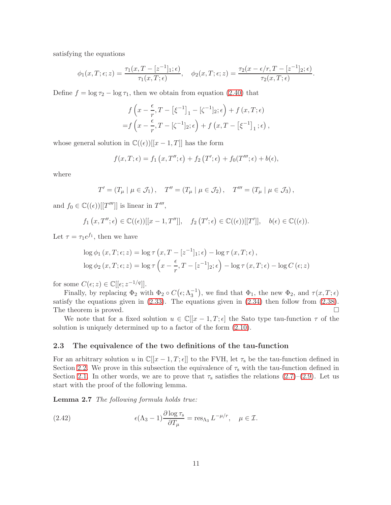satisfying the equations

$$
\phi_1(x,T;\epsilon;z) = \frac{\tau_1(x,T-[z^{-1}]_1;\epsilon)}{\tau_1(x,T;\epsilon)}, \quad \phi_2(x,T;\epsilon;z) = \frac{\tau_2(x-\epsilon/r,T-[z^{-1}]_2;\epsilon)}{\tau_2(x,T;\epsilon)}.
$$

Define  $f = \log \tau_2 - \log \tau_1$ , then we obtain from equation [\(2.40\)](#page-9-5) that

$$
f\left(x - \frac{\epsilon}{r}, T - \left[\xi^{-1}\right]_1 - \left[\zeta^{-1}\right]_2; \epsilon\right) + f\left(x, T; \epsilon\right)
$$
  
=  $f\left(x - \frac{\epsilon}{r}, T - \left[\zeta^{-1}\right]_2; \epsilon\right) + f\left(x, T - \left[\xi^{-1}\right]_1; \epsilon\right),$ 

whose general solution in  $\mathbb{C}((\epsilon))[[x-1,T]]$  has the form

$$
f(x,T;\epsilon) = f_1(x,T'';\epsilon) + f_2(T';\epsilon) + f_0(T''';\epsilon) + b(\epsilon),
$$

where

$$
T' = (T_{\mu} | \mu \in \mathcal{J}_1), \quad T'' = (T_{\mu} | \mu \in \mathcal{J}_2), \quad T''' = (T_{\mu} | \mu \in \mathcal{J}_3),
$$

and  $f_0 \in \mathbb{C}((\epsilon))[[T''']]$  is linear in  $T'''$ ,

$$
f_1(x,T'';\epsilon) \in \mathbb{C}((\epsilon))[[x-1,T'']]
$$
,  $f_2(T';\epsilon) \in \mathbb{C}((\epsilon))[[T']]$ ,  $b(\epsilon) \in \mathbb{C}((\epsilon))$ .

Let  $\tau = \tau_1 e^{f_1}$ , then we have

$$
\log \phi_1(x, T; \epsilon; z) = \log \tau (x, T - [z^{-1}]_1; \epsilon) - \log \tau (x, T; \epsilon),
$$
  

$$
\log \phi_2(x, T; \epsilon; z) = \log \tau \left( x - \frac{\epsilon}{r}, T - [z^{-1}]_2; \epsilon \right) - \log \tau (x, T; \epsilon) - \log C (\epsilon; z)
$$

for some  $C(\epsilon; z) \in \mathbb{C}[[\epsilon; z^{-1/q}]].$ 

Finally, by replacing  $\Phi_2$  with  $\Phi_2 \circ C(\epsilon; \Lambda_3^{-1})$ , we find that  $\Phi_1$ , the new  $\Phi_2$ , and  $\tau(x,T;\epsilon)$ satisfy the equations given in  $(2.33)$ . The equations given in  $(2.34)$  then follow from  $(2.38)$ . The theorem is proved.  $\Box$ 

We note that for a fixed solution  $u \in \mathbb{C}[[x-1,T;\epsilon]]$  the Sato type tau-function  $\tau$  of the solution is uniquely determined up to a factor of the form [\(2.10\)](#page-6-3).

#### 2.3 The equivalence of the two definitions of the tau-function

For an arbitrary solution u in  $\mathbb{C}[[x-1,T;\epsilon]]$  to the FVH, let  $\tau_s$  be the tau-function defined in Section [2.2.](#page-6-4) We prove in this subsection the equivalence of  $\tau_s$  with the tau-function defined in Section [2.1.](#page-5-3) In other words, we are to prove that  $\tau_s$  satisfies the relations [\(2.7\)](#page-5-2)–[\(2.9\)](#page-6-0). Let us start with the proof of the following lemma.

<span id="page-10-0"></span>Lemma 2.7 The following formula holds true:

(2.42) 
$$
\epsilon(\Lambda_3 - 1) \frac{\partial \log \tau_s}{\partial T_\mu} = \text{res}_{\Lambda_3} L^{-\mu/r}, \quad \mu \in \mathcal{I}.
$$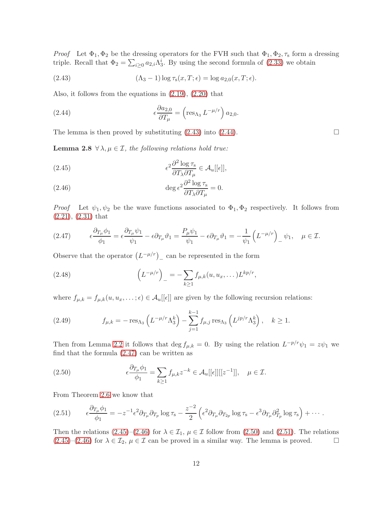*Proof* Let  $\Phi_1, \Phi_2$  be the dressing operators for the FVH such that  $\Phi_1, \Phi_2, \tau_s$  form a dressing triple. Recall that  $\Phi_2 = \sum_{i \geq 0} a_{2,i} \Lambda_3^i$ . By using the second formula of [\(2.33\)](#page-9-6) we obtain

<span id="page-11-0"></span>(2.43) 
$$
(\Lambda_3 - 1) \log \tau_s(x, T; \epsilon) = \log a_{2,0}(x, T; \epsilon).
$$

Also, it follows from the equations in [\(2.19\)](#page-7-2), [\(2.20\)](#page-7-1) that

<span id="page-11-1"></span>(2.44) 
$$
\epsilon \frac{\partial a_{2,0}}{\partial T_{\mu}} = \left(\text{res}_{\Lambda_3} L^{-\mu/r}\right) a_{2,0}.
$$

<span id="page-11-8"></span>The lemma is then proved by substituting  $(2.43)$  into  $(2.44)$ .

**Lemma 2.8**  $\forall \lambda, \mu \in \mathcal{I}$ , the following relations hold true:

<span id="page-11-3"></span>(2.45) 
$$
\epsilon^2 \frac{\partial^2 \log \tau_s}{\partial T_\lambda \partial T_\mu} \in \mathcal{A}_u[[\epsilon]],
$$

<span id="page-11-4"></span>(2.46) 
$$
\deg \epsilon^2 \frac{\partial^2 \log \tau_s}{\partial T_\lambda \partial T_\mu} = 0.
$$

*Proof* Let  $\psi_1, \psi_2$  be the wave functions associated to  $\Phi_1, \Phi_2$  respectively. It follows from [\(2.21\)](#page-7-3), [\(2.31\)](#page-8-3) that

<span id="page-11-2"></span>
$$
(2.47) \qquad \epsilon \frac{\partial_{T_{\mu}} \phi_1}{\phi_1} = \epsilon \frac{\partial_{T_{\mu}} \psi_1}{\psi_1} - \epsilon \partial_{T_{\mu}} \vartheta_1 = \frac{P_{\mu} \psi_1}{\psi_1} - \epsilon \partial_{T_{\mu}} \vartheta_1 = -\frac{1}{\psi_1} \left( L^{-\mu/r} \right)_- \psi_1, \quad \mu \in \mathcal{I}.
$$

Observe that the operator  $(L^{-\mu/r})$ <sub>-</sub> can be represented in the form

(2.48) 
$$
\left(L^{-\mu/r}\right)_{-} = -\sum_{k\geq 1} f_{\mu,k}(u, u_x, \dots) L^{kp/r},
$$

where  $f_{\mu,k} = f_{\mu,k}(u, u_x, \dots; \epsilon) \in \mathcal{A}_u[[\epsilon]]$  are given by the following recursion relations:

<span id="page-11-7"></span>(2.49) 
$$
f_{\mu,k} = -\operatorname{res}_{\Lambda_3} \left( L^{-\mu/r} \Lambda_3^k \right) - \sum_{j=1}^{k-1} f_{\mu,j} \operatorname{res}_{\Lambda_3} \left( L^{jp/r} \Lambda_3^k \right), \quad k \ge 1.
$$

Then from Lemma [2.2](#page-6-5) it follows that deg  $f_{\mu,k} = 0$ . By using the relation  $L^{-p/r}\psi_1 = z\psi_1$  we find that the formula [\(2.47\)](#page-11-2) can be written as

<span id="page-11-5"></span>(2.50) 
$$
\epsilon \frac{\partial T_{\mu} \phi_1}{\phi_1} = \sum_{k \ge 1} f_{\mu,k} z^{-k} \in \mathcal{A}_u[[\epsilon]][[z^{-1}]], \quad \mu \in \mathcal{I}.
$$

From Theorem [2.6](#page-9-9) we know that

<span id="page-11-6"></span>
$$
(2.51) \qquad \epsilon \frac{\partial_{T_{\mu}} \phi_1}{\phi_1} = -z^{-1} \epsilon^2 \partial_{T_{\mu}} \partial_{T_p} \log \tau_s - \frac{z^{-2}}{2} \left( \epsilon^2 \partial_{T_{\mu}} \partial_{T_{2p}} \log \tau_s - \epsilon^3 \partial_{T_{\mu}} \partial_{T_p}^2 \log \tau_s \right) + \cdots.
$$

<span id="page-11-9"></span>Then the relations [\(2.45\)](#page-11-3)–[\(2.46\)](#page-11-4) for  $\lambda \in \mathcal{I}_1$ ,  $\mu \in \mathcal{I}$  follow from [\(2.50\)](#page-11-5) and [\(2.51\)](#page-11-6). The relations (2.45)–(2.46) for  $\lambda \in \mathcal{I}_2$ ,  $\mu \in \mathcal{I}$  can be proved in a similar way. The lemma is proved.  $(2.45)-(2.46)$  $(2.45)-(2.46)$  $(2.45)-(2.46)$  for  $\lambda \in \mathcal{I}_2$ ,  $\mu \in \mathcal{I}$  can be proved in a similar way. The lemma is proved.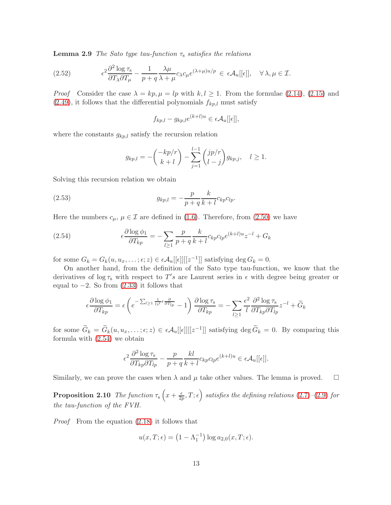**Lemma 2.9** The Sato type tau-function  $\tau_s$  satisfies the relations

(2.52) 
$$
\epsilon^2 \frac{\partial^2 \log \tau_s}{\partial T_\lambda \partial T_\mu} - \frac{1}{p+q} \frac{\lambda \mu}{\lambda + \mu} c_\lambda c_\mu e^{(\lambda+\mu)u/p} \in \epsilon \mathcal{A}_u[[\epsilon]], \quad \forall \lambda, \mu \in \mathcal{I}.
$$

*Proof* Consider the case  $\lambda = kp, \mu = lp$  with  $k, l \geq 1$ . From the formulae [\(2.14\)](#page-6-6), [\(2.15\)](#page-6-7) and  $(2.49)$ , it follows that the differential polynomials  $f_{kp,l}$  must satisfy

$$
f_{kp,l} - g_{kp,l}e^{(k+l)u} \in \epsilon \mathcal{A}_u[[\epsilon]],
$$

where the constants  $g_{kp,l}$  satisfy the recursion relation

$$
g_{kp,l} = -\binom{-kp/r}{k+l} - \sum_{j=1}^{l-1} \binom{jp/r}{l-j} g_{kp,j}, \quad l \ge 1.
$$

Solving this recursion relation we obtain

(2.53) 
$$
g_{kp,l} = -\frac{p}{p+q} \frac{k}{k+l} c_{kp} c_{lp}.
$$

Here the numbers  $c_{\mu}$ ,  $\mu \in \mathcal{I}$  are defined in [\(1.6\)](#page-1-2). Therefore, from [\(2.50\)](#page-11-5) we have

<span id="page-12-0"></span>(2.54) 
$$
\epsilon \frac{\partial \log \phi_1}{\partial T_{kp}} = -\sum_{l \ge 1} \frac{p}{p+q} \frac{k}{k+l} c_{kp} c_{lp} e^{(k+l)u} z^{-l} + G_k
$$

for some  $G_k = G_k(u, u_x, \dots; \epsilon; z) \in \epsilon \mathcal{A}_u[[\epsilon]][[z^{-1}]]$  satisfying  $\deg G_k = 0$ .

On another hand, from the definition of the Sato type tau-function, we know that the derivatives of  $\log \tau_s$  with respect to T's are Laurent series in  $\epsilon$  with degree being greater or equal to  $-2$ . So from  $(2.33)$  it follows that

$$
\epsilon \frac{\partial \log \phi_1}{\partial T_{kp}} = \epsilon \left( e^{-\sum_{l \geq 1} \frac{1}{lz^l} \epsilon \frac{\partial}{\partial T_{lp}}} - 1 \right) \frac{\partial \log \tau_s}{\partial T_{kp}} = -\sum_{l \geq 1} \frac{\epsilon^2}{l} \frac{\partial^2 \log \tau_s}{\partial T_{kp} \partial T_{lp}} z^{-l} + \widetilde{G}_k
$$

for some  $\widetilde{G}_k = \widetilde{G}_k(u, u_x, \dots; \epsilon; z) \in \epsilon \mathcal{A}_u[[\epsilon]][[z^{-1}]]$  satisfying  $\deg \widetilde{G}_k = 0$ . By comparing this formula with [\(2.54\)](#page-12-0) we obtain

$$
\epsilon^2 \frac{\partial^2 \log \tau_s}{\partial T_{kp} \partial T_{lp}} - \frac{p}{p+q} \frac{kl}{k+l} c_{kp} c_{lp} e^{(k+l)u} \in \epsilon \mathcal{A}_u[[\epsilon]].
$$

<span id="page-12-1"></span>Similarly, we can prove the cases when  $\lambda$  and  $\mu$  take other values. The lemma is proved.  $\square$ 

**Proposition 2.10** The function  $\tau_s(x+\frac{\epsilon}{2a})$  $\left(\frac{\epsilon}{2p},T;\epsilon\right)$  satisfies the defining relations [\(2.7\)](#page-5-2)–[\(2.9\)](#page-6-0) for the tau-function of the FVH.

Proof From the equation [\(2.18\)](#page-7-0) it follows that

$$
u(x,T;\epsilon) = \left(1 - \Lambda_1^{-1}\right) \log a_{2,0}(x,T;\epsilon).
$$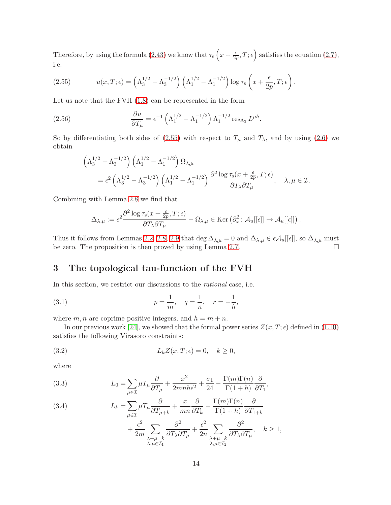Therefore, by using the formula [\(2.43\)](#page-11-0) we know that  $\tau_s\left(x+\frac{\epsilon}{2s}\right)$  $\left(\frac{\epsilon}{2p}, T; \epsilon\right)$  satisfies the equation [\(2.7\)](#page-5-2), i.e.

<span id="page-13-1"></span>(2.55) 
$$
u(x,T;\epsilon) = \left(\Lambda_3^{1/2} - \Lambda_3^{-1/2}\right) \left(\Lambda_1^{1/2} - \Lambda_1^{-1/2}\right) \log \tau_s \left(x + \frac{\epsilon}{2p}, T; \epsilon\right).
$$

Let us note that the FVH [\(1.8\)](#page-2-2) can be represented in the form

(2.56) 
$$
\frac{\partial u}{\partial T_{\mu}} = \epsilon^{-1} \left( \Lambda_1^{1/2} - \Lambda_1^{-1/2} \right) \Lambda_1^{-1/2} \operatorname{res}_{\Lambda_3} L^{\mu h}.
$$

So by differentiating both sides of [\(2.55\)](#page-13-1) with respect to  $T_{\mu}$  and  $T_{\lambda}$ , and by using [\(2.6\)](#page-5-4) we obtain

<span id="page-13-5"></span>
$$
\begin{aligned} \left(\Lambda_3^{1/2}-\Lambda_3^{-1/2}\right)\left(\Lambda_1^{1/2}-\Lambda_1^{-1/2}\right)\Omega_{\lambda,\mu} \\ = \epsilon^2\left(\Lambda_3^{1/2}-\Lambda_3^{-1/2}\right)\left(\Lambda_1^{1/2}-\Lambda_1^{-1/2}\right)\frac{\partial^2\log\tau_\text{s}(x+\frac{\epsilon}{2p},T;\epsilon)}{\partial T_\lambda\partial T_\mu},\quad \lambda,\mu\in\mathcal{I}. \end{aligned}
$$

Combining with Lemma [2.8](#page-11-8) we find that

$$
\Delta_{\lambda,\mu} := \epsilon^2 \frac{\partial^2 \log \tau_{\rm s}(x + \frac{\epsilon}{2p}, T; \epsilon)}{\partial T_{\lambda} \partial T_{\mu}} - \Omega_{\lambda,\mu} \in \text{Ker} \left( \partial_x^2 \colon \mathcal{A}_u[[\epsilon]] \to \mathcal{A}_u[[\epsilon]] \right).
$$

Thus it follows from Lemmas [2.2,](#page-6-5) [2.8,](#page-11-8) [2.9](#page-11-9) that deg  $\Delta_{\lambda,\mu} = 0$  and  $\Delta_{\lambda,\mu} \in \epsilon \mathcal{A}_u[[\epsilon]],$  so  $\Delta_{\lambda,\mu}$  must<br>be zero. The proposition is then proved by using Lemma 2.7 be zero. The proposition is then proved by using Lemma [2.7.](#page-10-0)

## <span id="page-13-0"></span>3 The topological tau-function of the FVH

In this section, we restrict our discussions to the rational case, i.e.

<span id="page-13-4"></span>(3.1) 
$$
p = \frac{1}{m}
$$
,  $q = \frac{1}{n}$ ,  $r = -\frac{1}{h}$ ,

where  $m, n$  are coprime positive integers, and  $h = m + n$ .

In our previous work [\[24\]](#page-41-7), we showed that the formal power series  $Z(x, T; \epsilon)$  defined in [\(1.10\)](#page-2-3) satisfies the following Virasoro constraints:

<span id="page-13-2"></span>(3.2) 
$$
L_k Z(x,T;\epsilon) = 0, \quad k \ge 0,
$$

where

<span id="page-13-3"></span>(3.3) 
$$
L_0 = \sum_{\mu \in \mathcal{I}} \mu T_\mu \frac{\partial}{\partial T_\mu} + \frac{x^2}{2mnh\epsilon^2} + \frac{\sigma_1}{24} - \frac{\Gamma(m)\Gamma(n)}{\Gamma(1+h)} \frac{\partial}{\partial T_1},
$$

<span id="page-13-6"></span>(3.4) 
$$
L_{k} = \sum_{\mu \in \mathcal{I}} \mu T_{\mu} \frac{\partial}{\partial T_{\mu+k}} + \frac{x}{mn} \frac{\partial}{\partial T_{k}} - \frac{\Gamma(m)\Gamma(n)}{\Gamma(1+h)} \frac{\partial}{\partial T_{1+k}} + \frac{\epsilon^{2}}{2m} \sum_{\substack{\lambda+\mu=k \lambda, \lambda+\mu=k}} \frac{\partial^{2}}{\partial T_{\lambda} \partial T_{\mu}} + \frac{\epsilon^{2}}{2n} \sum_{\substack{\lambda+\mu=k \lambda, \mu \in \mathcal{I}_{2}}} \frac{\partial^{2}}{\partial T_{\lambda} \partial T_{\mu}}, \quad k \ge 1,
$$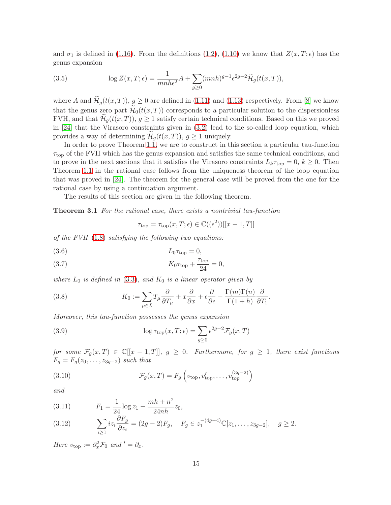and  $\sigma_1$  is defined in [\(1.16\)](#page-3-1). From the definitions [\(1.2\)](#page-1-3), [\(1.10\)](#page-2-3) we know that  $Z(x,T;\epsilon)$  has the genus expansion

<span id="page-14-5"></span>(3.5) 
$$
\log Z(x,T;\epsilon) = \frac{1}{mnh\epsilon^2}A + \sum_{g\geq 0} (mnh)^{g-1} \epsilon^{2g-2} \widetilde{\mathcal{H}}_g(t(x,T)),
$$

where A and  $\widetilde{\mathcal{H}}_g(t(x,T)), g \ge 0$  are defined in [\(1.11\)](#page-2-4) and [\(1.13\)](#page-2-5) respectively. From [\[8\]](#page-40-0) we know that the genus zero part  $\mathcal{H}_0(t(x,T))$  corresponds to a particular solution to the dispersionless FVH, and that  $\mathcal{H}_q(t(x,T))$ ,  $q \geq 1$  satisfy certain technical conditions. Based on this we proved in [\[24\]](#page-41-7) that the Virasoro constraints given in [\(3.2\)](#page-13-2) lead to the so-called loop equation, which provides a way of determining  $\mathcal{H}_g(t(x,T))$ ,  $g \geq 1$  uniquely.

In order to prove Theorem [1.1,](#page-1-0) we are to construct in this section a particular tau-function  $\tau_{\rm top}$  of the FVH which has the genus expansion and satisfies the same technical conditions, and to prove in the next sections that it satisfies the Virasoro constraints  $L_k \tau_{\text{top}} = 0, k \geq 0$ . Then Theorem [1.1](#page-1-0) in the rational case follows from the uniqueness theorem of the loop equation that was proved in [\[24\]](#page-41-7). The theorem for the general case will be proved from the one for the rational case by using a continuation argument.

<span id="page-14-3"></span>The results of this section are given in the following theorem.

Theorem 3.1 For the rational case, there exists a nontrivial tau-function

$$
\tau_{\text{top}} = \tau_{\text{top}}(x, T; \epsilon) \in \mathbb{C}((\epsilon^2))[[x - 1, T]]
$$

of the FVH  $(1.8)$  satisfying the following two equations:

<span id="page-14-0"></span>
$$
(3.6) \t\t\t L_0 \tau_{\text{top}} = 0,
$$

<span id="page-14-1"></span>(3.7) 
$$
K_0 \tau_{\text{top}} + \frac{\tau_{\text{top}}}{24} = 0,
$$

where  $L_0$  is defined in [\(3.3\)](#page-13-3), and  $K_0$  is a linear operator given by

<span id="page-14-4"></span>(3.8) 
$$
K_0 := \sum_{\mu \in \mathcal{I}} T_{\mu} \frac{\partial}{\partial T_{\mu}} + x \frac{\partial}{\partial x} + \epsilon \frac{\partial}{\partial \epsilon} - \frac{\Gamma(m)\Gamma(n)}{\Gamma(1+h)} \frac{\partial}{\partial T_1}.
$$

Moreover, this tau-function possesses the genus expansion

<span id="page-14-6"></span>(3.9) 
$$
\log \tau_{\text{top}}(x, T; \epsilon) = \sum_{g \ge 0} \epsilon^{2g-2} \mathcal{F}_g(x, T)
$$

for some  $\mathcal{F}_q(x,T) \in \mathbb{C}[[x-1,T]], g \geq 0$ . Furthermore, for  $g \geq 1$ , there exist functions  $F_g = F_g(z_0, \ldots, z_{3g-2})$  such that

<span id="page-14-2"></span>(3.10) 
$$
\mathcal{F}_g(x,T) = F_g\left(v_{\text{top}}, v'_{\text{top}}, \dots, v^{(3g-2)}_{\text{top}}\right)
$$

and

<span id="page-14-7"></span>(3.11) 
$$
F_1 = \frac{1}{24} \log z_1 - \frac{mh + n^2}{24nh} z_0,
$$

<span id="page-14-8"></span>(3.12) 
$$
\sum_{i\geq 1} iz_i \frac{\partial F_g}{\partial z_i} = (2g-2)F_g, \quad F_g \in z_1^{-(4g-4)} \mathbb{C}[z_1, \dots, z_{3g-2}], \quad g \geq 2.
$$

Here  $v_{\text{top}} := \partial_x^2 \mathcal{F}_0$  and  $' = \partial_x$ .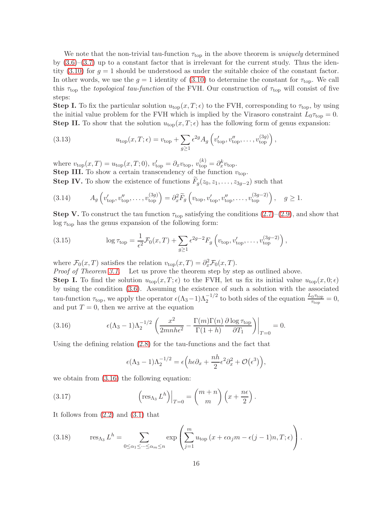We note that the non-trivial tau-function  $\tau_{top}$  in the above theorem is *uniquely* determined by  $(3.6)$ – $(3.7)$  up to a constant factor that is irrelevant for the current study. Thus the identity  $(3.10)$  for  $q = 1$  should be understood as under the suitable choice of the constant factor. In other words, we use the  $g = 1$  identity of [\(3.10\)](#page-14-2) to determine the constant for  $\tau_{\text{top}}$ . We call this  $\tau_{\text{top}}$  the topological tau-function of the FVH. Our construction of  $\tau_{\text{top}}$  will consist of five steps:

**Step I.** To fix the particular solution  $u_{\text{top}}(x,T;\epsilon)$  to the FVH, corresponding to  $\tau_{\text{top}}$ , by using the initial value problem for the FVH which is implied by the Virasoro constraint  $L_0\tau_{\text{top}} = 0$ . **Step II.** To show that the solution  $u_{top}(x, T; \epsilon)$  has the following form of genus expansion:

<span id="page-15-3"></span>(3.13) 
$$
u_{\text{top}}(x,T;\epsilon) = v_{\text{top}} + \sum_{g\geq 1} \epsilon^{2g} A_g \left( v'_{\text{top}}, v''_{\text{top}}, \dots, v^{(3g)}_{\text{top}} \right),
$$

where  $v_{\text{top}}(x,T) = u_{\text{top}}(x,T;0), v'_{\text{top}} = \partial_x v_{\text{top}}, v^{(k)}_{\text{top}} = \partial_x^k v_{\text{top}}.$ **Step III.** To show a certain transcendency of the function  $v_{\text{top}}$ .

**Step IV.** To show the existence of functions  $F_g(z_0, z_1, \ldots, z_{3g-2})$  such that

<span id="page-15-4"></span>(3.14) 
$$
A_g\left(v_{\text{top}}', v_{\text{top}}'', \dots, v_{\text{top}}^{(3g)}\right) = \partial_x^2 \widetilde{F}_g\left(v_{\text{top}}, v_{\text{top}}', v_{\text{top}}'', \dots, v_{\text{top}}^{(3g-2)}\right), \quad g \ge 1.
$$

**Step V.** To construct the tau function  $\tau_{\text{top}}$  satisfying the conditions  $(2.7)$ – $(2.9)$ , and show that  $\log \tau_{\rm top}$  has the genus expansion of the following form:

(3.15) 
$$
\log \tau_{\text{top}} = \frac{1}{\epsilon^2} \mathcal{F}_0(x, T) + \sum_{g \ge 1} \epsilon^{2g-2} F_g \left( v_{\text{top}}, v'_{\text{top}}, \dots, v^{(3g-2)}_{\text{top}} \right),
$$

where  $\mathcal{F}_0(x,T)$  satisfies the relation  $v_{\text{top}}(x,T) = \partial_x^2 \mathcal{F}_0(x,T)$ .

Proof of Theorem [3.1.](#page-14-3) Let us prove the theorem step by step as outlined above.

**Step I.** To find the solution  $u_{top}(x,T;\epsilon)$  to the FVH, let us fix its initial value  $u_{top}(x,0;\epsilon)$ by using the condition [\(3.6\)](#page-14-0). Assuming the existence of such a solution with the associated tau-function  $\tau_{\text{top}}$ , we apply the operator  $\epsilon(\Lambda_3 - 1)\Lambda_2^{-1/2}$  to both sides of the equation  $\frac{L_0 \tau_{\text{top}}}{\tau_{\text{top}}} = 0$ , and put  $T = 0$ , then we arrive at the equation

(3.16) 
$$
\epsilon(\Lambda_3 - 1)\Lambda_2^{-1/2} \left( \frac{x^2}{2mnh\epsilon^2} - \frac{\Gamma(m)\Gamma(n)}{\Gamma(1+h)} \frac{\partial \log \tau_{\text{top}}}{\partial T_1} \right) \Big|_{T=0} = 0.
$$

Using the defining relation [\(2.8\)](#page-6-8) for the tau-functions and the fact that

<span id="page-15-1"></span><span id="page-15-0"></span>
$$
\epsilon(\Lambda_3 - 1)\Lambda_2^{-1/2} = \epsilon \Big( h \epsilon \partial_x + \frac{nh}{2} \epsilon^2 \partial_x^2 + \mathcal{O}(\epsilon^3) \Big),
$$

we obtain from [\(3.16\)](#page-15-0) the following equation:

(3.17) 
$$
\left(\operatorname{res}_{\Lambda_3} L^h\right)\Big|_{T=0} = \binom{m+n}{m} \left(x + \frac{n\epsilon}{2}\right).
$$

It follows from [\(2.2\)](#page-5-5) and [\(3.1\)](#page-13-4) that

<span id="page-15-2"></span>(3.18) 
$$
\operatorname{res}_{\Lambda_3} L^h = \sum_{0 \le \alpha_1 \le \dots \le \alpha_m \le n} \exp \left( \sum_{j=1}^m u_{\text{top}} \left( x + \epsilon \alpha_j m - \epsilon (j-1) n, T; \epsilon \right) \right).
$$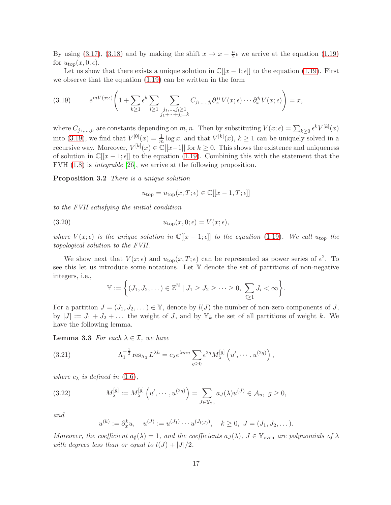By using [\(3.17\)](#page-15-1), [\(3.18\)](#page-15-2) and by making the shift  $x \to x - \frac{n}{2} \epsilon$  we arrive at the equation [\(1.19\)](#page-3-2) for  $u_{\text{top}}(x, 0; \epsilon)$ .

Let us show that there exists a unique solution in  $\mathbb{C}[[x-1;\epsilon]]$  to the equation [\(1.19\)](#page-3-2). First we observe that the equation [\(1.19\)](#page-3-2) can be written in the form

<span id="page-16-0"></span>(3.19) 
$$
e^{mV(x;\epsilon)}\left(1+\sum_{k\geq 1}\epsilon^k\sum_{l\geq 1}\sum_{\substack{j_1,\ldots,j_l\geq 1\\j_1+\cdots+j_l=k}}C_{j_1,\ldots,j_l}\partial_x^{j_1}V(x;\epsilon)\cdots\partial_x^{j_l}V(x;\epsilon)\right)=x,
$$

where  $C_{j_1,\dots,j_l}$  are constants depending on m, n. Then by substituting  $V(x;\epsilon) = \sum_{k\geq 0} \epsilon^k V^{[k]}(x)$ into [\(3.19\)](#page-16-0), we find that  $V^{[0]}(x) = \frac{1}{m} \log x$ , and that  $V^{[k]}(x)$ ,  $k \ge 1$  can be uniquely solved in a recursive way. Moreover,  $V^{[k]}(x) \in \mathbb{C}[[x-1]]$  for  $k \geq 0$ . This shows the existence and uniqueness of solution in  $\mathbb{C}[[x-1,\epsilon]]$  to the equation [\(1.19\)](#page-3-2). Combining this with the statement that the FVH [\(1.8\)](#page-2-2) is integrable [\[26\]](#page-41-6), we arrive at the following proposition.

Proposition 3.2 There is a unique solution

<span id="page-16-4"></span>
$$
u_{\text{top}} = u_{\text{top}}(x, T; \epsilon) \in \mathbb{C}[[x - 1, T; \epsilon]]
$$

to the FVH satisfying the initial condition

(3.20) 
$$
u_{\text{top}}(x,0;\epsilon) = V(x;\epsilon),
$$

where  $V(x; \epsilon)$  is the unique solution in  $\mathbb{C}[[x-1; \epsilon]]$  to the equation [\(1.19\)](#page-3-2). We call  $u_{\text{top}}$  the topological solution to the FVH.

We show next that  $V(x; \epsilon)$  and  $u_{\text{top}}(x, T; \epsilon)$  can be represented as power series of  $\epsilon^2$ . To see this let us introduce some notations. Let  $\mathbb {Y}$  denote the set of partitions of non-negative integers, i.e.,

<span id="page-16-2"></span>
$$
\mathbb{Y} := \Big\{ (J_1, J_2, \dots) \in \mathbb{Z}^{\mathbb{N}} \mid J_1 \geq J_2 \geq \dots \geq 0, \sum_{i \geq 1} J_i < \infty \Big\}.
$$

For a partition  $J = (J_1, J_2, \dots) \in \mathbb{Y}$ , denote by  $l(J)$  the number of non-zero components of J, by  $|J| := J_1 + J_2 + \dots$  the weight of J, and by  $\mathbb{Y}_k$  the set of all partitions of weight k. We have the following lemma.

**Lemma 3.3** For each  $\lambda \in \mathcal{I}$ , we have

<span id="page-16-3"></span>(3.21) 
$$
\Lambda_1^{-\frac{1}{2}} \operatorname{res}_{\Lambda_3} L^{\lambda h} = c_{\lambda} e^{\lambda m u} \sum_{g \ge 0} \epsilon^{2g} M_{\lambda}^{[g]} \left( u', \dots, u^{(2g)} \right),
$$

where  $c_{\lambda}$  is defined in [\(1.6\)](#page-1-2),

(3.22) 
$$
M_{\lambda}^{[g]} := M_{\lambda}^{[g]} \left( u', \cdots, u^{(2g)} \right) = \sum_{J \in \mathbb{Y}_{2g}} a_J(\lambda) u^{(J)} \in \mathcal{A}_u, \ g \ge 0,
$$

and

<span id="page-16-1"></span>
$$
u^{(k)} := \partial_x^k u
$$
,  $u^{(J)} := u^{(J_1)} \cdots u^{(J_{l(J)})}$ ,  $k \ge 0$ ,  $J = (J_1, J_2, \dots)$ .

Moreover, the coefficient  $a_{\emptyset}(\lambda) = 1$ , and the coefficients  $a_J(\lambda)$ ,  $J \in \mathbb{Y}_{\text{even}}$  are polynomials of  $\lambda$ with degrees less than or equal to  $l(J) + |J|/2$ .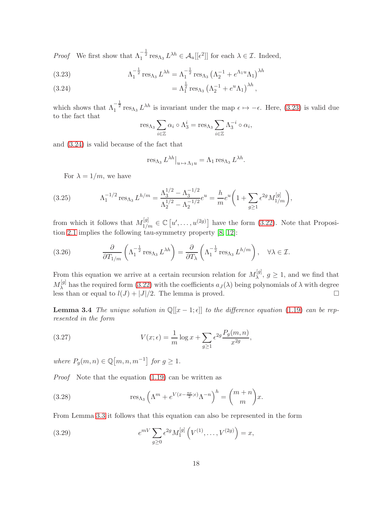*Proof* We first show that  $\Lambda_1^{-\frac{1}{2}}$  res<sub> $\Lambda_3$ </sub>  $L^{\lambda h} \in \mathcal{A}_u[[\epsilon^2]]$  for each  $\lambda \in \mathcal{I}$ . Indeed,

<span id="page-17-0"></span>(3.23) 
$$
\Lambda_1^{-\frac{1}{2}} \operatorname{res}_{\Lambda_3} L^{\lambda h} = \Lambda_1^{-\frac{1}{2}} \operatorname{res}_{\Lambda_3} (\Lambda_2^{-1} + e^{\Lambda_1 u} \Lambda_1)^{\lambda h}
$$

<span id="page-17-1"></span>(3.24) 
$$
= \Lambda_1^{\frac{1}{2}} \operatorname{res}_{\Lambda_3} (\Lambda_2^{-1} + e^u \Lambda_1)^{\lambda h},
$$

which shows that  $\Lambda_1^{-\frac{1}{2}}$  res $\Lambda_3 L^{\lambda h}$  is invariant under the map  $\epsilon \mapsto -\epsilon$ . Here, [\(3.23\)](#page-17-0) is valid due to the fact that

$$
res_{\Lambda_3} \sum_{i \in \mathbb{Z}} \alpha_i \circ \Lambda_3^i = res_{\Lambda_3} \sum_{i \in \mathbb{Z}} \Lambda_3^{-i} \circ \alpha_i,
$$

and [\(3.24\)](#page-17-1) is valid because of the fact that

$$
\operatorname{res}_{\Lambda_3} L^{\lambda h} \big|_{u \mapsto \Lambda_1 u} = \Lambda_1 \operatorname{res}_{\Lambda_3} L^{\lambda h}.
$$

For  $\lambda = 1/m$ , we have

(3.25) 
$$
\Lambda_1^{-1/2} \operatorname{res}_{\Lambda_3} L^{h/m} = \frac{\Lambda_3^{1/2} - \Lambda_3^{-1/2}}{\Lambda_2^{1/2} - \Lambda_2^{-1/2}} e^u = \frac{h}{m} e^u \left( 1 + \sum_{g \ge 1} \epsilon^{2g} M_{1/m}^{[g]} \right),
$$

from which it follows that  $M_{1/m}^{[g]} \in \mathbb{C}[u', \ldots, u^{(2g)}]$  have the form [\(3.22\)](#page-16-1). Note that Proposition [2.1](#page-5-1) implies the following tau-symmetry property [\[8,](#page-40-0) [12\]](#page-41-8):

<span id="page-17-2"></span>(3.26) 
$$
\frac{\partial}{\partial T_{1/m}} \left( \Lambda_1^{-\frac{1}{2}} \operatorname{res}_{\Lambda_3} L^{\lambda h} \right) = \frac{\partial}{\partial T_{\lambda}} \left( \Lambda_1^{-\frac{1}{2}} \operatorname{res}_{\Lambda_3} L^{h/m} \right), \quad \forall \lambda \in \mathcal{I}.
$$

From this equation we arrive at a certain recursion relation for  $M_{\lambda}^{[g]}$  $\lambda^{[g]}$ ,  $g \ge 1$ , and we find that  $M_\lambda^{[g]}$ <sup>[9]</sup> has the required form [\(3.22\)](#page-16-1) with the coefficients  $a_J(\lambda)$  being polynomials of  $\lambda$  with degree less than or equal to  $l(J) + |J|/2$ . The lemma is proved.

<span id="page-17-5"></span>**Lemma 3.4** The unique solution in  $\mathbb{Q}[[x-1;\epsilon]]$  to the difference equation [\(1.19\)](#page-3-2) can be represented in the form

<span id="page-17-3"></span>(3.27) 
$$
V(x; \epsilon) = \frac{1}{m} \log x + \sum_{g \ge 1} \epsilon^{2g} \frac{P_g(m, n)}{x^{2g}},
$$

where  $P_g(m, n) \in \mathbb{Q}[m, n, m^{-1}]$  for  $g \ge 1$ .

Proof Note that the equation [\(1.19\)](#page-3-2) can be written as

<span id="page-17-6"></span>(3.28) 
$$
\operatorname{res}_{\Lambda_3} \left( \Lambda^m + e^{V(x - \frac{n\epsilon}{2}; \epsilon)} \Lambda^{-n} \right)^h = \binom{m+n}{m} x.
$$

From Lemma [3.3](#page-16-2) it follows that this equation can also be represented in the form

<span id="page-17-4"></span>(3.29) 
$$
e^{mV} \sum_{g\geq 0} \epsilon^{2g} M_1^{[g]} \left( V^{(1)}, \dots, V^{(2g)} \right) = x,
$$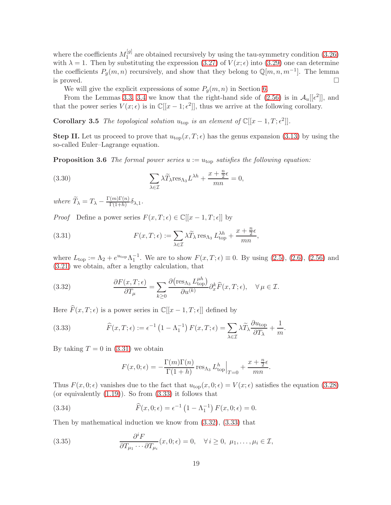where the coefficients  $M_1^{[g]}$  $1<sup>[9]</sup>$  are obtained recursively by using the tau-symmetry condition  $(3.26)$ with  $\lambda = 1$ . Then by substituting the expression [\(3.27\)](#page-17-3) of  $V(x; \epsilon)$  into [\(3.29\)](#page-17-4) one can determine the coefficients  $P_g(m, n)$  recursively, and show that they belong to  $\mathbb{Q}[m, n, m^{-1}]$ . The lemma is proved.  $\Box$ 

We will give the explicit expressions of some  $P_q(m, n)$  in Section [6.](#page-36-0)

<span id="page-18-5"></span>From the Lemmas [3.3,](#page-16-2) [3.4](#page-17-5) we know that the right-hand side of  $(2.56)$  is in  $\mathcal{A}_u[[\epsilon^2]]$ , and that the power series  $V(x; \epsilon)$  is in  $\mathbb{C}[[x-1; \epsilon^2]],$  thus we arrive at the following corollary.

**Corollary 3.5** The topological solution  $u_{\text{top}}$  is an element of  $\mathbb{C}[[x-1,T;\epsilon^2]].$ 

<span id="page-18-4"></span>**Step II.** Let us proceed to prove that  $u_{top}(x, T; \epsilon)$  has the genus expansion [\(3.13\)](#page-15-3) by using the so-called Euler–Lagrange equation.

**Proposition 3.6** The formal power series  $u := u_{\text{top}}$  satisfies the following equation:

<span id="page-18-3"></span>(3.30) 
$$
\sum_{\lambda \in \mathcal{I}} \lambda \widetilde{T}_{\lambda} \text{res}_{\Lambda_3} L^{\lambda h} + \frac{x + \frac{n}{2} \epsilon}{mn} = 0,
$$

where  $\widetilde{T}_{\lambda} = T_{\lambda} - \frac{\Gamma(m)\Gamma(n)}{\Gamma(1+h)}$  $\frac{\Gamma(n+1)}{\Gamma(1+h)} \delta_{\lambda,1}$ .

*Proof* Define a power series  $F(x, T; \epsilon) \in \mathbb{C}[[x - 1, T; \epsilon]]$  by

<span id="page-18-0"></span>(3.31) 
$$
F(x,T;\epsilon) := \sum_{\lambda \in \mathcal{I}} \lambda \widetilde{T}_{\lambda} \operatorname{res}_{\Lambda_3} L_{\text{top}}^{\lambda h} + \frac{x + \frac{n}{2}\epsilon}{mn},
$$

where  $L_{\text{top}} := \Lambda_2 + e^{u_{\text{top}}}\Lambda_1^{-1}$ . We are to show  $F(x, T; \epsilon) \equiv 0$ . By using [\(2.5\)](#page-5-6), [\(2.6\)](#page-5-4), [\(2.56\)](#page-13-5) and [\(3.21\)](#page-16-3) we obtain, after a lengthy calculation, that

<span id="page-18-2"></span>(3.32) 
$$
\frac{\partial F(x,T;\epsilon)}{\partial T_{\mu}} = \sum_{k\geq 0} \frac{\partial (\text{res}_{\Lambda_3} L_{\text{top}}^{\mu h})}{\partial u^{(k)}} \partial_x^k \widehat{F}(x,T;\epsilon), \quad \forall \mu \in \mathcal{I}.
$$

Here  $\widehat{F}(x, T; \epsilon)$  is a power series in  $\mathbb{C}[[x - 1, T; \epsilon]]$  defined by

(3.33) 
$$
\widehat{F}(x,T;\epsilon) := \epsilon^{-1} \left(1 - \Lambda_1^{-1}\right) F(x,T;\epsilon) = \sum_{\lambda \in \mathcal{I}} \lambda \widetilde{T}_{\lambda} \frac{\partial u_{\text{top}}}{\partial T_{\lambda}} + \frac{1}{m}.
$$

By taking  $T = 0$  in [\(3.31\)](#page-18-0) we obtain

<span id="page-18-1"></span>
$$
F(x, 0; \epsilon) = -\frac{\Gamma(m)\Gamma(n)}{\Gamma(1+h)} \operatorname{res}_{\Lambda_3} L_{\text{top}}^h \Big|_{T=0} + \frac{x + \frac{n}{2}\epsilon}{mn}.
$$

Thus  $F(x, 0; \epsilon)$  vanishes due to the fact that  $u_{\text{top}}(x, 0; \epsilon) = V(x; \epsilon)$  satisfies the equation [\(3.28\)](#page-17-6) (or equivalently  $(1.19)$ ). So from  $(3.33)$  it follows that

(3.34) 
$$
\widehat{F}(x,0;\epsilon) = \epsilon^{-1} \left(1 - \Lambda_1^{-1}\right) F(x,0;\epsilon) = 0.
$$

Then by mathematical induction we know from [\(3.32\)](#page-18-2), [\(3.33\)](#page-18-1) that

(3.35) 
$$
\frac{\partial^i F}{\partial T_{\mu_1} \cdots \partial T_{\mu_i}}(x,0;\epsilon) = 0, \quad \forall i \ge 0, \ \mu_1, \ldots, \mu_i \in \mathcal{I},
$$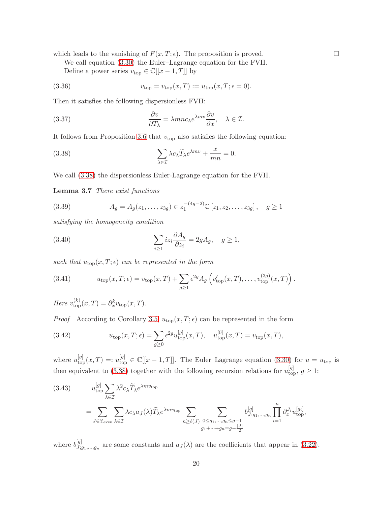which leads to the vanishing of  $F(x, T; \epsilon)$ . The proposition is proved.

We call equation [\(3.30\)](#page-18-3) the Euler–Lagrange equation for the FVH. Define a power series  $v_{\text{top}} \in \mathbb{C}[[x-1,T]]$  by

(3.36) 
$$
v_{\text{top}} = v_{\text{top}}(x,T) := u_{\text{top}}(x,T; \epsilon = 0).
$$

Then it satisfies the following dispersionless FVH:

<span id="page-19-5"></span>(3.37) 
$$
\frac{\partial v}{\partial T_{\lambda}} = \lambda m n c_{\lambda} e^{\lambda m v} \frac{\partial v}{\partial x}, \quad \lambda \in \mathcal{I}.
$$

It follows from Proposition [3.6](#page-18-4) that  $v_{top}$  also satisfies the following equation:

<span id="page-19-0"></span>(3.38) 
$$
\sum_{\lambda \in \mathcal{I}} \lambda c_{\lambda} \widetilde{T}_{\lambda} e^{\lambda mv} + \frac{x}{mn} = 0.
$$

<span id="page-19-6"></span>We call [\(3.38\)](#page-19-0) the dispersionless Euler-Lagrange equation for the FVH.

Lemma 3.7 There exist functions

<span id="page-19-2"></span>(3.39) 
$$
A_g = A_g(z_1, \dots, z_{3g}) \in z_1^{-(4g-2)} \mathbb{C} [z_1, z_2, \dots, z_{3g}], \quad g \ge 1
$$

satisfying the homogeneity condition

<span id="page-19-3"></span>(3.40) 
$$
\sum_{i\geq 1} iz_i \frac{\partial A_g}{\partial z_i} = 2gA_g, \quad g \geq 1,
$$

such that  $u_{\text{top}}(x,T;\epsilon)$  can be represented in the form

<span id="page-19-4"></span>(3.41) 
$$
u_{\text{top}}(x,T;\epsilon) = v_{\text{top}}(x,T) + \sum_{g\geq 1} \epsilon^{2g} A_g \left( v_{\text{top}}'(x,T), \dots, v_{\text{top}}^{(3g)}(x,T) \right).
$$

Here  $v_{\text{top}}^{(k)}(x,T) = \partial_x^k v_{\text{top}}(x,T)$ .

*Proof* According to Corollary [3.5,](#page-18-5)  $u_{top}(x, T; \epsilon)$  can be represented in the form

(3.42) 
$$
u_{\text{top}}(x,T;\epsilon) = \sum_{g\geq 0} \epsilon^{2g} u_{\text{top}}^{[g]}(x,T), \quad u_{\text{top}}^{[0]}(x,T) = v_{\text{top}}(x,T),
$$

where  $u_{\text{top}}^{[g]}(x,T) =: u_{\text{top}}^{[g]} \in \mathbb{C}[[x-1,T]].$  The Euler-Lagrange equation [\(3.30\)](#page-18-3) for  $u = u_{\text{top}}$  is then equivalent to [\(3.38\)](#page-19-0) together with the following recursion relations for  $u_{\text{top}}^{[g]}$ ,  $g \geq 1$ :

<span id="page-19-1"></span>(3.43) 
$$
u_{\text{top}}^{[g]} \sum_{\lambda \in \mathcal{I}} \lambda^2 c_{\lambda} \widetilde{T}_{\lambda} e^{\lambda m v_{\text{top}}} = \sum_{J \in \mathbb{Y}_{\text{even}}} \sum_{\lambda \in \mathcal{I}} \lambda c_{\lambda} a_J(\lambda) \widetilde{T}_{\lambda} e^{\lambda m v_{\text{top}}} \sum_{n \ge \ell(J)} \sum_{\substack{0 \le g_1, \dots, g_n \le g-1 \\ g_1 + \dots + g_n = g-\frac{|J|}{2}}} b_{J;g_1, \dots, g_n}^{[g]} \prod_{i=1}^n \partial_x^{J_i} u_{\text{top}}^{[g_i]},
$$

where  $b_{J}^{[g]}$  $J_{j,g_1,...,g_n}^{[g]}$  are some constants and  $a_J(\lambda)$  are the coefficients that appear in [\(3.22\)](#page-16-1).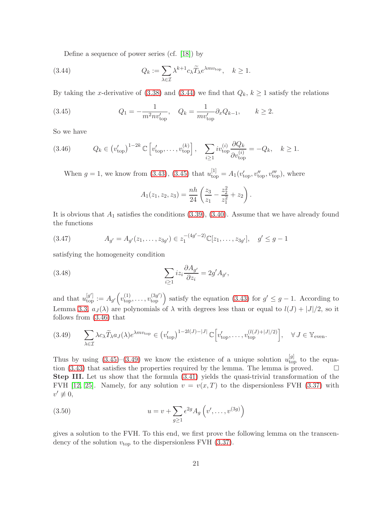<span id="page-20-0"></span>Define a sequence of power series (cf. [\[18\]](#page-41-9)) by

(3.44) 
$$
Q_k := \sum_{\lambda \in \mathcal{I}} \lambda^{k+1} c_{\lambda} \widetilde{T}_{\lambda} e^{\lambda m v_{\text{top}}}, \quad k \ge 1.
$$

By taking the x-derivative of [\(3.38\)](#page-19-0) and [\(3.44\)](#page-20-0) we find that  $Q_k$ ,  $k \ge 1$  satisfy the relations

<span id="page-20-1"></span>(3.45) 
$$
Q_1 = -\frac{1}{m^2 n v_{\text{top}}'}, \quad Q_k = \frac{1}{m v_{\text{top}}'} \partial_x Q_{k-1}, \qquad k \ge 2.
$$

So we have

$$
(3.46) \t Q_k \in (v_{\text{top}}')^{1-2k} \mathbb{C} \left[ v_{\text{top}}', \dots, v_{\text{top}}^{(k)} \right], \quad \sum_{i \ge 1} i v_{\text{top}}^{(i)} \frac{\partial Q_k}{\partial v_{\text{top}}^{(i)}} = -Q_k, \quad k \ge 1.
$$

<span id="page-20-2"></span>When  $g = 1$ , we know from [\(3.43\)](#page-19-1), [\(3.45\)](#page-20-1) that  $u_{top}^{[1]} = A_1(v'_{top}, v''_{top}, v'''_{top})$ , where

$$
A_1(z_1, z_2, z_3) = \frac{nh}{24} \left( \frac{z_3}{z_1} - \frac{z_2^2}{z_1^2} + z_2 \right).
$$

It is obvious that  $A_1$  satisfies the conditions  $(3.39)$ ,  $(3.40)$ . Assume that we have already found the functions

$$
(3.47) \t A_{g'} = A_{g'}(z_1, \dots, z_{3g'}) \in z_1^{-(4g'-2)} \mathbb{C}[z_1, \dots, z_{3g'}], \quad g' \le g-1
$$

satisfying the homogeneity condition

(3.48) 
$$
\sum_{i\geq 1} iz_i \frac{\partial A_{g'}}{\partial z_i} = 2g' A_{g'},
$$

and that  $u_{\text{top}}^{[g]} := A_{g'}(v_{\text{top}}^{(1)}, \ldots, v_{\text{top}}^{(3g')})$  satisfy the equation [\(3.43\)](#page-19-1) for  $g' \leq g-1$ . According to Lemma [3.3,](#page-16-2)  $a_J(\lambda)$  are polynomials of  $\lambda$  with degrees less than or equal to  $l(J) + |J|/2$ , so it follows from [\(3.46\)](#page-20-2) that

<span id="page-20-3"></span>
$$
(3.49) \qquad \sum_{\lambda \in \mathcal{I}} \lambda c_{\lambda} \widetilde{T}_{\lambda} a_{J}(\lambda) e^{\lambda m v_{\text{top}}} \in (v_{\text{top}}')^{1-2l(J)-|J|} \mathbb{C} \Big[ v_{\text{top}}', \dots, v_{\text{top}}^{(l(J)+|J|/2)} \Big], \quad \forall J \in \mathbb{Y}_{\text{even}}.
$$

Thus by using  $(3.45)-(3.49)$  $(3.45)-(3.49)$  we know the existence of a unique solution  $u_{\text{top}}^{[g]}$  to the equa-tion [\(3.43\)](#page-19-1) that satisfies the properties required by the lemma. The lemma is proved.  $\Box$ Step III. Let us show that the formula [\(3.41\)](#page-19-4) yields the quasi-trivial transformation of the FVH [\[12,](#page-41-8) [25\]](#page-41-10). Namely, for any solution  $v = v(x, T)$  to the dispersionless FVH [\(3.37\)](#page-19-5) with  $v' \not\equiv 0,$ 

<span id="page-20-4"></span>(3.50) 
$$
u = v + \sum_{g \ge 1} \epsilon^{2g} A_g \left( v', \dots, v^{(3g)} \right)
$$

<span id="page-20-5"></span>gives a solution to the FVH. To this end, we first prove the following lemma on the transcendency of the solution  $v_{\text{top}}$  to the dispersionless FVH [\(3.37\)](#page-19-5).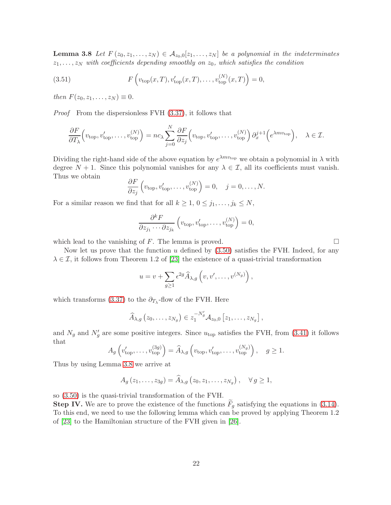**Lemma 3.8** Let  $F(z_0, z_1, \ldots, z_N) \in A_{z_0,0}[z_1, \ldots, z_N]$  be a polynomial in the indeterminates  $z_1, \ldots, z_N$  with coefficients depending smoothly on  $z_0$ , which satisfies the condition

(3.51) 
$$
F\left(v_{\text{top}}(x,T), v'_{\text{top}}(x,T), \dots, v^{(N)}_{\text{top}}(x,T)\right) = 0,
$$

then  $F(z_0, z_1, \ldots, z_N) \equiv 0$ .

Proof From the dispersionless FVH [\(3.37\)](#page-19-5), it follows that

$$
\frac{\partial F}{\partial T_{\lambda}}\left(v_{\text{top}}, v'_{\text{top}}, \dots, v^{(N)}_{\text{top}}\right) = nc_{\lambda} \sum_{j=0}^{N} \frac{\partial F}{\partial z_{j}}\left(v_{\text{top}}, v'_{\text{top}}, \dots, v^{(N)}_{\text{top}}\right) \partial_{x}^{j+1}\left(e^{\lambda mv_{\text{top}}}\right), \quad \lambda \in \mathcal{I}.
$$

Dividing the right-hand side of the above equation by  $e^{\lambda mv_{\text{top}}}$  we obtain a polynomial in  $\lambda$  with degree  $N + 1$ . Since this polynomial vanishes for any  $\lambda \in \mathcal{I}$ , all its coefficients must vanish. Thus we obtain

$$
\frac{\partial F}{\partial z_j}\left(v_{\text{top}}, v'_{\text{top}}, \dots, v^{(N)}_{\text{top}}\right) = 0, \quad j = 0, \dots, N.
$$

For a similar reason we find that for all  $k \geq 1, 0 \leq j_1, \ldots, j_k \leq N$ ,

$$
\frac{\partial^k F}{\partial z_{j_1} \cdots \partial z_{j_k}} \left( v_{\text{top}}, v'_{\text{top}}, \dots, v_{\text{top}}^{(N)} \right) = 0,
$$

which lead to the vanishing of F. The lemma is proved.  $\square$ 

Now let us prove that the function u defined by  $(3.50)$  satisfies the FVH. Indeed, for any  $\lambda \in \mathcal{I}$ , it follows from Theorem 1.2 of [\[23\]](#page-41-11) the existence of a quasi-trivial transformation

$$
u = v + \sum_{g \ge 1} \epsilon^{2g} \widehat{A}_{\lambda,g} \left( v, v', \dots, v^{(N_g)} \right),
$$

which transforms [\(3.37\)](#page-19-5) to the  $\partial_{T_{\lambda}}$ -flow of the FVH. Here

$$
\widehat{A}_{\lambda,g}\left(z_0,\ldots,z_{N_g}\right)\in z_1^{-N'_g}\mathcal{A}_{z_0,0}\left[z_1,\ldots,z_{N_g}\right],
$$

and  $N_g$  and  $N'_g$  are some positive integers. Since  $u_{\text{top}}$  satisfies the FVH, from [\(3.41\)](#page-19-4) it follows that

$$
A_g\left(v'_{\text{top}},\ldots,v^{(3g)}_{\text{top}}\right) = \widehat{A}_{\lambda,g}\left(v_{\text{top}},v'_{\text{top}},\ldots,v^{(N_g)}_{\text{top}}\right), \quad g \ge 1.
$$

Thus by using Lemma [3.8](#page-20-5) we arrive at

$$
A_g(z_1,\ldots,z_{3g})=\widehat{A}_{\lambda,g}\left(z_0,z_1,\ldots,z_{N_g}\right),\quad\forall\,g\geq 1,
$$

so [\(3.50\)](#page-20-4) is the quasi-trivial transformation of the FVH.

**Step IV.** We are to prove the existence of the functions  $F_q$  satisfying the equations in [\(3.14\)](#page-15-4). To this end, we need to use the following lemma which can be proved by applying Theorem 1.2 of [\[23\]](#page-41-11) to the Hamiltonian structure of the FVH given in [\[26\]](#page-41-6).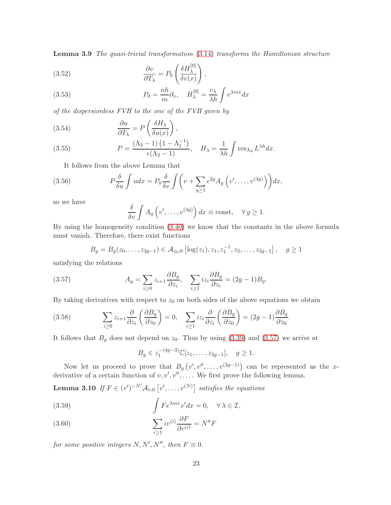Lemma 3.9 The quasi-trivial transformation [\(3.14\)](#page-15-4) transforms the Hamiltonian structure

(3.52) 
$$
\frac{\partial v}{\partial T_{\lambda}} = P_0 \left( \frac{\delta H_{\lambda}^{[0]}}{\delta v(x)} \right),
$$

(3.53) 
$$
P_0 = \frac{nh}{m} \partial_x, \quad H_{\lambda}^{[0]} = \frac{c_{\lambda}}{\lambda h} \int e^{\lambda mv} dx
$$

of the dispersionless FVH to the one of the FVH given by

(3.54) 
$$
\frac{\partial u}{\partial T_{\lambda}} = P\left(\frac{\delta H_{\lambda}}{\delta u(x)}\right),
$$

(3.55) 
$$
P = \frac{(\Lambda_3 - 1) (1 - \Lambda_1^{-1})}{\epsilon(\Lambda_2 - 1)}, \quad H_{\lambda} = \frac{1}{\lambda h} \int \text{res}_{\Lambda_3} L^{\lambda h} dx.
$$

It follows from the above Lemma that

(3.56) 
$$
P\frac{\delta}{\delta u}\int udx = P_0\frac{\delta}{\delta v}\int \left(v + \sum_{g\geq 1} \epsilon^{2g} A_g\left(v', \ldots, v^{(3g)}\right)\right) dx,
$$

so we have

$$
\frac{\delta}{\delta v} \int A_g \left( v', \dots, v^{(3g)} \right) dx \equiv \text{const}, \quad \forall g \ge 1.
$$

By using the homogeneity condition [\(3.40\)](#page-19-3) we know that the constants in the above formula must vanish. Therefore, there exist functions

<span id="page-22-0"></span>
$$
B_g = B_g(z_0, \ldots, z_{3g-1}) \in \mathcal{A}_{z_0,0} \left[ \log(z_1), z_1, z_1^{-1}, z_2, \ldots, z_{3g-1} \right], \quad g \ge 1
$$

satisfying the relations

(3.57) 
$$
A_g = \sum_{i \geq 0} z_{i+1} \frac{\partial B_g}{\partial z_i}, \quad \sum_{i \geq 1} iz_i \frac{\partial B_g}{\partial z_i} = (2g - 1)B_g.
$$

By taking derivatives with respect to  $z_0$  on both sides of the above equations we obtain

(3.58) 
$$
\sum_{i\geq 0} z_{i+1} \frac{\partial}{\partial z_i} \left( \frac{\partial B_g}{\partial z_0} \right) = 0, \quad \sum_{i\geq 1} iz_i \frac{\partial}{\partial z_i} \left( \frac{\partial B_g}{\partial z_0} \right) = (2g - 1) \frac{\partial B_g}{\partial z_0}
$$

It follows that  $B<sub>g</sub>$  does not depend on  $z<sub>0</sub>$ . Thus by using [\(3.39\)](#page-19-2) and [\(3.57\)](#page-22-0) we arrive at

$$
B_g \in z_1^{-(4g-3)} \mathbb{C}[z_1,\ldots,z_{3g-1}], \quad g \ge 1.
$$

<span id="page-22-3"></span>.

Now let us proceed to prove that  $B_g(v', v'', \ldots, v^{(3g-1)})$  can be represented as the xderivative of a certain function of  $v, v', v'', \ldots$ . We first prove the following lemma.

**Lemma 3.10** If  $F \in (v')^{-N'}\mathcal{A}_{v,0} \left[ v', \ldots, v^{(N)} \right]$  satisfies the equations

<span id="page-22-1"></span>(3.59) 
$$
\int F e^{\lambda m v} v' dx = 0, \quad \forall \lambda \in \mathcal{I},
$$

<span id="page-22-2"></span>(3.60) 
$$
\sum_{i\geq 1} i v^{(i)} \frac{\partial F}{\partial v^{(i)}} = N''F
$$

for some positive integers  $N, N', N''$ , then  $F \equiv 0$ .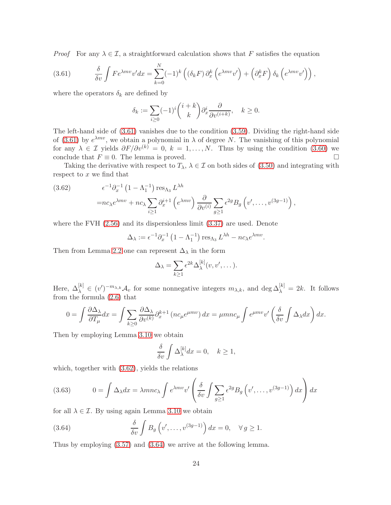*Proof* For any  $\lambda \in \mathcal{I}$ , a straightforward calculation shows that F satisfies the equation

<span id="page-23-0"></span>(3.61) 
$$
\frac{\delta}{\delta v} \int F e^{\lambda mv} v' dx = \sum_{k=0}^{N} (-1)^k \left( (\delta_k F) \partial_x^k \left( e^{\lambda mv} v' \right) + \left( \partial_x^k F \right) \delta_k \left( e^{\lambda mv} v' \right) \right),
$$

where the operators  $\delta_k$  are defined by

$$
\delta_k := \sum_{i \ge 0} (-1)^i {i+k \choose k} \partial_x^i \frac{\partial}{\partial v^{(i+k)}}, \quad k \ge 0.
$$

The left-hand side of [\(3.61\)](#page-23-0) vanishes due to the condition [\(3.59\)](#page-22-1). Dividing the right-hand side of [\(3.61\)](#page-23-0) by  $e^{\lambda mv}$ , we obtain a polynomial in  $\lambda$  of degree N. The vanishing of this polynomial for any  $\lambda \in \mathcal{I}$  yields  $\partial F/\partial v^{(k)} = 0$ ,  $k = 1, ..., N$ . Thus by using the condition [\(3.60\)](#page-22-2) we conclude that  $F \equiv 0$ . The lemma is proved. conclude that  $F \equiv 0$ . The lemma is proved.

Taking the derivative with respect to  $T_{\lambda}$ ,  $\lambda \in \mathcal{I}$  on both sides of [\(3.50\)](#page-20-4) and integrating with respect to  $x$  we find that

<span id="page-23-1"></span>(3.62) 
$$
\epsilon^{-1} \partial_x^{-1} (1 - \Lambda_1^{-1}) \operatorname{res}_{\Lambda_3} L^{\lambda h}
$$

$$
= n c_{\lambda} e^{\lambda m v} + n c_{\lambda} \sum_{i \ge 1} \partial_x^{i+1} (e^{\lambda m v}) \frac{\partial}{\partial v^{(i)}} \sum_{g \ge 1} \epsilon^{2g} B_g (v', \dots, v^{(3g-1)}),
$$

where the FVH [\(2.56\)](#page-13-5) and its dispersionless limit [\(3.37\)](#page-19-5) are used. Denote

$$
\Delta_{\lambda} := \epsilon^{-1} \partial_x^{-1} \left( 1 - \Lambda_1^{-1} \right) \operatorname{res}_{\Lambda_3} L^{\lambda h} - n c_{\lambda} e^{\lambda m v}.
$$

Then from Lemma [2.2](#page-6-5) one can represent  $\Delta_{\lambda}$  in the form

$$
\Delta_{\lambda} = \sum_{k \ge 1} \epsilon^{2k} \Delta_{\lambda}^{[k]}(v, v', \dots).
$$

Here,  $\Delta_{\lambda}^{[k]} \in (v')^{-m_{\lambda,k}} \mathcal{A}_v$  for some nonnegative integers  $m_{\lambda,k}$ , and  $\deg \Delta_{\lambda}^{[k]} = 2k$ . It follows from the formula [\(2.6\)](#page-5-4) that

$$
0 = \int \frac{\partial \Delta_{\lambda}}{\partial T_{\mu}} dx = \int \sum_{k \ge 0} \frac{\partial \Delta_{\lambda}}{\partial v^{(k)}} \partial_x^{k+1} \left( nc_{\mu} e^{\mu mv} \right) dx = \mu m n c_{\mu} \int e^{\mu mv} v' \left( \frac{\delta}{\delta v} \int \Delta_{\lambda} dx \right) dx.
$$

Then by employing Lemma [3.10](#page-22-3) we obtain

<span id="page-23-3"></span>
$$
\frac{\delta}{\delta v} \int \Delta_{\lambda}^{[k]} dx = 0, \quad k \ge 1,
$$

which, together with [\(3.62\)](#page-23-1), yields the relations

(3.63) 
$$
0 = \int \Delta_{\lambda} dx = \lambda m n c_{\lambda} \int e^{\lambda m v} v' \left( \frac{\delta}{\delta v} \int \sum_{g \ge 1} \epsilon^{2g} B_g \left( v', \dots, v^{(3g-1)} \right) dx \right) dx
$$

for all  $\lambda \in \mathcal{I}$ . By using again Lemma [3.10](#page-22-3) we obtain

<span id="page-23-2"></span>(3.64) 
$$
\frac{\delta}{\delta v} \int B_g \left( v', \dots, v^{(3g-1)} \right) dx = 0, \quad \forall g \ge 1.
$$

Thus by employing [\(3.57\)](#page-22-0) and [\(3.64\)](#page-23-2) we arrive at the following lemma.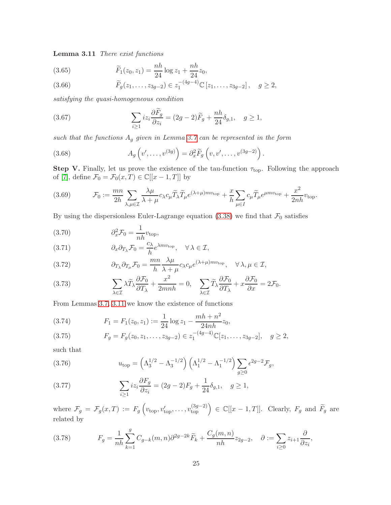Lemma 3.11 There exist functions

(3.65) 
$$
\widetilde{F}_1(z_0, z_1) = \frac{nh}{24} \log z_1 + \frac{nh}{24} z_0,
$$

(3.66) 
$$
\widetilde{F}_g(z_1,\ldots,z_{3g-2}) \in z_1^{-(4g-4)}\mathbb{C}[z_1,\ldots,z_{3g-2}], \quad g \ge 2,
$$

satisfying the quasi-homogeneous condition

(3.67) 
$$
\sum_{i\geq 1} iz_i \frac{\partial \widetilde{F}_g}{\partial z_i} = (2g-2)\widetilde{F}_g + \frac{nh}{24}\delta_{g,1}, \quad g \geq 1,
$$

such that the functions  $A_g$  given in Lemma [3.7](#page-19-6) can be represented in the form

(3.68) 
$$
A_g\left(v',\ldots,v^{(3g)}\right) = \partial_x^2 \widetilde{F}_g\left(v,v',\ldots,v^{(3g-2)}\right).
$$

Step V. Finally, let us prove the existence of the tau-function  $\tau_{top}$ . Following the approach of [\[7\]](#page-40-4), define  $\mathcal{F}_0 = \mathcal{F}_0(x,T) \in \mathbb{C}[[x-1,T]]$  by

<span id="page-24-7"></span>(3.69) 
$$
\mathcal{F}_0 := \frac{mn}{2h} \sum_{\lambda,\mu \in \mathcal{I}} \frac{\lambda \mu}{\lambda + \mu} c_{\lambda} c_{\mu} \widetilde{T}_{\lambda} \widetilde{T}_{\mu} e^{(\lambda + \mu) m v_{\text{top}}} + \frac{x}{h} \sum_{\mu \in I} c_{\mu} \widetilde{T}_{\mu} e^{\mu m v_{\text{top}}} + \frac{x^2}{2nh} v_{\text{top}}.
$$

By using the dispersionless Euler-Lagrange equation [\(3.38\)](#page-19-0) we find that  $\mathcal{F}_0$  satisfies

(3.70) 
$$
\partial_x^2 \mathcal{F}_0 = \frac{1}{nh} v_{\text{top}},
$$

<span id="page-24-4"></span>(3.71) 
$$
\partial_x \partial_{T_\lambda} \mathcal{F}_0 = \frac{c_\lambda}{h} e^{\lambda m v_{\text{top}}}, \quad \forall \lambda \in \mathcal{I},
$$

<span id="page-24-5"></span>(3.72) 
$$
\partial_{T_{\lambda}} \partial_{T_{\mu}} \mathcal{F}_0 = \frac{mn}{h} \frac{\lambda \mu}{\lambda + \mu} c_{\lambda} c_{\mu} e^{(\lambda + \mu) m v_{\text{top}}}, \quad \forall \lambda, \mu \in \mathcal{I},
$$

<span id="page-24-1"></span>(3.73) 
$$
\sum_{\lambda \in \mathcal{I}} \lambda \widetilde{T}_{\lambda} \frac{\partial \mathcal{F}_0}{\partial T_{\lambda}} + \frac{x^2}{2mnh} = 0, \quad \sum_{\lambda \in \mathcal{I}} \widetilde{T}_{\lambda} \frac{\partial \mathcal{F}_0}{\partial T_{\lambda}} + x \frac{\partial \mathcal{F}_0}{\partial x} = 2\mathcal{F}_0.
$$

From Lemmas [3.7,](#page-19-6) [3.11](#page-23-3) we know the existence of functions

(3.74) 
$$
F_1 = F_1(z_0, z_1) := \frac{1}{24} \log z_1 - \frac{mh + n^2}{24nh} z_0,
$$

<span id="page-24-2"></span>
$$
(3.75) \tF_g = F_g(z_0, z_1, \dots, z_{3g-2}) \in z_1^{-(4g-4)} \mathbb{C}[z_1, \dots, z_{3g-2}], \quad g \ge 2,
$$

such that

<span id="page-24-0"></span>(3.76) 
$$
u_{\text{top}} = \left(\Lambda_3^{1/2} - \Lambda_3^{-1/2}\right) \left(\Lambda_1^{1/2} - \Lambda_1^{-1/2}\right) \sum_{g \ge 0} \epsilon^{2g-2} \mathcal{F}_g,
$$

<span id="page-24-3"></span>(3.77) 
$$
\sum_{i\geq 1} iz_i \frac{\partial F_g}{\partial z_i} = (2g - 2)F_g + \frac{1}{24} \delta_{g,1}, \quad g \geq 1,
$$

where  $\mathcal{F}_g = \mathcal{F}_g(x,T) := F_g\left(v_{\text{top}}, v'_{\text{top}}, \ldots, v^{(3g-2)}_{\text{top}}\right) \in \mathbb{C}[[x-1,T]].$  Clearly,  $F_g$  and  $\widetilde{F}_g$  are related by

<span id="page-24-6"></span>(3.78) 
$$
F_g = \frac{1}{nh} \sum_{k=1}^g C_{g-k}(m,n) \partial^{2g-2k} \widetilde{F}_k + \frac{C_g(m,n)}{nh} z_{2g-2}, \quad \partial := \sum_{i \ge 0} z_{i+1} \frac{\partial}{\partial z_i},
$$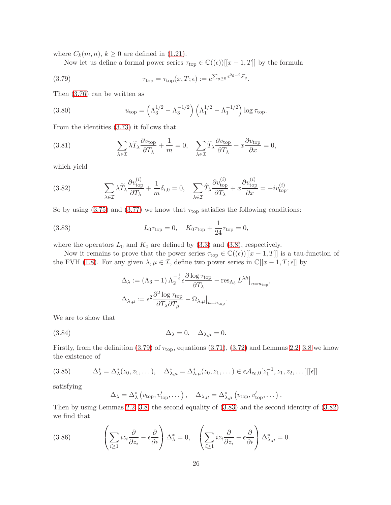where  $C_k(m, n)$ ,  $k \geq 0$  are defined in [\(1.21\)](#page-3-3).

<span id="page-25-0"></span>Now let us define a formal power series  $\tau_{\text{top}} \in \mathbb{C}((\epsilon))[[x-1,T]]$  by the formula

.

(3.79) 
$$
\tau_{\text{top}} = \tau_{\text{top}}(x, T; \epsilon) := e^{\sum_{g \geq 0} \epsilon^{2g - 2} \mathcal{F}_g}
$$

Then [\(3.76\)](#page-24-0) can be written as

<span id="page-25-3"></span>(3.80) 
$$
u_{\text{top}} = \left(\Lambda_3^{1/2} - \Lambda_3^{-1/2}\right) \left(\Lambda_1^{1/2} - \Lambda_1^{-1/2}\right) \log \tau_{\text{top}}.
$$

From the identities [\(3.73\)](#page-24-1) it follows that

(3.81) 
$$
\sum_{\lambda \in \mathcal{I}} \lambda \widetilde{T}_{\lambda} \frac{\partial v_{\text{top}}}{\partial T_{\lambda}} + \frac{1}{m} = 0, \quad \sum_{\lambda \in \mathcal{I}} \widetilde{T}_{\lambda} \frac{\partial v_{\text{top}}}{\partial T_{\lambda}} + x \frac{\partial v_{\text{top}}}{\partial x} = 0,
$$

which yield

<span id="page-25-2"></span>(3.82) 
$$
\sum_{\lambda \in \mathcal{I}} \lambda \widetilde{T}_{\lambda} \frac{\partial v_{\text{top}}^{(i)}}{\partial T_{\lambda}} + \frac{1}{m} \delta_{i,0} = 0, \quad \sum_{\lambda \in \mathcal{I}} \widetilde{T}_{\lambda} \frac{\partial v_{\text{top}}^{(i)}}{\partial T_{\lambda}} + x \frac{\partial v_{\text{top}}^{(i)}}{\partial x} = -iv_{\text{top}}^{(i)}.
$$

So by using [\(3.75\)](#page-24-2) and [\(3.77\)](#page-24-3) we know that  $\tau_{\text{top}}$  satisfies the following conditions:

(3.83) 
$$
L_0 \tau_{\text{top}} = 0, \quad K_0 \tau_{\text{top}} + \frac{1}{24} \tau_{\text{top}} = 0,
$$

where the operators  $L_0$  and  $K_0$  are defined by [\(3.3\)](#page-13-3) and [\(3.8\)](#page-14-4), respectively.

Now it remains to prove that the power series  $\tau_{top} \in \mathbb{C}((\epsilon))[[x-1,T]]$  is a tau-function of the FVH [\(1.8\)](#page-2-2). For any given  $\lambda, \mu \in \mathcal{I}$ , define two power series in  $\mathbb{C}[[x-1,T;\epsilon]]$  by

<span id="page-25-6"></span><span id="page-25-1"></span>
$$
\Delta_{\lambda} := (\Lambda_3 - 1) \Lambda_2^{-\frac{1}{2}} \epsilon \frac{\partial \log \tau_{\text{top}}}{\partial T_{\lambda}} - \text{res}_{\Lambda_3} L^{\lambda h}|_{u = u_{\text{top}}},
$$

$$
\Delta_{\lambda, \mu} := \epsilon^2 \frac{\partial^2 \log \tau_{\text{top}}}{\partial T_{\lambda} \partial T_{\mu}} - \Omega_{\lambda, \mu}|_{u = u_{\text{top}}}.
$$

We are to show that

(3.84) 
$$
\Delta_{\lambda} = 0, \quad \Delta_{\lambda,\mu} = 0.
$$

Firstly, from the definition [\(3.79\)](#page-25-0) of  $\tau_{top}$ , equations [\(3.71\)](#page-24-4), [\(3.72\)](#page-24-5) and Lemmas [2.2,](#page-6-5) [3.8](#page-20-5) we know the existence of

<span id="page-25-4"></span>
$$
(3.85) \qquad \Delta_{\lambda}^* = \Delta_{\lambda}^*(z_0, z_1, \dots), \quad \Delta_{\lambda,\mu}^* = \Delta_{\lambda,\mu}^*(z_0, z_1, \dots) \in \epsilon \mathcal{A}_{z_0,0}[z_1^{-1}, z_1, z_2, \dots][[\epsilon]]
$$

satisfying

<span id="page-25-5"></span>
$$
\Delta_{\lambda} = \Delta_{\lambda}^* (v_{\text{top}}, v_{\text{top}}', \dots), \quad \Delta_{\lambda,\mu} = \Delta_{\lambda,\mu}^* (v_{\text{top}}, v_{\text{top}}', \dots).
$$

Then by using Lemmas [2.2,](#page-6-5) [3.8,](#page-20-5) the second equality of [\(3.83\)](#page-25-1) and the second identity of [\(3.82\)](#page-25-2) we find that

(3.86) 
$$
\left(\sum_{i\geq 1} iz_i \frac{\partial}{\partial z_i} - \epsilon \frac{\partial}{\partial \epsilon}\right) \Delta_{\lambda}^* = 0, \quad \left(\sum_{i\geq 1} iz_i \frac{\partial}{\partial z_i} - \epsilon \frac{\partial}{\partial \epsilon}\right) \Delta_{\lambda,\mu}^* = 0.
$$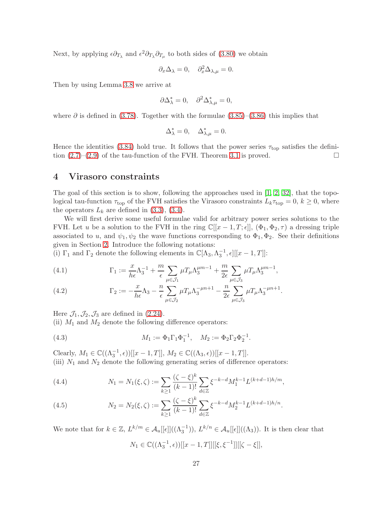Next, by applying  $\epsilon \partial_{T_\lambda}$  and  $\epsilon^2 \partial_{T_\lambda} \partial_{T_\mu}$  to both sides of [\(3.80\)](#page-25-3) we obtain

$$
\partial_x \Delta_\lambda = 0, \quad \partial_x^2 \Delta_{\lambda,\mu} = 0.
$$

Then by using Lemma [3.8](#page-20-5) we arrive at

$$
\partial \Delta_\lambda^* = 0, \quad \partial^2 \Delta_{\lambda,\mu}^* = 0,
$$

where  $\partial$  is defined in [\(3.78\)](#page-24-6). Together with the formulae [\(3.85\)](#page-25-4)–[\(3.86\)](#page-25-5) this implies that

$$
\Delta_\lambda^*=0,\quad \Delta_{\lambda,\mu}^*=0.
$$

Hence the identities [\(3.84\)](#page-25-6) hold true. It follows that the power series  $\tau_{\text{top}}$  satisfies the definition  $(2.7)$ – $(2.9)$  of the tau-function of the FVH. Theorem [3.1](#page-14-3) is proved.

### <span id="page-26-0"></span>4 Virasoro constraints

The goal of this section is to show, following the approaches used in  $[1, 2, 32]$  $[1, 2, 32]$  $[1, 2, 32]$ , that the topological tau-function  $\tau_{top}$  of the FVH satisfies the Virasoro constraints  $L_k \tau_{top} = 0, k \ge 0$ , where the operators  $L_k$  are defined in  $(3.3)$ ,  $(3.4)$ .

We will first derive some useful formulae valid for arbitrary power series solutions to the FVH. Let u be a solution to the FVH in the ring  $\mathbb{C}[[x-1,T;\epsilon]], (\Phi_1, \Phi_2, \tau)$  a dressing triple associated to u, and  $\psi_1, \psi_2$  the wave functions corresponding to  $\Phi_1, \Phi_2$ . See their definitions given in Section [2.](#page-4-0) Introduce the following notations:

(i)  $\Gamma_1$  and  $\Gamma_2$  denote the following elements in  $\mathbb{C}[\Lambda_3, \Lambda_3^{-1}, \epsilon][[x-1, T]]$ :

(4.1) 
$$
\Gamma_1 := \frac{x}{h\epsilon} \Lambda_3^{-1} + \frac{m}{\epsilon} \sum_{\mu \in \mathcal{J}_1} \mu T_{\mu} \Lambda_3^{\mu m - 1} + \frac{m}{2\epsilon} \sum_{\mu \in \mathcal{J}_3} \mu T_{\mu} \Lambda_3^{\mu m - 1},
$$

(4.2) 
$$
\Gamma_2 := -\frac{x}{h\epsilon} \Lambda_3 - \frac{n}{\epsilon} \sum_{\mu \in \mathcal{J}_2} \mu T_\mu \Lambda_3^{-\mu n + 1} - \frac{n}{2\epsilon} \sum_{\mu \in \mathcal{J}_3} \mu T_\mu \Lambda_3^{-\mu n + 1}.
$$

Here  $\mathcal{J}_1, \mathcal{J}_2, \mathcal{J}_3$  are defined in [\(2.24\)](#page-8-4).

(ii)  $M_1$  and  $M_2$  denote the following difference operators:

(4.3) 
$$
M_1 := \Phi_1 \Gamma_1 \Phi_1^{-1}, \quad M_2 := \Phi_2 \Gamma_2 \Phi_2^{-1}.
$$

Clearly,  $M_1 \in \mathbb{C}((\Lambda_3^{-1}, \epsilon))[[x-1,T]], M_2 \in \mathbb{C}((\Lambda_3, \epsilon))[[x-1,T]].$ (iii)  $N_1$  and  $N_2$  denote the following generating series of difference operators:

<span id="page-26-1"></span>(4.4) 
$$
N_1 = N_1(\xi, \zeta) := \sum_{k \ge 1} \frac{(\zeta - \xi)^k}{(k-1)!} \sum_{d \in \mathbb{Z}} \xi^{-k-d} M_1^{k-1} L^{(k+d-1)h/m},
$$

<span id="page-26-2"></span>(4.5) 
$$
N_2 = N_2(\xi, \zeta) := \sum_{k \ge 1} \frac{(\zeta - \xi)^k}{(k-1)!} \sum_{d \in \mathbb{Z}} \xi^{-k-d} M_2^{k-1} L^{(k+d-1)h/n}.
$$

We note that for  $k \in \mathbb{Z}$ ,  $L^{k/m} \in \mathcal{A}_u[[\epsilon]]((\Lambda_3^{-1})), L^{k/n} \in \mathcal{A}_u[[\epsilon]]((\Lambda_3)).$  It is then clear that  $N_1 \in \mathbb{C}((\Lambda_3^{-1}, \epsilon))[[x-1, T]][[\xi, \xi^{-1}]][[\zeta - \xi]],$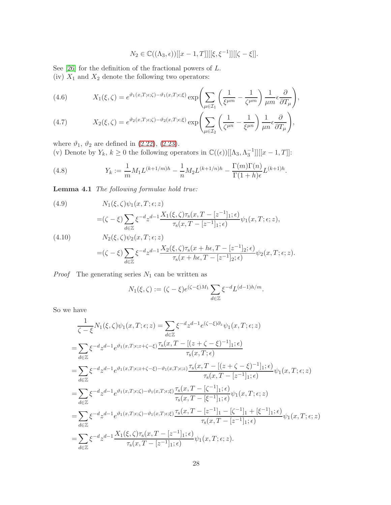$$
N_2 \in \mathbb{C}((\Lambda_3, \epsilon))[[x-1, T]][[\xi, \xi^{-1}]][[\zeta - \xi]].
$$

See  $[26]$  for the definition of the fractional powers of  $L$ . (iv)  $X_1$  and  $X_2$  denote the following two operators:

(4.6) 
$$
X_1(\xi,\zeta) = e^{\vartheta_1(x,T;\epsilon;\zeta) - \vartheta_1(x,T;\epsilon;\xi)} \exp\left(\sum_{\mu \in \mathcal{I}_1} \left(\frac{1}{\xi^{\mu m}} - \frac{1}{\zeta^{\mu m}}\right) \frac{1}{\mu m} \epsilon \frac{\partial}{\partial T_{\mu}}\right),
$$

(4.7) 
$$
X_2(\xi,\zeta) = e^{\vartheta_2(x,T;\epsilon;\zeta) - \vartheta_2(x,T;\epsilon;\xi)} \exp\left(\sum_{\mu \in \mathcal{I}_2} \left(\frac{1}{\zeta^{\mu n}} - \frac{1}{\xi^{\mu n}}\right) \frac{1}{\mu n} \epsilon \frac{\partial}{\partial T_{\mu}}\right),
$$

where  $\vartheta_1$ ,  $\vartheta_2$  are defined in [\(2.22\)](#page-7-4), [\(2.23\)](#page-7-5).

(v) Denote by  $Y_k$ ,  $k \ge 0$  the following operators in  $\mathbb{C}((\epsilon))[[\Lambda_3, \Lambda_3^{-1}]][[x-1, T]]$ :

<span id="page-27-2"></span>(4.8) 
$$
Y_k := \frac{1}{m} M_1 L^{(k+1/m)h} - \frac{1}{n} M_2 L^{(k+1/n)h} - \frac{\Gamma(m)\Gamma(n)}{\Gamma(1+h)\epsilon} L^{(k+1)h}.
$$

Lemma 4.1 The following formulae hold true:

<span id="page-27-1"></span><span id="page-27-0"></span>(4.9)  
\n
$$
N_1(\xi,\zeta)\psi_1(x,T;\epsilon;z)
$$
\n
$$
= (\zeta - \xi) \sum_{d \in \mathbb{Z}} \xi^{-d} z^{d-1} \frac{X_1(\xi,\zeta)\tau_s(x,T - [z^{-1}]_1;\epsilon)}{\tau_s(x,T - [z^{-1}]_1;\epsilon)} \psi_1(x,T;\epsilon;z),
$$
\n(4.10)  
\n
$$
N_2(\xi,\zeta)\psi_2(x,T;\epsilon;z)
$$
\n
$$
= (\zeta - \xi) \sum_{d \in \mathbb{Z}} \xi^{-d} z^{d-1} \frac{X_2(\xi,\zeta)\tau_s(x + h\epsilon,T - [z^{-1}]_2;\epsilon)}{\tau_s(x + h\epsilon,T - [z^{-1}]_2;\epsilon)} \psi_2(x,T;\epsilon;z).
$$

*Proof* The generating series  $N_1$  can be written as

$$
N_1(\xi,\zeta) := (\zeta - \xi)e^{(\zeta - \xi)M_1} \sum_{d \in \mathbb{Z}} \xi^{-d} L^{(d-1)h/m}.
$$

So we have

$$
\frac{1}{\zeta - \xi} N_1(\xi, \zeta) \psi_1(x, T; \epsilon; z) = \sum_{d \in \mathbb{Z}} \xi^{-d} z^{d-1} e^{(\zeta - \xi) \partial_z} \psi_1(x, T; \epsilon; z)
$$
\n
$$
= \sum_{d \in \mathbb{Z}} \xi^{-d} z^{d-1} e^{\vartheta_1(x, T; \epsilon; z + \zeta - \xi)} \frac{\tau_s(x, T - [(z + \zeta - \xi)^{-1}]_1; \epsilon)}{\tau_s(x, T; \epsilon)}
$$
\n
$$
= \sum_{d \in \mathbb{Z}} \xi^{-d} z^{d-1} e^{\vartheta_1(x, T; \epsilon; z + \zeta - \xi) - \vartheta_1(x, T; \epsilon; z)} \frac{\tau_s(x, T - [(z + \zeta - \xi)^{-1}]_1; \epsilon)}{\tau_s(x, T - [z^{-1}]_1; \epsilon)} \psi_1(x, T; \epsilon; z)
$$
\n
$$
= \sum_{d \in \mathbb{Z}} \xi^{-d} z^{d-1} e^{\vartheta_1(x, T; \epsilon; \zeta) - \vartheta_1(x, T; \epsilon; \xi)} \frac{\tau_s(x, T - [\zeta^{-1}]_1; \epsilon)}{\tau_s(x, T - [\xi^{-1}]_1; \epsilon)} \psi_1(x, T; \epsilon; z)
$$
\n
$$
= \sum_{d \in \mathbb{Z}} \xi^{-d} z^{d-1} e^{\vartheta_1(x, T; \epsilon; \zeta) - \vartheta_1(x, T; \epsilon; \xi)} \frac{\tau_s(x, T - [z^{-1}]_1 - [\zeta^{-1}]_1 + [\xi^{-1}]_1; \epsilon)}{\tau_s(x, T - [z^{-1}]_1; \epsilon)} \psi_1(x, T; \epsilon; z)
$$
\n
$$
= \sum_{d \in \mathbb{Z}} \xi^{-d} z^{d-1} \frac{X_1(\xi, \zeta) \tau_s(x, T - [z^{-1}]_1; \epsilon)}{\tau_s(x, T - [z^{-1}]_1; \epsilon)} \psi_1(x, T; \epsilon; z).
$$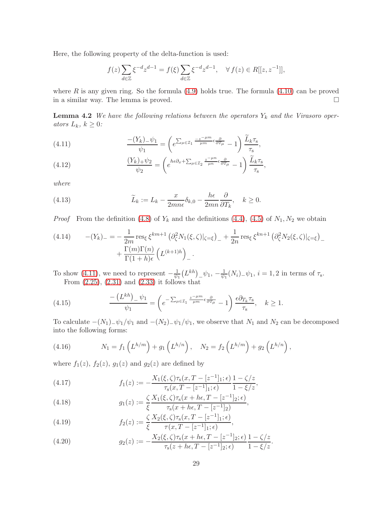Here, the following property of the delta-function is used:

$$
f(z) \sum_{d \in \mathbb{Z}} \xi^{-d} z^{d-1} = f(\xi) \sum_{d \in \mathbb{Z}} \xi^{-d} z^{d-1}, \quad \forall f(z) \in R[[z, z^{-1}]],
$$

<span id="page-28-7"></span>where R is any given ring. So the formula  $(4.9)$  holds true. The formula  $(4.10)$  can be proved in a similar way. The lemma is proved.

**Lemma 4.2** We have the following relations between the operators  $Y_k$  and the Virasoro operators  $L_k, k \geq 0$ :

<span id="page-28-0"></span>(4.11) 
$$
\frac{-(Y_k)_{-\psi_1}}{\psi_1} = \left(e^{\sum_{\mu \in \mathcal{I}_1} \frac{-z^{-\mu m}}{\mu m} \epsilon \frac{\partial}{\partial T_{\mu}}} - 1\right) \frac{\widetilde{L}_k \tau_s}{\tau_s},
$$

<span id="page-28-6"></span>(4.12) 
$$
\frac{(Y_k)_{+}\psi_2}{\psi_2} = \left(e^{h\epsilon\partial_x + \sum_{\mu \in \mathcal{I}_2} \frac{z^{-\mu n}}{\mu n} \epsilon \frac{\partial}{\partial T_{\mu}}} - 1\right) \frac{\widetilde{L}_k \tau_s}{\tau_s},
$$

where

(4.13) 
$$
\widetilde{L}_k := L_k - \frac{x}{2mn\epsilon} \delta_{k,0} - \frac{h\epsilon}{2mn} \frac{\partial}{\partial T_k}, \quad k \ge 0.
$$

*Proof* From the definition [\(4.8\)](#page-27-2) of  $Y_k$  and the definitions [\(4.4\)](#page-26-1), [\(4.5\)](#page-26-2) of  $N_1, N_2$  we obtain

<span id="page-28-4"></span>
$$
(4.14) \t - (Y_k)_{-} = -\frac{1}{2m} \operatorname{res}_{\xi} \xi^{km+1} \left( \partial_{\zeta}^2 N_1(\xi, \zeta)|_{\zeta = \xi} \right)_{-} + \frac{1}{2n} \operatorname{res}_{\xi} \xi^{kn+1} \left( \partial_{\zeta}^2 N_2(\xi, \zeta)|_{\zeta = \xi} \right)_{-} + \frac{\Gamma(m)\Gamma(n)}{\Gamma(1+h)\epsilon} \left( L^{(k+1)h} \right)_{-}.
$$

To show [\(4.11\)](#page-28-0), we need to represent  $-\frac{1}{\psi}$  $\frac{1}{\psi_1}\left(L^{kh}\right)$   $\psi_1, -\frac{1}{\psi_1}$  $\frac{1}{\psi_1}(N_i)$ <sub>-</sub> $\psi_1$ ,  $i = 1, 2$  in terms of  $\tau_s$ . From  $(2.25)$ ,  $(2.31)$  and  $(2.33)$  it follows that

<span id="page-28-5"></span>(4.15) 
$$
\frac{-\left(L^{kh}\right)_{-}\psi_{1}}{\psi_{1}} = \left(e^{-\sum_{\mu\in\mathcal{I}_{1}}\frac{z^{-\mu m}}{\mu m}\epsilon\frac{\partial}{\partial T_{\mu}}} - 1\right)\frac{\epsilon\partial_{T_{k}}\tau_{s}}{\tau_{s}}, \quad k \geq 1.
$$

To calculate  $-(N_1)_{-}\psi_1/\psi_1$  and  $-(N_2)_{-}\psi_1/\psi_1$ , we observe that  $N_1$  and  $N_2$  can be decomposed into the following forms:

<span id="page-28-1"></span>(4.16) 
$$
N_1 = f_1 \left( L^{h/m} \right) + g_1 \left( L^{h/n} \right), \quad N_2 = f_2 \left( L^{h/m} \right) + g_2 \left( L^{h/n} \right),
$$

where  $f_1(z)$ ,  $f_2(z)$ ,  $g_1(z)$  and  $g_2(z)$  are defined by

<span id="page-28-2"></span>(4.17) 
$$
f_1(z) := -\frac{X_1(\xi, \zeta)\tau_s(x, T - [z^{-1}]_1; \epsilon)}{\tau_s(x, T - [z^{-1}]_1; \epsilon)} \frac{1 - \zeta/z}{1 - \xi/z},
$$

(4.18) 
$$
g_1(z) := \frac{\zeta}{\xi} \frac{X_1(\xi, \zeta) \tau_s(x + h\epsilon, T - [z^{-1}]_2; \epsilon)}{\tau_s(x + h\epsilon, T - [z^{-1}]_2)},
$$

(4.19) 
$$
f_2(z) := \frac{\zeta}{\xi} \frac{X_2(\xi, \zeta) \tau_s(x, T - [z^{-1}]_1; \epsilon)}{\tau(x, T - [z^{-1}]_1; \epsilon)},
$$

<span id="page-28-3"></span>(4.20) 
$$
g_2(z) := -\frac{X_2(\xi, \zeta)\tau_s(x + h\epsilon, T - [z^{-1}]_2; \epsilon)}{\tau_s(z + h\epsilon, T - [z^{-1}]_2; \epsilon)} \frac{1 - \zeta/z}{1 - \xi/z}.
$$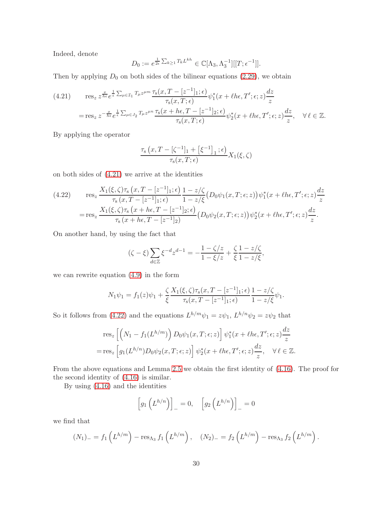Indeed, denote

$$
D_0 := e^{\frac{1}{2\epsilon} \sum_{k \ge 1} T_k L^{kh}} \in \mathbb{C}[\Lambda_3, \Lambda_3^{-1}][[T; \epsilon^{-1}]].
$$

Then by applying  $D_0$  on both sides of the bilinear equations [\(2.29\)](#page-8-2), we obtain

<span id="page-29-0"></span>
$$
(4.21) \quad \operatorname{res}_{z} z^{\frac{x}{he}} e^{\frac{1}{\epsilon} \sum_{\mu \in \mathcal{I}_{1}} T_{\mu} z^{\mu m}} \frac{\tau_{\mathbf{s}}(x, T - [z^{-1}]_{1}; \epsilon)}{\tau_{\mathbf{s}}(x, T; \epsilon)} \psi_{1}^{*}(x + \ell he, T'; \epsilon; z) \frac{dz}{z}
$$
\n
$$
= \operatorname{res}_{z} z^{-\frac{x}{he}} e^{\frac{1}{\epsilon} \sum_{\mu \in J_{2}} T_{\mu} z^{\mu n}} \frac{\tau_{\mathbf{s}}(x + he, T - [z^{-1}]_{2}; \epsilon)}{\tau_{\mathbf{s}}(x, T; \epsilon)} \psi_{2}^{*}(x + \ell he, T'; \epsilon; z) \frac{dz}{z}, \quad \forall \ell \in \mathbb{Z}.
$$

By applying the operator

$$
\frac{\tau_{\rm s}(x,T - [\zeta^{-1}]_1 + [\xi^{-1}]_1;\epsilon)}{\tau_{\rm s}(x,T;\epsilon)}X_1(\xi,\zeta)
$$

on both sides of [\(4.21\)](#page-29-0) we arrive at the identities

<span id="page-29-1"></span>(4.22) 
$$
\operatorname{res}_{z} \frac{X_{1}(\xi,\zeta)\tau_{s}(x,T-[z^{-1}]_{1};\epsilon)}{\tau_{s}(x,T-[z^{-1}]_{1};\epsilon)} \frac{1-z/\zeta}{1-z/\xi}(D_{0}\psi_{1}(x,T;\epsilon;z))\psi_{1}^{*}(x+\ell h\epsilon,T';\epsilon;z)\frac{dz}{z}
$$

$$
=\operatorname{res}_{z} \frac{X_{1}(\xi,\zeta)\tau_{s}(x+h\epsilon,T-[z^{-1}]_{2};\epsilon)}{\tau_{s}(x+h\epsilon,T-[z^{-1}]_{2})}(D_{0}\psi_{2}(x,T;\epsilon;z))\psi_{2}^{*}(x+\ell h\epsilon,T';\epsilon;z)\frac{dz}{z}.
$$

On another hand, by using the fact that

$$
(\zeta - \xi) \sum_{d \in \mathbb{Z}} \xi^{-d} z^{d-1} = -\frac{1 - \zeta/z}{1 - \xi/z} + \frac{\zeta}{\xi} \frac{1 - z/\zeta}{1 - z/\xi},
$$

we can rewrite equation [\(4.9\)](#page-27-0) in the form

$$
N_1\psi_1 = f_1(z)\psi_1 + \frac{\zeta}{\xi} \frac{X_1(\xi,\zeta)\tau_s(x,T - [z^{-1}]_1;\epsilon)}{\tau_s(x,T - [z^{-1}]_1;\epsilon)} \frac{1 - z/\zeta}{1 - z/\xi}\psi_1.
$$

So it follows from [\(4.22\)](#page-29-1) and the equations  $L^{h/m}\psi_1 = z\psi_1$ ,  $L^{h/n}\psi_2 = z\psi_2$  that

$$
\operatorname{res}_z \left[ \left( N_1 - f_1(L^{h/m}) \right) D_0 \psi_1(x, T; \epsilon; z) \right] \psi_1^*(x + \ell h \epsilon, T'; \epsilon; z) \frac{dz}{z}
$$
  
= 
$$
\operatorname{res}_z \left[ g_1(L^{h/n}) D_0 \psi_2(x, T; \epsilon; z) \right] \psi_2^*(x + \ell h \epsilon, T'; \epsilon; z) \frac{dz}{z}, \quad \forall \ell \in \mathbb{Z}.
$$

From the above equations and Lemma [2.5](#page-8-1) we obtain the first identity of [\(4.16\)](#page-28-1). The proof for the second identity of [\(4.16\)](#page-28-1) is similar.

By using [\(4.16\)](#page-28-1) and the identities

$$
\[g_1\left(L^{h/n}\right)\]_-=0,\quad \left[g_2\left(L^{h/n}\right)\right]_-=0
$$

we find that

$$
(N_1)_{-} = f_1 \left( L^{h/m} \right) - \text{res}_{\Lambda_3} f_1 \left( L^{h/m} \right), \quad (N_2)_{-} = f_2 \left( L^{h/m} \right) - \text{res}_{\Lambda_3} f_2 \left( L^{h/m} \right).
$$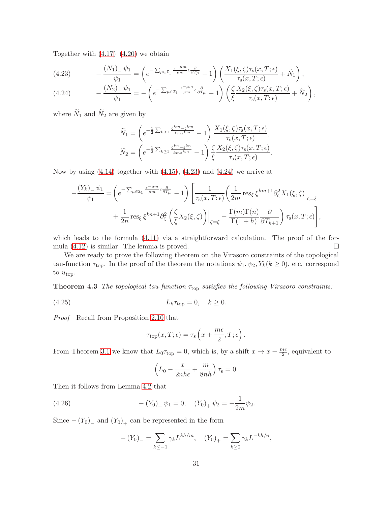Together with  $(4.17)$ – $(4.20)$  we obtain

<span id="page-30-0"></span>(4.23) 
$$
-\frac{(N_1)_{-}\psi_1}{\psi_1} = \left(e^{-\sum_{\mu\in\mathcal{I}_1}\frac{z^{-\mu m}}{\mu m}\epsilon\frac{\partial}{\partial T_{\mu}}} - 1\right)\left(\frac{X_1(\xi,\zeta)\tau_s(x,T;\epsilon)}{\tau_s(x,T;\epsilon)} + \widetilde{N}_1\right),
$$

<span id="page-30-1"></span>(4.24) 
$$
-\frac{(N_2)_{-}\psi_1}{\psi_1} = -\left(e^{-\sum_{\mu\in\mathcal{I}_1}\frac{z-\mu m}{\mu m}\epsilon\frac{\partial}{\partial T_{\mu}}} - 1\right)\left(\frac{\zeta}{\xi}\frac{X_2(\xi,\zeta)\tau_s(x,T;\epsilon)}{\tau_s(x,T;\epsilon)} + \widetilde{N}_2\right),
$$

where  $\widetilde{N}_1$  and  $\widetilde{N}_2$  are given by

$$
\widetilde{N}_1 = \left( e^{-\frac{1}{2} \sum_{k\geq 1} \frac{\zeta^{km} - \xi^{km}}{kmz^{km}}} - 1 \right) \frac{X_1(\xi, \zeta) \tau_s(x, T; \epsilon)}{\tau_s(x, T; \epsilon)},
$$
\n
$$
\widetilde{N}_2 = \left( e^{-\frac{1}{2} \sum_{k\geq 1} \frac{\zeta^{kn} - \xi^{kn}}{kmz^{km}}} - 1 \right) \frac{\zeta}{\xi} \frac{X_2(\xi, \zeta) \tau_s(x, T; \epsilon)}{\tau_s(x, T; \epsilon)}.
$$

Now by using  $(4.14)$  together with  $(4.15)$ ,  $(4.23)$  and  $(4.24)$  we arrive at

$$
-\frac{(Y_k)_- \psi_1}{\psi_1} = \left(e^{-\sum_{\mu \in \mathcal{I}_1} \frac{z^{-\mu m}}{\mu m} \epsilon \frac{\partial}{\partial T_{\mu}}} - 1\right) \left[\frac{1}{\tau_s(x, T; \epsilon)} \left(\frac{1}{2m} \operatorname{res}_{\xi} \xi^{km+1} \partial_{\zeta}^2 X_1(\xi, \zeta)\right) \right]_{\zeta = \xi} + \frac{1}{2n} \operatorname{res}_{\xi} \xi^{kn+1} \partial_{\zeta}^2 \left(\frac{\zeta}{\xi} X_2(\xi, \zeta)\right) \Big|_{\zeta = \xi} - \frac{\Gamma(m) \Gamma(n)}{\Gamma(1 + h)} \frac{\partial}{\partial T_{k+1}} \right) \tau_s(x, T; \epsilon) \Bigg],
$$

which leads to the formula [\(4.11\)](#page-28-0) via a straightforward calculation. The proof of the formula  $(4.12)$  is similar. The lemma is proved.

We are ready to prove the following theorem on the Virasoro constraints of the topological tau-function  $\tau_{\text{top}}$ . In the proof of the theorem the notations  $\psi_1, \psi_2, Y_k(k \ge 0)$ , etc. correspond to  $u_{\text{top}}$ .

<span id="page-30-3"></span>**Theorem 4.3** The topological tau-function  $\tau_{top}$  satisfies the following Virasoro constraints:

$$
(4.25) \t\t\t L_k \tau_{\text{top}} = 0, \quad k \ge 0.
$$

Proof Recall from Proposition [2.10](#page-12-1) that

$$
\tau_{\text{top}}(x,T;\epsilon) = \tau_{\text{s}}\left(x + \frac{m\epsilon}{2},T;\epsilon\right).
$$

From Theorem [3.1](#page-14-3) we know that  $L_0 \tau_{\text{top}} = 0$ , which is, by a shift  $x \mapsto x - \frac{m\epsilon}{2}$  $\frac{n\epsilon}{2}$ , equivalent to

$$
\left(L_0 - \frac{x}{2nh\epsilon} + \frac{m}{8nh}\right)\tau_s = 0.
$$

Then it follows from Lemma [4.2](#page-28-7) that

(4.26) 
$$
-(Y_0)_{-}\psi_1 = 0, \quad (Y_0)_{+}\psi_2 = -\frac{1}{2m}\psi_2.
$$

Since  $-(Y_0)$ <sub>-</sub> and  $(Y_0)$ <sub>+</sub> can be represented in the form

<span id="page-30-2"></span>
$$
-(Y_0)_- = \sum_{k \le -1} \gamma_k L^{kh/m}, \quad (Y_0)_+ = \sum_{k \ge 0} \gamma_k L^{-kh/n},
$$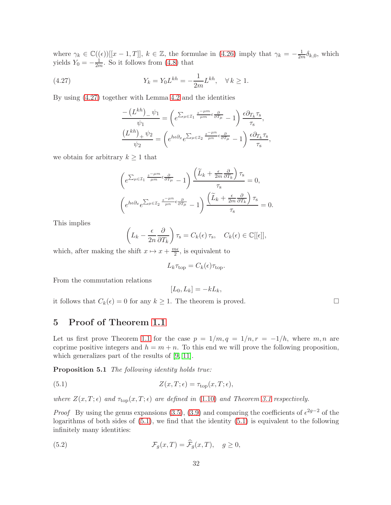where  $\gamma_k \in \mathbb{C}((\epsilon))[[x-1,T]], k \in \mathbb{Z}$ , the formulae in [\(4.26\)](#page-30-2) imply that  $\gamma_k = -\frac{1}{2m}\delta_{k,0}$ , which yields  $Y_0 = -\frac{1}{2n}$  $\frac{1}{2m}$ . So it follows from [\(4.8\)](#page-27-2) that

(4.27) 
$$
Y_k = Y_0 L^{kh} = -\frac{1}{2m} L^{kh}, \quad \forall k \ge 1.
$$

By using [\(4.27\)](#page-31-1) together with Lemma [4.2](#page-28-7) and the identities

<span id="page-31-1"></span>
$$
\frac{-\left(L^{kh}\right)_{-}\psi_{1}}{\psi_{1}} = \left(e^{\sum_{\mu\in\mathcal{I}_{1}}\frac{z-\mu m}{\mu m}\epsilon\frac{\partial}{\partial T_{\mu}}}-1\right)\frac{\epsilon\partial_{T_{k}}\tau_{s}}{\tau_{s}},
$$

$$
\frac{\left(L^{kh}\right)_{+}\psi_{2}}{\psi_{2}} = \left(e^{he\partial_{x}}e^{\sum_{\mu\in\mathcal{I}_{2}}\frac{z-\mu n}{\mu n}\epsilon\frac{\partial}{\partial T_{\mu}}}-1\right)\frac{\epsilon\partial_{T_{k}}\tau_{s}}{\tau_{s}},
$$

we obtain for arbitrary  $k \geq 1$  that

$$
\left(e^{\sum_{\mu\in\mathcal{I}_1}\frac{z^{-\mu m}}{\mu m}\epsilon\frac{\partial}{\partial T_{\mu}}}-1\right)\frac{\left(\widetilde{L}_k+\frac{\epsilon}{2m}\frac{\partial}{\partial T_k}\right)\tau_s}{\tau_s}=0,
$$
\n
$$
\left(e^{h\epsilon\partial_x}e^{\sum_{\mu\in\mathcal{I}_2}\frac{z^{-\mu n}}{\mu n}\epsilon\frac{\partial}{\partial T_{\mu}}}-1\right)\frac{\left(\widetilde{L}_k+\frac{\epsilon}{2m}\frac{\partial}{\partial T_k}\right)\tau_s}{\tau_s}=0.
$$

This implies

$$
\left(L_k - \frac{\epsilon}{2n} \frac{\partial}{\partial T_k}\right) \tau_s = C_k(\epsilon) \tau_s, \quad C_k(\epsilon) \in \mathbb{C}[[\epsilon]],
$$

which, after making the shift  $x \mapsto x + \frac{m\epsilon}{2}$  $\frac{ne}{2}$ , is equivalent to

$$
L_k \tau_{\text{top}} = C_k(\epsilon) \tau_{\text{top}}.
$$

From the commutation relations

<span id="page-31-4"></span><span id="page-31-2"></span>
$$
[L_0, L_k] = -kL_k,
$$

it follows that  $C_k(\epsilon) = 0$  for any  $k \ge 1$ . The theorem is proved.

## <span id="page-31-0"></span>5 Proof of Theorem [1.1](#page-1-0)

Let us first prove Theorem [1.1](#page-1-0) for the case  $p = 1/m, q = 1/n, r = -1/h$ , where m, n are coprime positive integers and  $h = m + n$ . To this end we will prove the following proposition, which generalizes part of the results of [\[9,](#page-40-6) [11\]](#page-41-12).

Proposition 5.1 The following identity holds true:

(5.1) 
$$
Z(x,T;\epsilon) = \tau_{\text{top}}(x,T;\epsilon),
$$

where  $Z(x,T;\epsilon)$  and  $\tau_{top}(x,T;\epsilon)$  are defined in [\(1.10\)](#page-2-3) and Theorem [3.1](#page-14-3) respectively.

*Proof* By using the genus expansions [\(3.5\)](#page-14-5), [\(3.9\)](#page-14-6) and comparing the coefficients of  $\epsilon^{2g-2}$  of the logarithms of both sides of [\(5.1\)](#page-31-2), we find that the identity [\(5.1\)](#page-31-2) is equivalent to the following infinitely many identities:

<span id="page-31-3"></span>(5.2) 
$$
\mathcal{F}_g(x,T) = \hat{\mathcal{F}}_g(x,T), \quad g \ge 0,
$$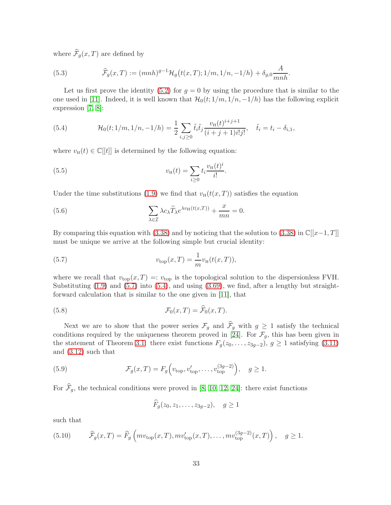where  $\widehat{\mathcal{F}}_q(x,T)$  are defined by

<span id="page-32-5"></span>(5.3) 
$$
\widehat{\mathcal{F}}_g(x,T) := (mnh)^{g-1} \mathcal{H}_g(t(x,T);1/m,1/n,-1/h) + \delta_{g,0} \frac{A}{mnh}.
$$

Let us first prove the identity [\(5.2\)](#page-31-3) for  $g = 0$  by using the procedure that is similar to the one used in [\[11\]](#page-41-12). Indeed, it is well known that  $\mathcal{H}_0(t; 1/m, 1/n, -1/h)$  has the following explicit expression [\[7,](#page-40-4) [8\]](#page-40-0):

<span id="page-32-1"></span>(5.4) 
$$
\mathcal{H}_0(t; 1/m, 1/n, -1/h) = \frac{1}{2} \sum_{i,j \geq 0} \tilde{t}_i \tilde{t}_j \frac{v_{\text{H}}(t)^{i+j+1}}{(i+j+1)i!j!}, \quad \tilde{t}_i = t_i - \delta_{i,1},
$$

where  $v_{\text{H}}(t) \in \mathbb{C}[[t]]$  is determined by the following equation:

<span id="page-32-2"></span>(5.5) 
$$
v_{\rm H}(t) = \sum_{i \geq 0} t_i \frac{v_{\rm H}(t)^i}{i!}.
$$

Under the time substitutions [\(1.9\)](#page-2-1) we find that  $v_H(t(x,T))$  satisfies the equation

(5.6) 
$$
\sum_{\lambda \in \mathcal{I}} \lambda c_{\lambda} \widetilde{T}_{\lambda} e^{\lambda v_{\text{H}}(t(x,T))} + \frac{x}{mn} = 0.
$$

By comparing this equation with [\(3.38\)](#page-19-0) and by noticing that the solution to (3.38) in  $\mathbb{C}[[x-1,T]]$ must be unique we arrive at the following simple but crucial identity:

<span id="page-32-0"></span>(5.7) 
$$
v_{\text{top}}(x,T) = \frac{1}{m} v_{\text{H}}(t(x,T)),
$$

where we recall that  $v_{top}(x,T) =: v_{top}$  is the topological solution to the dispersionless FVH. Substituting  $(1.9)$  and  $(5.7)$  into  $(5.4)$ , and using  $(3.69)$ , we find, after a lengthy but straightforward calculation that is similar to the one given in [\[11\]](#page-41-12), that

(5.8) 
$$
\mathcal{F}_0(x,T) = \widehat{\mathcal{F}}_0(x,T).
$$

Next we are to show that the power series  $\mathcal{F}_g$  and  $\widehat{\mathcal{F}}_g$  with  $g \geq 1$  satisfy the technical conditions required by the uniqueness theorem proved in [\[24\]](#page-41-7). For  $\mathcal{F}_g$ , this has been given in the statement of Theorem [3.1:](#page-14-3) there exist functions  $F_g(z_0, \ldots, z_{3g-2}), g \ge 1$  satisfying [\(3.11\)](#page-14-7) and [\(3.12\)](#page-14-8) such that

(5.9) 
$$
\mathcal{F}_g(x,T) = F_g\left(v_{\text{top}}, v'_{\text{top}}, \dots, v^{(3g-2)}_{\text{top}}\right), \quad g \ge 1.
$$

For  $\widehat{\mathcal{F}}_g$ , the technical conditions were proved in [\[8,](#page-40-0) [10,](#page-41-13) [12,](#page-41-8) [24\]](#page-41-7): there exist functions

<span id="page-32-4"></span>
$$
\widehat{F}_g(z_0, z_1, \ldots, z_{3g-2}), \quad g \ge 1
$$

such that

<span id="page-32-3"></span>(5.10) 
$$
\widehat{\mathcal{F}}_g(x,T) = \widehat{F}_g\left(mv_{\text{top}}(x,T), mv'_{\text{top}}(x,T), \dots, mv^{(3g-2)}_{\text{top}}(x,T)\right), \quad g \ge 1.
$$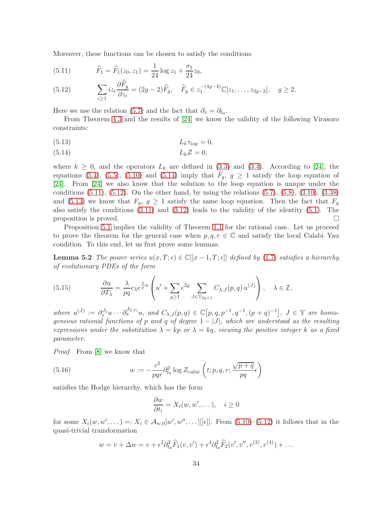Moreover, these functions can be chosen to satisfy the conditions

<span id="page-33-1"></span>(5.11) 
$$
\widehat{F}_1 = \widehat{F}_1(z_0, z_1) = \frac{1}{24} \log z_1 + \frac{\sigma_1}{24} z_0,
$$

<span id="page-33-2"></span>(5.12) 
$$
\sum_{i\geq 1} iz_i \frac{\partial F_g}{\partial z_i} = (2g-2)\widehat{F}_g, \quad \widehat{F}_g \in z_1^{-(4g-4)} \mathbb{C}[z_1, \dots, z_{3g-2}], \quad g \geq 2.
$$

Here we use the relation [\(5.7\)](#page-32-0) and the fact that  $\partial_x = \partial_{t_0}$ .

From Theorem [4.3](#page-30-3) and the results of [\[24\]](#page-41-7) we know the validity of the following Virasoro constraints:

<span id="page-33-3"></span>
$$
(5.13) \t\t\t L_k \tau_{\text{top}} = 0,
$$

<span id="page-33-0"></span>
$$
(5.14) \t\t\t L_kZ = 0,
$$

where  $k \geq 0$ , and the operators  $L_k$  are defined in [\(3.3\)](#page-13-3) and [\(3.4\)](#page-13-6). According to [\[24\]](#page-41-7), the equations [\(5.4\)](#page-32-1), [\(5.5\)](#page-32-2), [\(5.10\)](#page-32-3) and [\(5.14\)](#page-33-0) imply that  $\overline{F}_q$ ,  $g \ge 1$  satisfy the loop equation of [\[24\]](#page-41-7). From [\[24\]](#page-41-7) we also know that the solution to the loop equation is unique under the conditions  $(5.11)$ ,  $(5.12)$ . On the other hand, by using the relations  $(5.7)$ ,  $(5.8)$ ,  $(3.10)$ ,  $(3.38)$ and [\(5.13\)](#page-33-3) we know that  $F_g$ ,  $g \geq 1$  satisfy the same loop equation. Then the fact that  $F_g$ also satisfy the conditions [\(3.11\)](#page-14-7) and [\(3.12\)](#page-14-8) leads to the validity of the identity [\(5.1\)](#page-31-2). The proposition is proved.

Proposition [5.1](#page-31-4) implies the validity of Theorem [1.1](#page-1-0) for the rational case. Let us proceed to prove the theorem for the general case when  $p, q, r \in \mathbb{C}$  and satisfy the local Calabi–Yau condition. To this end, let us first prove some lemmas.

<span id="page-33-6"></span>**Lemma 5.2** The power series  $u(x, T; \epsilon) \in \mathbb{C}[[x-1, T; \epsilon]]$  defined by [\(1.7\)](#page-2-6) satisfies a hierarchy of evolutionary PDEs of the form

<span id="page-33-5"></span>(5.15) 
$$
\frac{\partial u}{\partial T_{\lambda}} = \frac{\lambda}{pq} c_{\lambda} e^{\frac{\lambda}{p} u} \left( u' + \sum_{g \ge 1} \epsilon^{2g} \sum_{J \in \mathbb{Y}_{2g+1}} C_{\lambda, J}(p, q) u^{(J)} \right), \quad \lambda \in \mathcal{I},
$$

where  $u^{(J)} := \partial_x^{J_1} u \cdots \partial_x^{J_l(J)} u$ , and  $C_{\lambda,J}(p,q) \in \mathbb{C}[p,q,p^{-1},q^{-1},(p+q)^{-1}], J \in \mathbb{Y}$  are homogeneous rational functions of p and q of degree  $1 - |J|$ , which are understood as the resulting expressions under the substitution  $\lambda = kp$  or  $\lambda = kq$ , viewing the positive integer k as a fixed parameter.

Proof From [\[8\]](#page-40-0) we know that

(5.16) 
$$
w := -\frac{\epsilon^2}{pqr} \partial_{t_0}^2 \log Z_{\text{cubic}} \left( t; p, q, r; \frac{\sqrt{p+q}}{pq} \epsilon \right)
$$

satisfies the Hodge hierarchy, which has the form

<span id="page-33-4"></span>
$$
\frac{\partial w}{\partial t_i} = X_i(w, w', \dots), \quad i \ge 0
$$

for some  $X_i(w, w', \dots) =: X_i \in \mathcal{A}_{w,0}[w', w'', \dots] [[\epsilon]].$  From  $(5.10)$ – $(5.12)$  it follows that in the quasi-trivial transformation

$$
w = v + \Delta w = v + \epsilon^2 \partial_{t_0}^2 \widehat{F}_1(v, v') + \epsilon^4 \partial_{t_0}^2 \widehat{F}_2(v', v'', v^{(3)}, v^{(4)}) + \dots
$$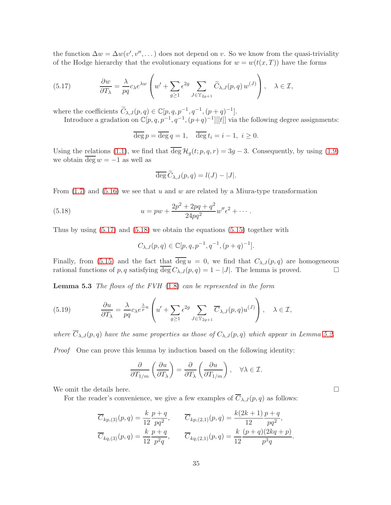the function  $\Delta w = \Delta w(v', v'', \dots)$  does not depend on v. So we know from the quasi-triviality of the Hodge hierarchy that the evolutionary equations for  $w = w(t(x,T))$  have the forms

<span id="page-34-0"></span>(5.17) 
$$
\frac{\partial w}{\partial T_{\lambda}} = \frac{\lambda}{pq} c_{\lambda} e^{\lambda w} \left( w' + \sum_{g \ge 1} \epsilon^{2g} \sum_{J \in \mathbb{Y}_{2g+1}} \widetilde{C}_{\lambda, J}(p, q) w^{(J)} \right), \quad \lambda \in \mathcal{I},
$$

where the coefficients  $\widetilde{C}_{\lambda,J}(p,q) \in \mathbb{C}[p,q,p^{-1},q^{-1},(p+q)^{-1}].$ 

Introduce a gradation on  $\mathbb{C}[p,q,p^{-1},q^{-1},(p+q)^{-1}][[t]]$  via the following degree assignments:

$$
\overline{\deg} p = \overline{\deg} q = 1, \quad \overline{\deg} t_i = i - 1, \ i \ge 0.
$$

Using the relations [\(1.1\)](#page-1-4), we find that  $\overline{\deg} \mathcal{H}_g(t; p, q, r) = 3g - 3$ . Consequently, by using [\(1.9\)](#page-2-1) we obtain  $\overline{\deg w} = -1$  as well as

$$
\overline{\deg}\,\widetilde{C}_{\lambda,J}(p,q) = l(J) - |J|.
$$

From  $(1.7)$  and  $(5.16)$  we see that u and w are related by a Miura-type transformation

(5.18) 
$$
u = pw + \frac{2p^2 + 2pq + q^2}{24pq^2} w'' \epsilon^2 + \cdots
$$

Thus by using  $(5.17)$  and  $(5.18)$  we obtain the equations  $(5.15)$  together with

<span id="page-34-1"></span>
$$
C_{\lambda,J}(p,q) \in \mathbb{C}[p,q,p^{-1},q^{-1},(p+q)^{-1}].
$$

<span id="page-34-2"></span>Finally, from [\(5.15\)](#page-33-5) and the fact that deg  $u = 0$ , we find that  $C_{\lambda,J}(p,q)$  are homogeneous rational functions of p, q satisfying  $\overline{\deg} C_{\lambda,J}(p,q) = 1 - |J|$ . The lemma is proved.

**Lemma 5.3** The flows of the FVH  $(1.8)$  can be represented in the form

(5.19) 
$$
\frac{\partial u}{\partial T_{\lambda}} = \frac{\lambda}{pq} c_{\lambda} e^{\frac{\lambda}{p} u} \left( u' + \sum_{g \ge 1} \epsilon^{2g} \sum_{J \in \mathbb{Y}_{2g+1}} \overline{C}_{\lambda, J}(p, q) u^{(J)} \right), \quad \lambda \in \mathcal{I},
$$

where  $\overline{C}_{\lambda,J}(p,q)$  have the same properties as those of  $C_{\lambda,J}(p,q)$  which appear in Lemma [5.2.](#page-33-6)

Proof One can prove this lemma by induction based on the following identity:

$$
\frac{\partial}{\partial T_{1/m}}\left(\frac{\partial u}{\partial T_{\lambda}}\right) = \frac{\partial}{\partial T_{\lambda}}\left(\frac{\partial u}{\partial T_{1/m}}\right), \quad \forall \lambda \in \mathcal{I}.
$$

We omit the details here.  $\Box$ 

For the reader's convenience, we give a few examples of  $\overline{C}_{\lambda,J}(p,q)$  as follows:

$$
\overline{C}_{kp,(3)}(p,q) = \frac{k}{12} \frac{p+q}{pq^2}, \qquad \overline{C}_{kp,(2,1)}(p,q) = \frac{k(2k+1)}{12} \frac{p+q}{pq^2}, \n\overline{C}_{kq,(3)}(p,q) = \frac{k}{12} \frac{p+q}{p^2q}, \qquad \overline{C}_{kq,(2,1)}(p,q) = \frac{k}{12} \frac{(p+q)(2kq+p)}{p^3q}.
$$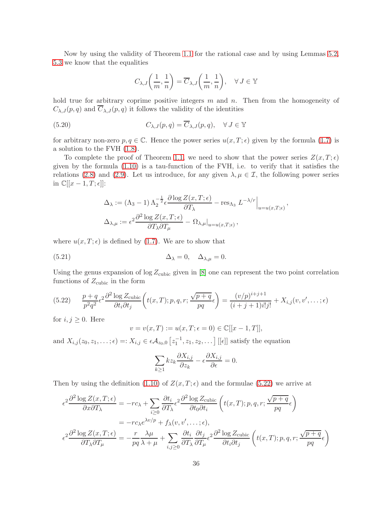Now by using the validity of Theorem [1.1](#page-1-0) for the rational case and by using Lemmas [5.2,](#page-33-6) [5.3](#page-34-2) we know that the equalities

$$
C_{\lambda,J}\left(\frac{1}{m},\frac{1}{n}\right) = \overline{C}_{\lambda,J}\left(\frac{1}{m},\frac{1}{n}\right), \quad \forall J \in \mathbb{Y}
$$

hold true for arbitrary coprime positive integers  $m$  and  $n$ . Then from the homogeneity of  $C_{\lambda,J}(p,q)$  and  $\overline{C}_{\lambda,J}(p,q)$  it follows the validity of the identities

(5.20) 
$$
C_{\lambda,J}(p,q) = \overline{C}_{\lambda,J}(p,q), \quad \forall J \in \mathbb{Y}
$$

for arbitrary non-zero  $p, q \in \mathbb{C}$ . Hence the power series  $u(x, T; \epsilon)$  given by the formula [\(1.7\)](#page-2-6) is a solution to the FVH [\(1.8\)](#page-2-2).

To complete the proof of Theorem [1.1,](#page-1-0) we need to show that the power series  $Z(x,T;\epsilon)$ given by the formula [\(1.10\)](#page-2-3) is a tau-function of the FVH, i.e. to verify that it satisfies the relations [\(2.8\)](#page-6-8) and [\(2.9\)](#page-6-0). Let us introduce, for any given  $\lambda, \mu \in \mathcal{I}$ , the following power series in  $\mathbb{C}[[x-1,T;\epsilon]]$ :

$$
\Delta_{\lambda} := (\Lambda_3 - 1) \Lambda_2^{-\frac{1}{2}} \epsilon \frac{\partial \log Z(x, T; \epsilon)}{\partial T_{\lambda}} - \operatorname{res}_{\Lambda_3} L^{-\lambda/r} \Big|_{u = u(x, T; \epsilon)},
$$
  

$$
\Delta_{\lambda, \mu} := \epsilon^2 \frac{\partial^2 \log Z(x, T; \epsilon)}{\partial T_{\lambda} \partial T_{\mu}} - \Omega_{\lambda, \mu} \Big|_{u = u(x, T; \epsilon)},
$$

where  $u(x, T; \epsilon)$  is defined by [\(1.7\)](#page-2-6). We are to show that

(5.21) 
$$
\Delta_{\lambda} = 0, \quad \Delta_{\lambda,\mu} = 0.
$$

Using the genus expansion of  $\log Z_{\text{cubic}}$  given in [\[8\]](#page-40-0) one can represent the two point correlation functions of  $Z_{\text{cubic}}$  in the form

<span id="page-35-0"></span>(5.22) 
$$
\frac{p+q}{p^2q^2} \epsilon^2 \frac{\partial^2 \log Z_{\text{cubic}}}{\partial t_i \partial t_j} \left( t(x,T); p,q,r; \frac{\sqrt{p+q}}{pq} \epsilon \right) = \frac{(v/p)^{i+j+1}}{(i+j+1)i!j!} + X_{i,j}(v,v',\dots;\epsilon)
$$

for  $i, j \geq 0$ . Here

<span id="page-35-1"></span>
$$
v = v(x, T) := u(x, T; \epsilon = 0) \in \mathbb{C}[[x - 1, T]],
$$

and  $X_{i,j}(z_0, z_1, \ldots; \epsilon) =: X_{i,j} \in \epsilon \mathcal{A}_{z_0,0}[z_1^{-1}, z_1, z_2, \ldots]$  [[ $\epsilon$ ]] satisfy the equation

$$
\sum_{k\geq 1} k z_k \frac{\partial X_{i,j}}{\partial z_k} - \epsilon \frac{\partial X_{i,j}}{\partial \epsilon} = 0.
$$

Then by using the definition [\(1.10\)](#page-2-3) of  $Z(x,T;\epsilon)$  and the formulae [\(5.22\)](#page-35-0) we arrive at

$$
\epsilon^2 \frac{\partial^2 \log Z(x, T; \epsilon)}{\partial x \partial T_{\lambda}} = -rc_{\lambda} + \sum_{i \ge 0} \frac{\partial t_i}{\partial T_{\lambda}} \epsilon^2 \frac{\partial^2 \log Z_{\text{cubic}}}{\partial t_0 \partial t_i} \left( t(x, T); p, q, r; \frac{\sqrt{p+q}}{pq} \epsilon \right)
$$
  

$$
= -rc_{\lambda} e^{\lambda v/p} + f_{\lambda}(v, v', \dots; \epsilon),
$$
  

$$
\epsilon^2 \frac{\partial^2 \log Z(x, T; \epsilon)}{\partial T_{\lambda} \partial T_{\mu}} = -\frac{r}{pq} \frac{\lambda \mu}{\lambda + \mu} + \sum_{i, j \ge 0} \frac{\partial t_i}{\partial T_{\lambda}} \frac{\partial t_j}{\partial T_{\mu}} \epsilon^2 \frac{\partial^2 \log Z_{\text{cubic}}}{\partial t_i \partial t_j} \left( t(x, T); p, q, r; \frac{\sqrt{p+q}}{pq} \epsilon \right)
$$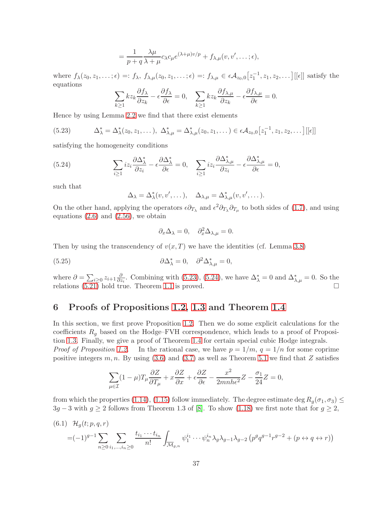$$
= \frac{1}{p+q} \frac{\lambda \mu}{\lambda + \mu} c_{\lambda} c_{\mu} e^{(\lambda + \mu)v/p} + f_{\lambda, \mu}(v, v', \dots; \epsilon),
$$

where  $f_{\lambda}(z_0, z_1, \ldots; \epsilon) =: f_{\lambda}, f_{\lambda, \mu}(z_0, z_1, \ldots; \epsilon) =: f_{\lambda, \mu} \in \epsilon \mathcal{A}_{z_0, 0}[z_1^{-1}, z_1, z_2, \ldots] [[\epsilon]]$  satisfy the equations

$$
\sum_{k\geq 1} kz_k \frac{\partial f_\lambda}{\partial z_k} - \epsilon \frac{\partial f_\lambda}{\partial \epsilon} = 0, \quad \sum_{k\geq 1} kz_k \frac{\partial f_{\lambda,\mu}}{\partial z_k} - \epsilon \frac{\partial f_{\lambda,\mu}}{\partial \epsilon} = 0.
$$

Hence by using Lemma [2.2](#page-6-5) we find that there exist elements

<span id="page-36-1"></span>
$$
(5.23) \qquad \Delta_{\lambda}^* = \Delta_{\lambda}^*(z_0, z_1, \dots), \ \Delta_{\lambda,\mu}^* = \Delta_{\lambda,\mu}^*(z_0, z_1, \dots) \in \epsilon \mathcal{A}_{z_0,0}[z_1^{-1}, z_1, z_2, \dots] [[\epsilon]]
$$

satisfying the homogeneity conditions

(5.24) 
$$
\sum_{i\geq 1} iz_i \frac{\partial \Delta^*_{\lambda}}{\partial z_i} - \epsilon \frac{\partial \Delta^*_{\lambda}}{\partial \epsilon} = 0, \quad \sum_{i\geq 1} iz_i \frac{\partial \Delta^*_{\lambda,\mu}}{\partial z_i} - \epsilon \frac{\partial \Delta^*_{\lambda,\mu}}{\partial \epsilon} = 0,
$$

such that

<span id="page-36-2"></span>
$$
\Delta_{\lambda} = \Delta_{\lambda}^{*}(v, v', \dots), \quad \Delta_{\lambda, \mu} = \Delta_{\lambda, \mu}^{*}(v, v', \dots).
$$

On the other hand, applying the operators  $\epsilon \partial_{T_\lambda}$  and  $\epsilon^2 \partial_{T_\lambda} \partial_{T_\mu}$  to both sides of [\(1.7\)](#page-2-6), and using equations  $(2.6)$  and  $(2.56)$ , we obtain

$$
\partial_x \Delta_\lambda = 0, \quad \partial_x^2 \Delta_{\lambda,\mu} = 0.
$$

Then by using the transcendency of  $v(x, T)$  we have the identities (cf. Lemma [3.8\)](#page-20-5)

(5.25) 
$$
\partial \Delta_{\lambda}^* = 0, \quad \partial^2 \Delta_{\lambda,\mu}^* = 0,
$$

where  $\partial = \sum_{i \geq 0} z_{i+1} \frac{\partial}{\partial z}$  $\frac{\partial}{\partial z_i}$ . Combining with [\(5.23\)](#page-36-1), [\(5.24\)](#page-36-2), we have  $\Delta^*_{\lambda} = 0$  and  $\Delta^*_{\lambda,\mu} = 0$ . So the relations  $(5.21)$  hold true. Theorem [1.1](#page-1-0) is proved.

### <span id="page-36-0"></span>6 Proofs of Propositions [1.2,](#page-2-0) [1.3](#page-4-1) and Theorem [1.4](#page-4-2)

In this section, we first prove Proposition [1.2.](#page-2-0) Then we do some explicit calculations for the coefficients  $R_q$  based on the Hodge–FVH correspondence, which leads to a proof of Proposition [1.3.](#page-4-1) Finally, we give a proof of Theorem [1.4](#page-4-2) for certain special cubic Hodge integrals. *Proof of Proposition [1.2.](#page-2-0)* In the rational case, we have  $p = 1/m$ ,  $q = 1/n$  for some coprime positive integers m, n. By using  $(3.6)$  and  $(3.7)$  as well as Theorem [5.1](#page-31-4) we find that Z satisfies

$$
\sum_{\mu \in \mathcal{I}} (1 - \mu) T_{\mu} \frac{\partial Z}{\partial T_{\mu}} + x \frac{\partial Z}{\partial x} + \epsilon \frac{\partial Z}{\partial \epsilon} - \frac{x^2}{2mnh\epsilon^2} Z - \frac{\sigma_1}{24} Z = 0,
$$

from which the properties [\(1.14\)](#page-3-4), [\(1.15\)](#page-3-0) follow immediately. The degree estimate deg  $R_q(\sigma_1, \sigma_3) \leq$  $3g - 3$  with  $g \ge 2$  follows from Theorem 1.3 of [\[8\]](#page-40-0). To show [\(1.18\)](#page-3-5) we first note that for  $g \ge 2$ ,

$$
(6.1) \mathcal{H}_g(t; p, q, r) = (-1)^{g-1} \sum_{n \ge 0} \sum_{i_1, \dots, i_n \ge 0} \frac{t_{i_1} \cdots t_{i_n}}{n!} \int_{\overline{\mathcal{M}}_{g,n}} \psi_1^{i_1} \cdots \psi_n^{i_n} \lambda_g \lambda_{g-1} \lambda_{g-2} \left( p^g q^{g-1} r^{g-2} + (p \leftrightarrow q \leftrightarrow r) \right)
$$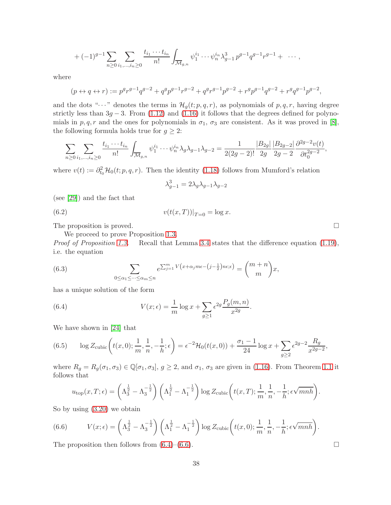$$
+ (-1)^{g-1} \sum_{n \geq 0} \sum_{i_1, \dots, i_n \geq 0} \frac{t_{i_1} \cdots t_{i_n}}{n!} \int_{\overline{\mathcal{M}}_{g,n}} \psi_1^{i_1} \cdots \psi_n^{i_n} \lambda_{g-1}^3 p^{g-1} q^{g-1} r^{g-1} + \cdots,
$$

where

$$
(p \leftrightarrow q \leftrightarrow r) := p^g r^{g-1} q^{g-2} + q^g p^{g-1} r^{g-2} + q^g r^{g-1} p^{g-2} + r^g p^{g-1} q^{g-2} + r^g q^{g-1} p^{g-2},
$$

and the dots " $\cdots$ " denotes the terms in  $\mathcal{H}_q(t; p, q, r)$ , as polynomials of p, q, r, having degree strictly less than  $3g - 3$ . From [\(1.12\)](#page-2-7) and [\(1.16\)](#page-3-1) it follows that the degrees defined for polynomials in  $p, q, r$  and the ones for polynomials in  $\sigma_1$ ,  $\sigma_3$  are consistent. As it was proved in [\[8\]](#page-40-0), the following formula holds true for  $g \geq 2$ :

$$
\sum_{n\geq 0} \sum_{i_1,\dots,i_n\geq 0} \frac{t_{i_1}\cdots t_{i_n}}{n!} \int_{\overline{\mathcal{M}}_{g,n}} \psi_1^{i_1}\cdots \psi_n^{i_n} \lambda_g \lambda_{g-1} \lambda_{g-2} = \frac{1}{2(2g-2)!} \frac{|B_{2g}|}{2g} \frac{|B_{2g-2}|}{2g-2} \frac{\partial^{2g-2}v(t)}{\partial t_0^{2g-2}},
$$

where  $v(t) := \partial_{t_0}^2 \mathcal{H}_0(t; p, q, r)$ . Then the identity [\(1.18\)](#page-3-5) follows from Mumford's relation

$$
\lambda_{g-1}^3 = 2\lambda_g \lambda_{g-1} \lambda_{g-2}
$$

(see [\[29\]](#page-42-8)) and the fact that

(6.2) 
$$
v(t(x,T))|_{T=0} = \log x.
$$

The proposition is proved.  $\Box$ 

We proceed to prove Proposition [1.3.](#page-4-1)

Proof of Proposition [1.3.](#page-4-1) Recall that Lemma [3.4](#page-17-5) states that the difference equation [\(1.19\)](#page-3-2), i.e. the equation

.

(6.3) 
$$
\sum_{0 \le \alpha_1 \le \cdots \le \alpha_m \le n} e^{\sum_{j=1}^m V(x + \alpha_j m \epsilon - (j - \frac{1}{2})n \epsilon; \epsilon)} = {m + n \choose m} x,
$$

has a unique solution of the form

<span id="page-37-0"></span>(6.4) 
$$
V(x; \epsilon) = \frac{1}{m} \log x + \sum_{g \ge 1} \epsilon^{2g} \frac{P_g(m, n)}{x^{2g}}
$$

We have shown in [\[24\]](#page-41-7) that

(6.5) 
$$
\log Z_{\text{cubic}}\left(t(x,0); \frac{1}{m}, \frac{1}{n}, -\frac{1}{h}; \epsilon\right) = \epsilon^{-2} \mathcal{H}_0(t(x,0)) + \frac{\sigma_1 - 1}{24} \log x + \sum_{g \ge 2} \epsilon^{2g-2} \frac{R_g}{x^{2g-2}},
$$

where  $R_g = R_g(\sigma_1, \sigma_3) \in \mathbb{Q}[\sigma_1, \sigma_3], g \geq 2$ , and  $\sigma_1, \sigma_3$  are given in [\(1.16\)](#page-3-1). From Theorem [1.1](#page-1-0) it follows that

$$
u_{\text{top}}(x,T;\epsilon) = \left(\Lambda_3^{\frac{1}{2}} - \Lambda_3^{-\frac{1}{2}}\right) \left(\Lambda_1^{\frac{1}{2}} - \Lambda_1^{-\frac{1}{2}}\right) \log Z_{\text{cubic}}\left(t(x,T); \frac{1}{m}, \frac{1}{n}, -\frac{1}{h}; \epsilon \sqrt{mnh}\right).
$$

So by using [\(3.20\)](#page-16-4) we obtain

<span id="page-37-1"></span>(6.6) 
$$
V(x; \epsilon) = \left(\Lambda_3^{\frac{1}{2}} - \Lambda_3^{-\frac{1}{2}}\right) \left(\Lambda_1^{\frac{1}{2}} - \Lambda_1^{-\frac{1}{2}}\right) \log Z_{\text{cubic}}\left(t(x, 0); \frac{1}{m}, \frac{1}{n}, -\frac{1}{h}; \epsilon \sqrt{mnh}\right).
$$

The proposition then follows from  $(6.4)$ – $(6.6)$ .

38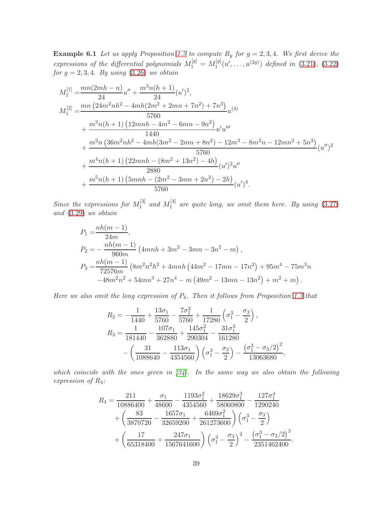**Example 6.1** Let us apply Proposition [1.3](#page-4-1) to compute  $R_g$  for  $g = 2, 3, 4$ . We first derive the expressions of the differential polynomials  $M_1^{[g]} = M_1^{[g]}$  $\int_1^{[g]}(u',\ldots,u^{(2g)})$  defined in [\(3.21\)](#page-16-3), [\(3.22\)](#page-16-1) for  $g = 2, 3, 4$ . By using  $(3.26)$  we obtain

$$
M_1^{[1]} = \frac{mn(2mh - n)}{24}u'' + \frac{m^3n(h + 1)}{24}(u')^2,
$$
  
\n
$$
M_1^{[2]} = \frac{mn(24m^2nh^2 - 4mh(2m^2 + 2mn + 7n^2) + 7n^3)}{5760}u^{(4)}
$$
  
\n
$$
+ \frac{m^3n(h + 1)(12mh - 4m^2 - 6mn - 9n^2)}{1440}u'u''
$$
  
\n
$$
+ \frac{m^2n(36m^2nh^2 - 4mh(3m^2 - 2mn + 8n^2) - 12m^3 - 8m^2n - 12mn^2 + 5n^3)}{5760}(u'')^2
$$
  
\n
$$
+ \frac{m^4n(h + 1)(22mnh - (8m^2 + 13n^2) - 4h)}{2880}(u')^2u''
$$
  
\n
$$
+ \frac{m^5n(h + 1)(5mh - (2m^2 - 3mn + 2n^2) - 2h)}{5760}(u')^4.
$$

Since the expressions for  $M_1^{[3]}$  $_1^{[3]}$  and  $M_1^{[4]}$  $1^{\lceil 4 \rceil}$  are quite long, we omit them here. By using  $(3.27)$ and [\(3.29\)](#page-17-4) we obtain

$$
P_1 = \frac{nh(m-1)}{24m},
$$
  
\n
$$
P_2 = -\frac{nh(m-1)}{960m} (4mnh + 3m^2 - 3mn - 3n^2 - m),
$$
  
\n
$$
P_3 = \frac{nh(m-1)}{72576m} (8m^2n^2h^2 + 4mnh(44m^2 - 17mn - 17n^2) + 95m^4 - 75m^3n
$$
  
\n
$$
-48m^2n^2 + 54mn^3 + 27n^4 - m(49m^2 - 13mn - 13n^2) + m^2 + m).
$$

Here we also omit the long expression of  $P_4$ . Then it follows from Proposition [1.3](#page-4-1) that

$$
R_2 = -\frac{1}{1440} + \frac{13\sigma_1}{5760} - \frac{7\sigma_1^2}{5760} + \frac{1}{17280} \left(\sigma_1^3 - \frac{\sigma_3}{2}\right),
$$
  
\n
$$
R_3 = \frac{1}{181440} - \frac{107\sigma_1}{362880} + \frac{145\sigma_1^2}{290304} - \frac{31\sigma_1^3}{161280}
$$
  
\n
$$
- \left(\frac{31}{1088640} - \frac{113\sigma_1}{4354560}\right) \left(\sigma_1^3 - \frac{\sigma_3}{2}\right) - \frac{\left(\sigma_1^3 - \sigma_3/2\right)^2}{13063680},
$$

which coincide with the ones given in  $[24]$ . In the same way we also obtain the following expression of R4:

$$
R_4 = \frac{211}{10886400} + \frac{\sigma_1}{48600} - \frac{1193\sigma_1^2}{4354560} + \frac{18629\sigma_1^3}{58060800} - \frac{127\sigma_1^4}{1290240} + \left(\frac{83}{3870720} - \frac{1657\sigma_1}{32659200} + \frac{6469\sigma_1^2}{261273600}\right) \left(\sigma_1^3 - \frac{\sigma_3}{2}\right) + \left(\frac{17}{65318400} + \frac{247\sigma_1}{1567641600}\right) \left(\sigma_1^3 - \frac{\sigma_3}{2}\right)^2 - \frac{\left(\sigma_1^3 - \sigma_3/2\right)^3}{2351462400}.
$$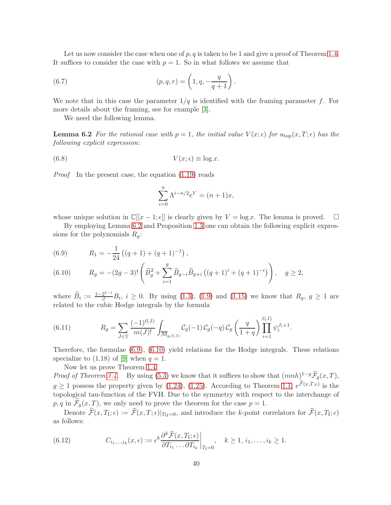Let us now consider the case when one of  $p, q$  is taken to be 1 and give a proof of Theorem [1.4.](#page-4-2) It suffices to consider the case with  $p = 1$ . So in what follows we assume that

(6.7) 
$$
(p, q, r) = \left(1, q, -\frac{q}{q+1}\right).
$$

We note that in this case the parameter  $1/q$  is identified with the framing parameter f. For more details about the framing, see for example [\[3\]](#page-40-1).

<span id="page-39-0"></span>We need the following lemma.

**Lemma 6.2** For the rational case with  $p = 1$ , the initial value  $V(x; \epsilon)$  for  $u_{\text{top}}(x, T; \epsilon)$  has the following explicit expression:

(6.8) 
$$
V(x; \epsilon) \equiv \log x.
$$

Proof In the present case, the equation [\(1.19\)](#page-3-2) reads

$$
\sum_{i=0}^{n} \Lambda^{i-n/2} e^V = (n+1)x,
$$

whose unique solution in  $\mathbb{C}[[x-1,\epsilon]]$  is clearly given by  $V = \log x$ . The lemma is proved.

By employing Lemma [6.2](#page-39-0) and Proposition [1.3](#page-4-1) one can obtain the following explicit expressions for the polynomials  $R_q$ :

<span id="page-39-1"></span>(6.9) 
$$
R_1 = -\frac{1}{24} \left( (q+1) + (q+1)^{-1} \right),
$$

<span id="page-39-2"></span>(6.10) 
$$
R_g = -(2g-3)! \left( \widetilde{B}_g^2 + \sum_{i=1}^g \widetilde{B}_{g-i} \widetilde{B}_{g+i} \left( (q+1)^i + (q+1)^{-i} \right) \right), \quad g \ge 2,
$$

where  $\widetilde{B}_i := \frac{1-2^{1-i}}{i!} B_i$ ,  $i \geq 0$ . By using [\(1.3\)](#page-1-1), [\(1.9\)](#page-2-1) and [\(1.15\)](#page-3-0) we know that  $R_g$ ,  $g \geq 1$  are related to the cubic Hodge integrals by the formula

(6.11) 
$$
R_g = \sum_{J \in \mathbb{Y}} \frac{(-1)^{\ell(J)}}{m(J)!} \int_{\overline{\mathcal{M}}_{g,\ell(J)}} \mathcal{C}_g(-1) \mathcal{C}_g(-q) \mathcal{C}_g\left(\frac{q}{1+q}\right) \prod_{i=1}^{\ell(J)} \psi_i^{J_i+1}.
$$

Therefore, the formulae [\(6.9\)](#page-39-1), [\(6.10\)](#page-39-2) yield relations for the Hodge integrals. These relations specialize to  $(1.18)$  of [\[9\]](#page-40-6) when  $q = 1$ .

Now let us prove Theorem [1.4.](#page-4-2)

*Proof of Theorem [1.4.](#page-4-2)* By using [\(5.3\)](#page-32-5) we know that it suffices to show that  $(mnh)^{1-g} \hat{F}_g(x,T)$ ,  $g \ge 1$  possess the property given by [\(1.24\)](#page-4-3), [\(1.25\)](#page-4-4). According to Theorem [1.1,](#page-1-0)  $e^{\mathcal{F}(x,T;\epsilon)}$  is the topological tau-function of the FVH. Due to the symmetry with respect to the interchange of  $p, q$  in  $\mathcal{F}_g(x,T)$ , we only need to prove the theorem for the case  $p = 1$ .

Denote  $\mathcal{F}(x,T_i;\epsilon) := \mathcal{F}(x,T;\epsilon)|_{T_{II}=0}$ , and introduce the k-point correlators for  $\mathcal{F}(x,T_i;\epsilon)$ as follows:

(6.12) 
$$
C_{i_1,\dots,i_k}(x,\epsilon) := \epsilon^k \frac{\partial^k \widehat{\mathcal{F}}(x,T_i;\epsilon)}{\partial T_{i_1} \dots \partial T_{i_k}}\bigg|_{T_i=0}, \quad k \ge 1, i_1,\dots,i_k \ge 1.
$$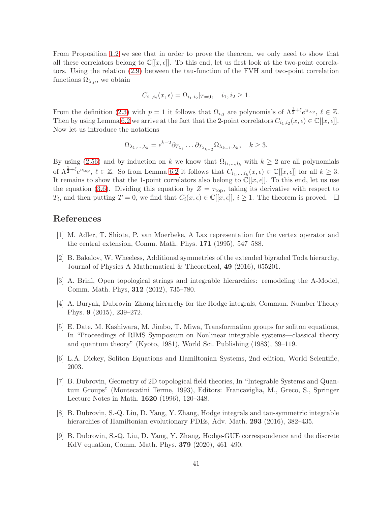From Proposition [1.2](#page-2-0) we see that in order to prove the theorem, we only need to show that all these correlators belong to  $\mathbb{C}[[x,\epsilon]]$ . To this end, let us first look at the two-point correlators. Using the relation [\(2.9\)](#page-6-0) between the tau-function of the FVH and two-point correlation functions  $\Omega_{\lambda,\mu}$ , we obtain

$$
C_{i_1,i_2}(x,\epsilon) = \Omega_{i_1,i_2}|_{T=0}, \quad i_1, i_2 \ge 1.
$$

From the definition [\(2.3\)](#page-5-0) with  $p = 1$  it follows that  $\Omega_{i,j}$  are polynomials of  $\Lambda^{\frac{1}{2}+\ell}e^{u_{\text{top}}}, \ell \in \mathbb{Z}$ . Then by using Lemma [6.2](#page-39-0) we arrive at the fact that the 2-point correlators  $C_{i_1,i_2}(x,\epsilon) \in \mathbb{C}[[x,\epsilon]].$ Now let us introduce the notations

$$
\Omega_{\lambda_1,\dots,\lambda_k} = \epsilon^{k-2} \partial_{T_{\lambda_1}} \dots \partial_{T_{\lambda_{k-2}}} \Omega_{\lambda_{k-1},\lambda_k}, \quad k \ge 3.
$$

By using [\(2.56\)](#page-13-5) and by induction on k we know that  $\Omega_{i_1,\dots,i_k}$  with  $k \geq 2$  are all polynomials of  $\Lambda^{\frac{1}{2}+\ell}e^{u_{\text{top}}}, \ell \in \mathbb{Z}$ . So from Lemma [6.2](#page-39-0) it follows that  $C_{i_1,\dots,i_k}(x,\epsilon) \in \mathbb{C}[[x,\epsilon]]$  for all  $k \geq 3$ . It remains to show that the 1-point correlators also belong to  $\mathbb{C}[[x,\epsilon]]$ . To this end, let us use the equation [\(3.6\)](#page-14-0). Dividing this equation by  $Z = \tau_{top}$ , taking its derivative with respect to  $T_i$ , and then putting  $T = 0$ , we find that  $C_i(x, \epsilon) \in \mathbb{C}[[x, \epsilon]], i \ge 1$ . The theorem is proved.  $\Box$ 

## <span id="page-40-3"></span>References

- <span id="page-40-5"></span>[1] M. Adler, T. Shiota, P. van Moerbeke, A Lax representation for the vertex operator and the central extension, Comm. Math. Phys. 171 (1995), 547–588.
- <span id="page-40-1"></span>[2] B. Bakalov, W. Wheeless, Additional symmetries of the extended bigraded Toda hierarchy, Journal of Physics A Mathematical & Theoretical, 49 (2016), 055201.
- [3] A. Brini, Open topological strings and integrable hierarchies: remodeling the A-Model, Comm. Math. Phys, 312 (2012), 735–780.
- [4] A. Buryak, Dubrovin–Zhang hierarchy for the Hodge integrals, Commun. Number Theory Phys. 9 (2015), 239–272.
- <span id="page-40-2"></span>[5] E. Date, M. Kashiwara, M. Jimbo, T. Miwa, Transformation groups for soliton equations, In "Proceedings of RIMS Symposium on Nonlinear integrable systems—classical theory and quantum theory" (Kyoto, 1981), World Sci. Publishing (1983), 39–119.
- <span id="page-40-4"></span>[6] L.A. Dickey, Soliton Equations and Hamiltonian Systems, 2nd edition, World Scientific, 2003.
- [7] B. Dubrovin, Geometry of 2D topological field theories, In "Integrable Systems and Quantum Groups" (Montecatini Terme, 1993), Editors: Francaviglia, M., Greco, S., Springer Lecture Notes in Math. 1620 (1996), 120–348.
- <span id="page-40-0"></span>[8] B. Dubrovin, S.-Q. Liu, D. Yang, Y. Zhang, Hodge integrals and tau-symmetric integrable hierarchies of Hamiltonian evolutionary PDEs, Adv. Math. 293 (2016), 382–435.
- <span id="page-40-6"></span>[9] B. Dubrovin, S.-Q. Liu, D. Yang, Y. Zhang, Hodge-GUE correspondence and the discrete KdV equation, Comm. Math. Phys. 379 (2020), 461–490.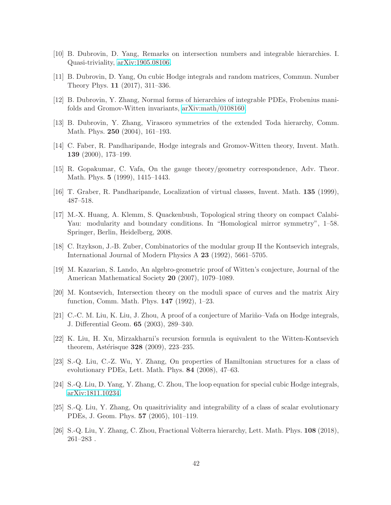- <span id="page-41-13"></span><span id="page-41-12"></span>[10] B. Dubrovin, D. Yang, Remarks on intersection numbers and integrable hierarchies. I. Quasi-triviality, [arXiv:1905.08106.](http://arxiv.org/abs/1905.08106)
- <span id="page-41-8"></span>[11] B. Dubrovin, D. Yang, On cubic Hodge integrals and random matrices, Commun. Number Theory Phys. 11 (2017), 311–336.
- [12] B. Dubrovin, Y. Zhang, Normal forms of hierarchies of integrable PDEs, Frobenius manifolds and Gromov-Witten invariants, [arXiv:math/0108160.](http://arxiv.org/abs/math/0108160)
- [13] B. Dubrovin, Y. Zhang, Virasoro symmetries of the extended Toda hierarchy, Comm. Math. Phys. 250 (2004), 161–193.
- <span id="page-41-5"></span>[14] C. Faber, R. Pandharipande, Hodge integrals and Gromov-Witten theory, Invent. Math. 139 (2000), 173–199.
- <span id="page-41-3"></span>[15] R. Gopakumar, C. Vafa, On the gauge theory/geometry correspondence, Adv. Theor. Math. Phys. 5 (1999), 1415–1443.
- [16] T. Graber, R. Pandharipande, Localization of virtual classes, Invent. Math. 135 (1999), 487–518.
- [17] M.-X. Huang, A. Klemm, S. Quackenbush, Topological string theory on compact Calabi-Yau: modularity and boundary conditions. In "Homological mirror symmetry", 1–58. Springer, Berlin, Heidelberg, 2008.
- <span id="page-41-9"></span>[18] C. Itzykson, J.-B. Zuber, Combinatorics of the modular group II the Kontsevich integrals, International Journal of Modern Physics A 23 (1992), 5661–5705.
- <span id="page-41-1"></span>[19] M. Kazarian, S. Lando, An algebro-geometric proof of Witten's conjecture, Journal of the American Mathematical Society 20 (2007), 1079–1089.
- <span id="page-41-0"></span>[20] M. Kontsevich, Intersection theory on the moduli space of curves and the matrix Airy function, Comm. Math. Phys. 147 (1992), 1–23.
- <span id="page-41-4"></span>[21] C.-C. M. Liu, K. Liu, J. Zhou, A proof of a conjecture of Mariño–Vafa on Hodge integrals, J. Differential Geom. 65 (2003), 289–340.
- <span id="page-41-2"></span>[22] K. Liu, H. Xu, Mirzakharni's recursion formula is equivalent to the Witten-Kontsevich theorem, Astérisque  $328$  (2009), 223–235.
- <span id="page-41-11"></span><span id="page-41-7"></span>[23] S.-Q. Liu, C.-Z. Wu, Y. Zhang, On properties of Hamiltonian structures for a class of evolutionary PDEs, Lett. Math. Phys. 84 (2008), 47–63.
- <span id="page-41-10"></span>[24] S.-Q. Liu, D. Yang, Y. Zhang, C. Zhou, The loop equation for special cubic Hodge integrals, [arXiv:1811.10234.](http://arxiv.org/abs/1811.10234)
- [25] S.-Q. Liu, Y. Zhang, On quasitriviality and integrability of a class of scalar evolutionary PDEs, J. Geom. Phys. 57 (2005), 101–119.
- <span id="page-41-6"></span>[26] S.-Q. Liu, Y. Zhang, C. Zhou, Fractional Volterra hierarchy, Lett. Math. Phys. 108 (2018), 261–283 .